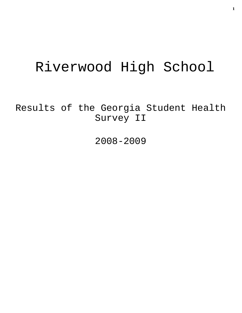# Riverwood High School

Results of the Georgia Student Health Survey II

2008-2009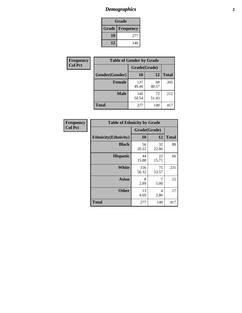# *Demographics* **2**

| Grade                    |     |  |  |  |
|--------------------------|-----|--|--|--|
| <b>Grade   Frequency</b> |     |  |  |  |
| 10                       | 277 |  |  |  |
| 12                       | 140 |  |  |  |

| <b>Frequency</b> | <b>Table of Gender by Grade</b> |              |             |              |  |
|------------------|---------------------------------|--------------|-------------|--------------|--|
| <b>Col Pct</b>   |                                 | Grade(Grade) |             |              |  |
|                  | Gender(Gender)                  | 10           | 12          | <b>Total</b> |  |
|                  | <b>Female</b>                   | 137<br>49.46 | 68<br>48.57 | 205          |  |
|                  | <b>Male</b>                     | 140<br>50.54 | 72<br>51.43 | 212          |  |
|                  | <b>Total</b>                    | 277          | 140         | 417          |  |

| <b>Frequency</b><br>Col Pct |
|-----------------------------|
|                             |

| <b>Table of Ethnicity by Grade</b> |              |             |              |  |  |  |
|------------------------------------|--------------|-------------|--------------|--|--|--|
|                                    | Grade(Grade) |             |              |  |  |  |
| <b>Ethnicity</b> (Ethnicity)       | 10           | 12          | <b>Total</b> |  |  |  |
| <b>Black</b>                       | 56<br>20.22  | 32<br>22.86 | 88           |  |  |  |
| <b>Hispanic</b>                    | 44<br>15.88  | 22<br>15.71 | 66           |  |  |  |
| White                              | 156<br>56.32 | 75<br>53.57 | 231          |  |  |  |
| <b>Asian</b>                       | 8<br>2.89    | 7<br>5.00   | 15           |  |  |  |
| <b>Other</b>                       | 13<br>4.69   | 4<br>2.86   | 17           |  |  |  |
| <b>Total</b>                       | 277          | 140         | 417          |  |  |  |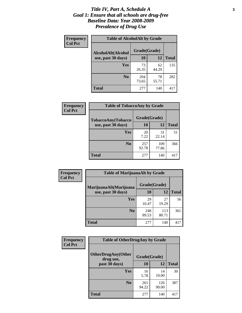#### *Title IV, Part A, Schedule A* **3** *Goal 1: Ensure that all schools are drug-free Baseline Data: Year 2008-2009 Prevalence of Drug Use*

| Frequency<br><b>Col Pct</b> | <b>Table of AlcoholAlt by Grade</b> |              |             |              |  |  |
|-----------------------------|-------------------------------------|--------------|-------------|--------------|--|--|
|                             | AlcoholAlt(Alcohol                  | Grade(Grade) |             |              |  |  |
|                             | use, past 30 days)                  | 10           | 12          | <b>Total</b> |  |  |
|                             | Yes                                 | 73<br>26.35  | 62<br>44.29 | 135          |  |  |
|                             | N <sub>0</sub>                      | 204<br>73.65 | 78<br>55.71 | 282          |  |  |
|                             | <b>Total</b>                        | 277          | 140         | 417          |  |  |

| Frequency<br><b>Col Pct</b> | <b>Table of TobaccoAny by Grade</b> |              |              |              |  |  |
|-----------------------------|-------------------------------------|--------------|--------------|--------------|--|--|
|                             | TobaccoAny(Tobacco                  | Grade(Grade) |              |              |  |  |
|                             | use, past 30 days)                  | 10           | 12           | <b>Total</b> |  |  |
|                             | <b>Yes</b>                          | 20<br>7.22   | 31<br>22.14  | 51           |  |  |
|                             | N <sub>0</sub>                      | 257<br>92.78 | 109<br>77.86 | 366          |  |  |
|                             | <b>Total</b>                        | 277          | 140          | 417          |  |  |

| Frequency<br><b>Col Pct</b> | <b>Table of MarijuanaAlt by Grade</b> |              |              |              |  |
|-----------------------------|---------------------------------------|--------------|--------------|--------------|--|
|                             | MarijuanaAlt(Marijuana                | Grade(Grade) |              |              |  |
|                             | use, past 30 days)                    | 10           | 12           | <b>Total</b> |  |
|                             | <b>Yes</b>                            | 29<br>10.47  | 27<br>19.29  | 56           |  |
|                             | N <sub>0</sub>                        | 248<br>89.53 | 113<br>80.71 | 361          |  |
|                             | <b>Total</b>                          | 277          | 140          | 417          |  |

| <b>Frequency</b> | <b>Table of OtherDrugAny by Grade</b>  |              |              |              |  |  |
|------------------|----------------------------------------|--------------|--------------|--------------|--|--|
| <b>Col Pct</b>   | <b>OtherDrugAny(Other</b><br>drug use, | Grade(Grade) |              |              |  |  |
|                  | past 30 days)                          | 10           | 12           | <b>Total</b> |  |  |
|                  | Yes                                    | 16<br>5.78   | 14<br>10.00  | 30           |  |  |
|                  | N <sub>0</sub>                         | 261<br>94.22 | 126<br>90.00 | 387          |  |  |
|                  | <b>Total</b>                           | 277          | 140          | 417          |  |  |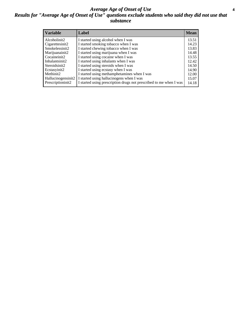#### *Average Age of Onset of Use* **4** *Results for "Average Age of Onset of Use" questions exclude students who said they did not use that substance*

| <b>Variable</b>    | Label                                                              | <b>Mean</b> |
|--------------------|--------------------------------------------------------------------|-------------|
| Alcoholinit2       | I started using alcohol when I was                                 | 13.51       |
| Cigarettesinit2    | I started smoking tobacco when I was                               | 14.23       |
| Smokelessinit2     | I started chewing tobacco when I was                               | 13.83       |
| Marijuanainit2     | I started using marijuana when I was                               | 14.48       |
| Cocaineinit2       | I started using cocaine when I was                                 | 13.55       |
| Inhalantsinit2     | I started using inhalants when I was                               | 12.42       |
| Steroidsinit2      | I started using steroids when I was                                | 14.50       |
| Ecstasyinit2       | I started using ecstasy when I was                                 | 14.90       |
| Methinit2          | I started using methamphetamines when I was                        | 12.00       |
| Hallucinogensinit2 | I started using hallucinogens when I was                           | 15.07       |
| Prescriptioninit2  | I started using prescription drugs not prescribed to me when I was | 14.18       |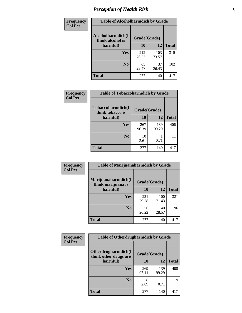# *Perception of Health Risk* **5**

| <b>Frequency</b> | <b>Table of Alcoholharmdich by Grade</b> |              |              |              |  |
|------------------|------------------------------------------|--------------|--------------|--------------|--|
| <b>Col Pct</b>   | Alcoholharmdich(I<br>think alcohol is    | Grade(Grade) |              |              |  |
|                  | harmful)                                 | 10           | 12           | <b>Total</b> |  |
|                  | <b>Yes</b>                               | 212<br>76.53 | 103<br>73.57 | 315          |  |
|                  | N <sub>0</sub>                           | 65<br>23.47  | 37<br>26.43  | 102          |  |
|                  | <b>Total</b>                             | 277          | 140          | 417          |  |

| Frequency      | <b>Table of Tobaccoharmdich by Grade</b> |              |              |              |  |
|----------------|------------------------------------------|--------------|--------------|--------------|--|
| <b>Col Pct</b> | Tobaccoharmdich(I<br>think tobacco is    | Grade(Grade) |              |              |  |
|                | harmful)                                 | 10           | 12           | <b>Total</b> |  |
|                | <b>Yes</b>                               | 267<br>96.39 | 139<br>99.29 | 406          |  |
|                | N <sub>0</sub>                           | 10<br>3.61   | 0.71         |              |  |
|                | <b>Total</b>                             | 277          | 140          | 417          |  |

| Frequency      | <b>Table of Marijuanaharmdich by Grade</b> |              |              |              |  |  |
|----------------|--------------------------------------------|--------------|--------------|--------------|--|--|
| <b>Col Pct</b> | Marijuanaharmdich(I<br>think marijuana is  | Grade(Grade) |              |              |  |  |
|                | harmful)                                   | 10           | 12           | <b>Total</b> |  |  |
|                | Yes                                        | 221<br>79.78 | 100<br>71.43 | 321          |  |  |
|                | N <sub>0</sub>                             | 56<br>20.22  | 40<br>28.57  | 96           |  |  |
|                | <b>Total</b>                               | 277          | 140          | 417          |  |  |

| <b>Frequency</b> | <b>Table of Otherdrugharmdich by Grade</b>   |              |              |              |  |  |
|------------------|----------------------------------------------|--------------|--------------|--------------|--|--|
| <b>Col Pct</b>   | Otherdrugharmdich(I<br>think other drugs are | Grade(Grade) |              |              |  |  |
|                  | harmful)                                     | 10           | 12           | <b>Total</b> |  |  |
|                  | <b>Yes</b>                                   | 269<br>97.11 | 139<br>99.29 | 408          |  |  |
|                  | N <sub>0</sub>                               | 2.89         | 0.71         | 9            |  |  |
|                  | <b>Total</b>                                 | 277          | 140          | 417          |  |  |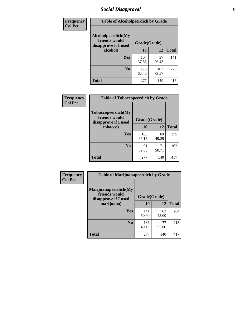# *Social Disapproval* **6**

| Frequency      | <b>Table of Alcoholpeerdich by Grade</b>                    |              |              |              |  |  |  |
|----------------|-------------------------------------------------------------|--------------|--------------|--------------|--|--|--|
| <b>Col Pct</b> | Alcoholpeerdich(My<br>friends would<br>disapprove if I used | Grade(Grade) |              |              |  |  |  |
|                | alcohol)                                                    | 10           | 12           | <b>Total</b> |  |  |  |
|                | <b>Yes</b>                                                  | 104<br>37.55 | 37<br>26.43  | 141          |  |  |  |
|                | N <sub>0</sub>                                              | 173<br>62.45 | 103<br>73.57 | 276          |  |  |  |
|                | <b>Total</b>                                                | 277          | 140          | 417          |  |  |  |

| <b>Frequency</b> |
|------------------|
| <b>Col Pct</b>   |

| <b>Table of Tobaccopeerdich by Grade</b>                    |              |             |              |  |  |  |
|-------------------------------------------------------------|--------------|-------------|--------------|--|--|--|
| Tobaccopeerdich(My<br>friends would<br>disapprove if I used | Grade(Grade) |             |              |  |  |  |
| tobacco)                                                    | 10           | 12          | <b>Total</b> |  |  |  |
| Yes                                                         | 186<br>67.15 | 69<br>49.29 | 255          |  |  |  |
| N <sub>0</sub>                                              | 91<br>32.85  | 71<br>50.71 | 162          |  |  |  |
| <b>Total</b>                                                | 277          | 140         | 417          |  |  |  |

| <b>Frequency</b> | <b>Table of Marijuanapeerdich by Grade</b>                    |              |             |              |  |  |
|------------------|---------------------------------------------------------------|--------------|-------------|--------------|--|--|
| <b>Col Pct</b>   | Marijuanapeerdich(My<br>friends would<br>disapprove if I used | Grade(Grade) |             |              |  |  |
|                  | marijuana)                                                    | 10           | 12          | <b>Total</b> |  |  |
|                  | <b>Yes</b>                                                    | 141<br>50.90 | 63<br>45.00 | 204          |  |  |
|                  | N <sub>0</sub>                                                | 136<br>49.10 | 77<br>55.00 | 213          |  |  |
|                  | <b>Total</b>                                                  | 277          | 140         | 417          |  |  |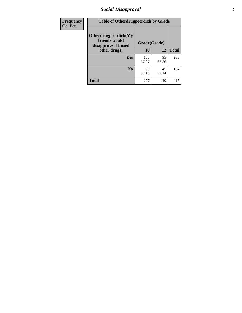# *Social Disapproval* **7**

| Frequency      | <b>Table of Otherdrugpeerdich by Grade</b>                    |              |             |              |  |  |  |
|----------------|---------------------------------------------------------------|--------------|-------------|--------------|--|--|--|
| <b>Col Pct</b> | Otherdrugpeerdich(My<br>friends would<br>disapprove if I used | Grade(Grade) |             |              |  |  |  |
|                | other drugs)                                                  | 10           | 12          | <b>Total</b> |  |  |  |
|                | Yes                                                           | 188<br>67.87 | 95<br>67.86 | 283          |  |  |  |
|                | N <sub>0</sub>                                                | 89<br>32.13  | 45<br>32.14 | 134          |  |  |  |
|                | <b>Total</b>                                                  | 277          | 140         | 417          |  |  |  |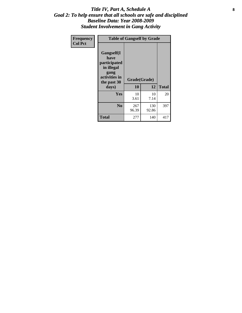#### Title IV, Part A, Schedule A **8** *Goal 2: To help ensure that all schools are safe and disciplined Baseline Data: Year 2008-2009 Student Involvement in Gang Activity*

| Frequency      | <b>Table of Gangself by Grade</b>                                                                         |                    |              |              |  |
|----------------|-----------------------------------------------------------------------------------------------------------|--------------------|--------------|--------------|--|
| <b>Col Pct</b> | <b>Gangself</b> (I<br>have<br>participated<br>in illegal<br>gang<br>activities in<br>the past 30<br>days) | Grade(Grade)<br>10 | 12           | <b>Total</b> |  |
|                | Yes                                                                                                       | 10<br>3.61         | 10<br>7.14   | 20           |  |
|                | N <sub>0</sub>                                                                                            | 267<br>96.39       | 130<br>92.86 | 397          |  |
|                | <b>Total</b>                                                                                              | 277                | 140          | 417          |  |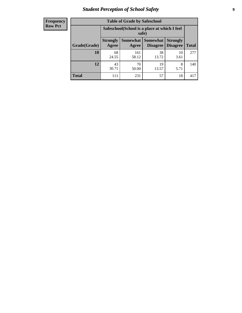# *Student Perception of School Safety* **9**

| <b>Frequency</b><br>Row Pct |
|-----------------------------|
|                             |

| <b>Table of Grade by Safeschool</b> |                                                                                                                                           |                                                        |             |            |     |  |
|-------------------------------------|-------------------------------------------------------------------------------------------------------------------------------------------|--------------------------------------------------------|-------------|------------|-----|--|
|                                     |                                                                                                                                           | Safeschool (School is a place at which I feel<br>safe) |             |            |     |  |
| Grade(Grade)                        | <b>Somewhat</b><br><b>Somewhat</b><br><b>Strongly</b><br><b>Strongly</b><br><b>Disagree</b><br>Agree<br>Disagree<br><b>Total</b><br>Agree |                                                        |             |            |     |  |
| 10                                  | 68<br>24.55                                                                                                                               | 161<br>58.12                                           | 38<br>13.72 | 10<br>3.61 | 277 |  |
| 12                                  | 43<br>30.71                                                                                                                               | 70<br>50.00                                            | 19<br>13.57 | 8<br>5.71  | 140 |  |
| <b>Total</b>                        | 111                                                                                                                                       | 231                                                    | 57          | 18         | 417 |  |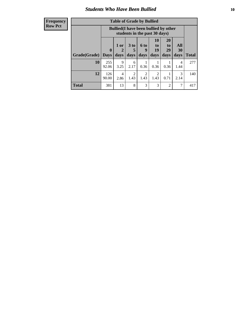### *Students Who Have Been Bullied* **10**

#### **Frequency Row Pct**

| <b>Table of Grade by Bullied</b> |              |                                                                               |                              |                          |                        |                        |                   |              |
|----------------------------------|--------------|-------------------------------------------------------------------------------|------------------------------|--------------------------|------------------------|------------------------|-------------------|--------------|
|                                  |              | <b>Bullied</b> (I have been bullied by other<br>students in the past 30 days) |                              |                          |                        |                        |                   |              |
| Grade(Grade)                     | 0<br>  Davs  | 1 or<br>2<br>days                                                             | 3 <sub>to</sub><br>5<br>days | <b>6 to</b><br>9<br>days | 10<br>to<br>19<br>days | 20<br>to<br>29<br>days | All<br>30<br>days | <b>Total</b> |
| 10                               | 255<br>92.06 | 9<br>3.25                                                                     | 6<br>2.17                    | 0.36                     | 0.36                   | 0.36                   | 4<br>1.44         | 277          |
| 12                               | 126<br>90.00 | 4<br>2.86                                                                     | $\overline{2}$<br>1.43       | $\overline{2}$<br>1.43   | 2<br>1.43              | 0.71                   | 3<br>2.14         | 140          |
| <b>Total</b>                     | 381          | 13                                                                            | 8                            | 3                        | 3                      | 2                      | 7                 | 417          |

 $\blacksquare$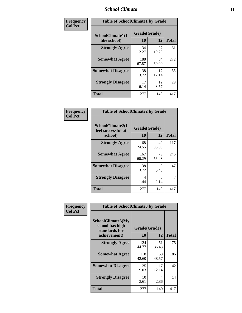### *School Climate* **11**

| <b>Frequency</b> | <b>Table of SchoolClimate1 by Grade</b> |                    |             |              |  |  |
|------------------|-----------------------------------------|--------------------|-------------|--------------|--|--|
| <b>Col Pct</b>   | SchoolClimate1(I<br>like school)        | Grade(Grade)<br>10 | 12          | <b>Total</b> |  |  |
|                  | <b>Strongly Agree</b>                   | 34<br>12.27        | 27<br>19.29 | 61           |  |  |
|                  | <b>Somewhat Agree</b>                   | 188<br>67.87       | 84<br>60.00 | 272          |  |  |
|                  | <b>Somewhat Disagree</b>                | 38<br>13.72        | 17<br>12.14 | 55           |  |  |
|                  | <b>Strongly Disagree</b>                | 17<br>6.14         | 12<br>8.57  | 29           |  |  |
|                  | <b>Total</b>                            | 277                | 140         | 417          |  |  |

| <b>Frequency</b> |
|------------------|
| <b>Col Pct</b>   |

| <b>Table of SchoolClimate2 by Grade</b>           |                    |             |              |  |  |
|---------------------------------------------------|--------------------|-------------|--------------|--|--|
| SchoolClimate2(I<br>feel successful at<br>school) | Grade(Grade)<br>10 | 12          | <b>Total</b> |  |  |
| <b>Strongly Agree</b>                             | 68<br>24.55        | 49<br>35.00 | 117          |  |  |
| <b>Somewhat Agree</b>                             | 167<br>60.29       | 79<br>56.43 | 246          |  |  |
| <b>Somewhat Disagree</b>                          | 38<br>13.72        | 9<br>6.43   | 47           |  |  |
| <b>Strongly Disagree</b>                          | 4<br>1.44          | 3<br>2.14   | 7            |  |  |
| <b>Total</b>                                      | 277                | 140         | 417          |  |  |

| Frequency      | <b>Table of SchoolClimate3 by Grade</b>                                      |                    |             |              |
|----------------|------------------------------------------------------------------------------|--------------------|-------------|--------------|
| <b>Col Pct</b> | <b>SchoolClimate3(My</b><br>school has high<br>standards for<br>achievement) | Grade(Grade)<br>10 | 12          | <b>Total</b> |
|                | <b>Strongly Agree</b>                                                        | 124<br>44.77       | 51<br>36.43 | 175          |
|                | <b>Somewhat Agree</b>                                                        | 118<br>42.60       | 68<br>48.57 | 186          |
|                | <b>Somewhat Disagree</b>                                                     | 25<br>9.03         | 17<br>12.14 | 42           |
|                | <b>Strongly Disagree</b>                                                     | 10<br>3.61         | 4<br>2.86   | 14           |
|                | Total                                                                        | 277                | 140         | 417          |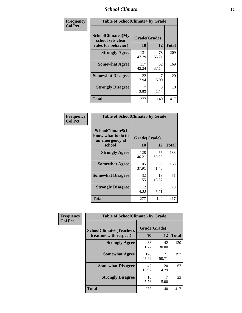### *School Climate* **12**

| Frequency      | <b>Table of SchoolClimate4 by Grade</b>                              |                    |             |              |
|----------------|----------------------------------------------------------------------|--------------------|-------------|--------------|
| <b>Col Pct</b> | <b>SchoolClimate4(My</b><br>school sets clear<br>rules for behavior) | Grade(Grade)<br>10 | 12          | <b>Total</b> |
|                | <b>Strongly Agree</b>                                                | 131<br>47.29       | 78<br>55.71 | 209          |
|                | <b>Somewhat Agree</b>                                                | 117<br>42.24       | 52<br>37.14 | 169          |
|                | <b>Somewhat Disagree</b>                                             | 22<br>7.94         | 5.00        | 29           |
|                | <b>Strongly Disagree</b>                                             | 7<br>2.53          | 3<br>2.14   | 10           |
|                | Total                                                                | 277                | 140         | 417          |

| <b>Table of SchoolClimate5 by Grade</b>                   |              |             |              |  |
|-----------------------------------------------------------|--------------|-------------|--------------|--|
| SchoolClimate5(I<br>know what to do in<br>an emergency at | Grade(Grade) |             |              |  |
| school)                                                   | 10           | 12          | <b>Total</b> |  |
| <b>Strongly Agree</b>                                     | 128<br>46.21 | 55<br>39.29 | 183          |  |
| <b>Somewhat Agree</b>                                     | 105<br>37.91 | 58<br>41.43 | 163          |  |
| <b>Somewhat Disagree</b>                                  | 32<br>11.55  | 19<br>13.57 | 51           |  |
| <b>Strongly Disagree</b>                                  | 12<br>4.33   | 8<br>5.71   | 20           |  |
| Total                                                     | 277          | 140         | 417          |  |

| Frequency      | <b>Table of SchoolClimate6 by Grade</b>                  |                    |             |              |
|----------------|----------------------------------------------------------|--------------------|-------------|--------------|
| <b>Col Pct</b> | <b>SchoolClimate6(Teachers</b><br>treat me with respect) | Grade(Grade)<br>10 | 12          | <b>Total</b> |
|                | <b>Strongly Agree</b>                                    | 88<br>31.77        | 42<br>30.00 | 130          |
|                | <b>Somewhat Agree</b>                                    | 126<br>45.49       | 71<br>50.71 | 197          |
|                | <b>Somewhat Disagree</b>                                 | 47<br>16.97        | 20<br>14.29 | 67           |
|                | <b>Strongly Disagree</b>                                 | 16<br>5.78         | 5.00        | 23           |
|                | <b>Total</b>                                             | 277                | 140         | 417          |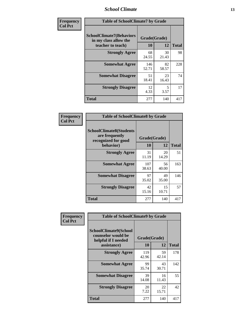### *School Climate* **13**

| Frequency      | <b>Table of SchoolClimate7 by Grade</b>                                       |                           |             |              |
|----------------|-------------------------------------------------------------------------------|---------------------------|-------------|--------------|
| <b>Col Pct</b> | <b>SchoolClimate7(Behaviors</b><br>in my class allow the<br>teacher to teach) | Grade(Grade)<br><b>10</b> | 12          | <b>Total</b> |
|                | <b>Strongly Agree</b>                                                         | 68<br>24.55               | 30<br>21.43 | 98           |
|                | <b>Somewhat Agree</b>                                                         | 146<br>52.71              | 82<br>58.57 | 228          |
|                | <b>Somewhat Disagree</b>                                                      | 51<br>18.41               | 23<br>16.43 | 74           |
|                | <b>Strongly Disagree</b>                                                      | 12<br>4.33                | 5<br>3.57   | 17           |
|                | <b>Total</b>                                                                  | 277                       | 140         | 417          |

| Frequency      | <b>Table of SchoolClimate8 by Grade</b>                                              |                    |             |              |
|----------------|--------------------------------------------------------------------------------------|--------------------|-------------|--------------|
| <b>Col Pct</b> | <b>SchoolClimate8(Students</b><br>are frequently<br>recognized for good<br>behavior) | Grade(Grade)<br>10 | 12          | <b>Total</b> |
|                | <b>Strongly Agree</b>                                                                | 31<br>11.19        | 20<br>14.29 | 51           |
|                | <b>Somewhat Agree</b>                                                                | 107<br>38.63       | 56<br>40.00 | 163          |
|                | <b>Somewhat Disagree</b>                                                             | 97<br>35.02        | 49<br>35.00 | 146          |
|                | <b>Strongly Disagree</b>                                                             | 42<br>15.16        | 15<br>10.71 | 57           |
|                | <b>Total</b>                                                                         | 277                | 140         | 417          |

| Frequency      | <b>Table of SchoolClimate9 by Grade</b>                                           |                    |             |              |
|----------------|-----------------------------------------------------------------------------------|--------------------|-------------|--------------|
| <b>Col Pct</b> | SchoolClimate9(School<br>counselor would be<br>helpful if I needed<br>assistance) | Grade(Grade)<br>10 | 12          | <b>Total</b> |
|                | <b>Strongly Agree</b>                                                             | 119<br>42.96       | 59<br>42.14 | 178          |
|                | <b>Somewhat Agree</b>                                                             | 99<br>35.74        | 43<br>30.71 | 142          |
|                | <b>Somewhat Disagree</b>                                                          | 39<br>14.08        | 16<br>11.43 | 55           |
|                | <b>Strongly Disagree</b>                                                          | 20<br>7.22         | 22<br>15.71 | 42           |
|                | <b>Total</b>                                                                      | 277                | 140         | 417          |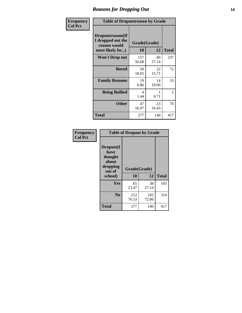### *Reasons for Dropping Out* **14**

| Frequency      | <b>Table of Dropoutreason by Grade</b>                                   |                    |             |              |
|----------------|--------------------------------------------------------------------------|--------------------|-------------|--------------|
| <b>Col Pct</b> | Dropoutreason(If<br>I dropped out the<br>reason would<br>most likely be) | Grade(Grade)<br>10 | 12          | <b>Total</b> |
|                | Won't Drop out                                                           | 157<br>56.68       | 80<br>57.14 | 237          |
|                | <b>Bored</b>                                                             | 50<br>18.05        | 22<br>15.71 | 72           |
|                | <b>Family Reasons</b>                                                    | 19<br>6.86         | 14<br>10.00 | 33           |
|                | <b>Being Bullied</b>                                                     | 4<br>1.44          | 0.71        | 5            |
|                | <b>Other</b>                                                             | 47<br>16.97        | 23<br>16.43 | 70           |
|                | <b>Total</b>                                                             | 277                | 140         | 417          |

| Frequency      | <b>Table of Dropout by Grade</b>                                       |                          |              |              |  |
|----------------|------------------------------------------------------------------------|--------------------------|--------------|--------------|--|
| <b>Col Pct</b> | Dropout(I<br>have<br>thought<br>about<br>dropping<br>out of<br>school) | Grade(Grade)<br>12<br>10 |              | <b>Total</b> |  |
|                | Yes                                                                    | 65<br>23.47              | 38<br>27.14  | 103          |  |
|                | N <sub>0</sub>                                                         | 212<br>76.53             | 102<br>72.86 | 314          |  |
|                | <b>Total</b>                                                           | 277                      | 140          | 417          |  |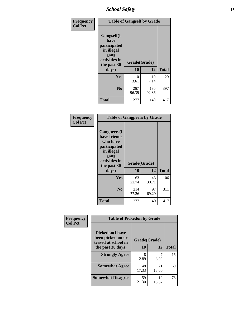*School Safety* **15**

| Frequency      |                                                                                                   | <b>Table of Gangself by Grade</b> |              |              |
|----------------|---------------------------------------------------------------------------------------------------|-----------------------------------|--------------|--------------|
| <b>Col Pct</b> | Gangself(I<br>have<br>participated<br>in illegal<br>gang<br>activities in<br>the past 30<br>days) | Grade(Grade)<br>10<br>12          |              | <b>Total</b> |
|                | Yes                                                                                               | 10<br>3.61                        | 10<br>7.14   | 20           |
|                | N <sub>o</sub>                                                                                    | 267<br>96.39                      | 130<br>92.86 | 397          |
|                | Total                                                                                             | 277                               | 140          | 417          |

| Frequency<br><b>Col Pct</b> | <b>Table of Gangpeers by Grade</b>                                                                                             |                    |             |              |
|-----------------------------|--------------------------------------------------------------------------------------------------------------------------------|--------------------|-------------|--------------|
|                             | <b>Gangpeers</b> (I<br>have friends<br>who have<br>participated<br>in illegal<br>gang<br>activities in<br>the past 30<br>days) | Grade(Grade)<br>10 | 12          | <b>Total</b> |
|                             | Yes                                                                                                                            | 63<br>22.74        | 43<br>30.71 | 106          |
|                             | N <sub>0</sub>                                                                                                                 | 214<br>77.26       | 97<br>69.29 | 311          |
|                             | Total                                                                                                                          | 277                | 140         | 417          |

| Frequency      |                                                                    | <b>Table of Pickedon by Grade</b> |             |              |  |  |  |  |  |
|----------------|--------------------------------------------------------------------|-----------------------------------|-------------|--------------|--|--|--|--|--|
| <b>Col Pct</b> | <b>Pickedon(I have</b><br>been picked on or<br>teased at school in | Grade(Grade)                      |             |              |  |  |  |  |  |
|                | the past 30 days)                                                  | 10                                | 12          | <b>Total</b> |  |  |  |  |  |
|                | <b>Strongly Agree</b>                                              | 8<br>2.89                         | 5.00        | 15           |  |  |  |  |  |
|                | <b>Somewhat Agree</b>                                              | 48<br>17.33                       | 21<br>15.00 | 69           |  |  |  |  |  |
|                | <b>Somewhat Disagree</b>                                           | 59<br>21.30                       | 19<br>13.57 | 78           |  |  |  |  |  |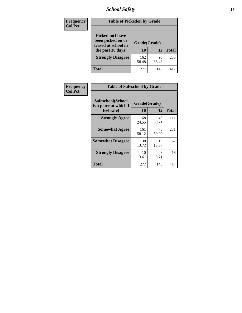# *School Safety* **16**

| <b>Frequency</b> |                                                                                          | <b>Table of Pickedon by Grade</b> |             |              |  |  |  |  |  |  |  |  |
|------------------|------------------------------------------------------------------------------------------|-----------------------------------|-------------|--------------|--|--|--|--|--|--|--|--|
| <b>Col Pct</b>   | <b>Pickedon</b> (I have<br>been picked on or<br>teased at school in<br>the past 30 days) | Grade(Grade)<br>10                | 12          | <b>Total</b> |  |  |  |  |  |  |  |  |
|                  | <b>Strongly Disagree</b>                                                                 | 162<br>58.48                      | 93<br>66.43 | 255          |  |  |  |  |  |  |  |  |
|                  | Total                                                                                    | 277                               | 140         | 41'          |  |  |  |  |  |  |  |  |

| <b>Frequency</b> | <b>Table of Safeschool by Grade</b>        |              |             |              |
|------------------|--------------------------------------------|--------------|-------------|--------------|
| <b>Col Pct</b>   | Safeschool(School<br>is a place at which I | Grade(Grade) |             |              |
|                  | feel safe)                                 | 10           | 12          | <b>Total</b> |
|                  | <b>Strongly Agree</b>                      | 68<br>24.55  | 43<br>30.71 | 111          |
|                  | <b>Somewhat Agree</b>                      | 161<br>58.12 | 70<br>50.00 | 231          |
|                  | <b>Somewhat Disagree</b>                   | 38<br>13.72  | 19<br>13.57 | 57           |
|                  | <b>Strongly Disagree</b>                   | 10<br>3.61   | 8<br>5.71   | 18           |
|                  | <b>Total</b>                               | 277          | 140         | 417          |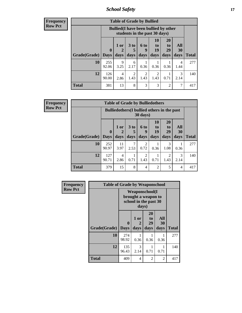*School Safety* **17**

**Frequency Row Pct**

| <b>Table of Grade by Bullied</b> |              |                                                                               |                              |                        |                        |                               |                          |              |  |  |  |  |
|----------------------------------|--------------|-------------------------------------------------------------------------------|------------------------------|------------------------|------------------------|-------------------------------|--------------------------|--------------|--|--|--|--|
|                                  |              | <b>Bullied</b> (I have been bullied by other<br>students in the past 30 days) |                              |                        |                        |                               |                          |              |  |  |  |  |
| <b>Grade</b> (Grade)   Days      | $\mathbf 0$  | 1 or<br>days                                                                  | 3 <sub>to</sub><br>5<br>days | 6 to<br>9<br>days      | 10<br>to<br>19<br>days | <b>20</b><br>to<br>29<br>days | All<br><b>30</b><br>days | <b>Total</b> |  |  |  |  |
| 10                               | 255<br>92.06 | 9<br>3.25                                                                     | 6<br>2.17                    | 0.36                   | 0.36                   | 0.36                          | 4<br>1.44                | 277          |  |  |  |  |
| 12                               | 126<br>90.00 | 4<br>2.86                                                                     | $\overline{2}$<br>1.43       | $\mathfrak{D}$<br>1.43 | 2<br>1.43              | 0.71                          | 3<br>2.14                | 140          |  |  |  |  |
| <b>Total</b>                     | 381          | 13                                                                            | 8                            | 3                      | 3                      | $\overline{2}$                | 7                        | 417          |  |  |  |  |

| <b>Table of Grade by Bulliedothers</b> |                            |                                                                         |                              |                        |                        |                        |                   |              |  |  |  |
|----------------------------------------|----------------------------|-------------------------------------------------------------------------|------------------------------|------------------------|------------------------|------------------------|-------------------|--------------|--|--|--|
|                                        |                            | <b>Bulliedothers</b> (I bullied others in the past<br>$30 \text{ days}$ |                              |                        |                        |                        |                   |              |  |  |  |
| Grade(Grade)                           | $\mathbf 0$<br><b>Days</b> | 1 or<br>2<br>days                                                       | 3 <sub>to</sub><br>5<br>days | 6 to<br>9<br>days      | 10<br>to<br>19<br>days | 20<br>to<br>29<br>days | All<br>30<br>days | <b>Total</b> |  |  |  |
| 10                                     | 252<br>90.97               | 11<br>3.97                                                              | 7<br>2.53                    | $\mathfrak{D}$<br>0.72 | 0.36                   | 3<br>1.08              | 0.36              | 277          |  |  |  |
| 12                                     | 127<br>90.71               | 4<br>2.86                                                               | 0.71                         | $\mathfrak{D}$<br>1.43 | 0.71                   | 2<br>1.43              | 3<br>2.14         | 140          |  |  |  |
| <b>Total</b>                           | 379                        | 15                                                                      | 8                            | 4                      | 2                      | 5                      | 4                 | 417          |  |  |  |

| <b>Frequency</b> | <b>Table of Grade by Weaponschool</b> |                                                                        |                   |                        |                          |              |
|------------------|---------------------------------------|------------------------------------------------------------------------|-------------------|------------------------|--------------------------|--------------|
| <b>Row Pct</b>   |                                       | <b>Weaponschool</b> (I<br>brought a weapon to<br>school in the past 30 |                   |                        |                          |              |
|                  | Grade(Grade)                          | $\bf{0}$<br><b>Days</b>                                                | 1 or<br>2<br>days | 20<br>to<br>29<br>days | <b>All</b><br>30<br>days | <b>Total</b> |
|                  | 10                                    | 274<br>98.92                                                           | 0.36              | 0.36                   | 0.36                     | 277          |
|                  | 12                                    | 135<br>96.43                                                           | 3<br>2.14         | 0.71                   | 1<br>0.71                | 140          |
|                  | <b>Total</b>                          | 409                                                                    | 4                 | 2                      | 2                        | 417          |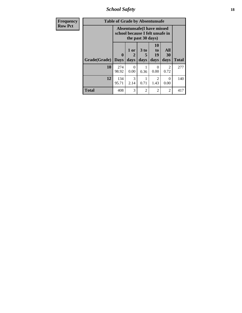*School Safety* **18**

| <b>Frequency</b> |              | <b>Table of Grade by Absentunsafe</b>                                |                   |                   |                        |                        |              |
|------------------|--------------|----------------------------------------------------------------------|-------------------|-------------------|------------------------|------------------------|--------------|
| <b>Row Pct</b>   |              | <b>Absentunsafe(I have missed</b><br>school because I felt unsafe in |                   |                   |                        |                        |              |
|                  | Grade(Grade) | $\bf{0}$<br><b>Days</b>                                              | 1 or<br>2<br>days | 3 to<br>5<br>days | 10<br>to<br>19<br>days | All<br>30<br>days      | <b>Total</b> |
|                  | 10           | 274<br>98.92                                                         | 0<br>0.00         | 0.36              | $\mathcal{O}$<br>0.00  | $\mathfrak{D}$<br>0.72 | 277          |
|                  | 12           | 134<br>95.71                                                         | 3<br>2.14         | 0.71              | $\overline{2}$<br>1.43 | 0<br>0.00              | 140          |
|                  | Total        | 408                                                                  | 3                 | $\mathfrak{D}$    | $\overline{2}$         | 2                      | 417          |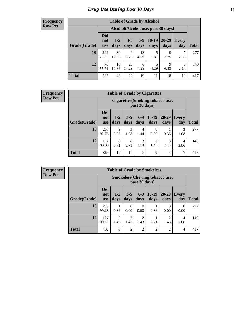# *Drug Use During Last 30 Days* **19**

#### **Frequency Row Pct**

| <b>Table of Grade by Alcohol</b> |                                 |                                     |                 |               |                 |                   |              |       |  |  |  |
|----------------------------------|---------------------------------|-------------------------------------|-----------------|---------------|-----------------|-------------------|--------------|-------|--|--|--|
|                                  |                                 | Alcohol (Alcohol use, past 30 days) |                 |               |                 |                   |              |       |  |  |  |
| Grade(Grade)                     | <b>Did</b><br>not<br><b>use</b> | $1-2$<br>days                       | $3 - 5$<br>days | $6-9$<br>days | $10-19$<br>days | $20 - 29$<br>days | Every<br>day | Total |  |  |  |
| 10                               | 204<br>73.65                    | 30<br>10.83                         | 9<br>3.25       | 13<br>4.69    | 5<br>1.81       | 9<br>3.25         | 7<br>2.53    | 277   |  |  |  |
| 12                               | 78<br>55.71                     | 18<br>12.86                         | 20<br>14.29     | 6<br>4.29     | 6<br>4.29       | 9<br>6.43         | 3<br>2.14    | 140   |  |  |  |
| <b>Total</b>                     | 282                             | 48                                  | 29              | 19            | 11              | 18                | 10           | 417   |  |  |  |

#### **Frequency Row Pct**

| <b>Table of Grade by Cigarettes</b> |                                                                                                                                                       |                                                   |           |           |           |           |           |              |  |  |  |  |  |
|-------------------------------------|-------------------------------------------------------------------------------------------------------------------------------------------------------|---------------------------------------------------|-----------|-----------|-----------|-----------|-----------|--------------|--|--|--|--|--|
|                                     |                                                                                                                                                       | Cigarettes (Smoking tobacco use,<br>past 30 days) |           |           |           |           |           |              |  |  |  |  |  |
| Grade(Grade)                        | <b>Did</b><br>$10-19$<br>$6-9$<br>$20 - 29$<br>$3 - 5$<br>$1 - 2$<br><b>Every</b><br>not<br>days<br>days<br>days<br>days<br>day<br>days<br><b>use</b> |                                                   |           |           |           |           |           | <b>Total</b> |  |  |  |  |  |
| 10                                  | 257<br>92.78                                                                                                                                          | 9<br>3.25                                         | 3<br>1.08 | 4<br>1.44 | 0<br>0.00 | 0.36      | 3<br>1.08 | 277          |  |  |  |  |  |
| 12                                  | 112<br>80.00                                                                                                                                          | 8<br>5.71                                         | 8<br>5.71 | 3<br>2.14 | 2<br>1.43 | 3<br>2.14 | 4<br>2.86 | 140          |  |  |  |  |  |
| <b>Total</b>                        | 369                                                                                                                                                   | 17                                                | 11        | 7         | 2         | 4         | 7         | 417          |  |  |  |  |  |

|              | <b>Table of Grade by Smokeless</b> |                                                         |                 |                        |                 |                   |                     |              |  |  |  |
|--------------|------------------------------------|---------------------------------------------------------|-----------------|------------------------|-----------------|-------------------|---------------------|--------------|--|--|--|
|              |                                    | <b>Smokeless</b> (Chewing tobacco use,<br>past 30 days) |                 |                        |                 |                   |                     |              |  |  |  |
| Grade(Grade) | <b>Did</b><br>not<br><b>use</b>    | $1 - 2$<br>days                                         | $3 - 5$<br>days | $6 - 9$<br>days        | $10-19$<br>days | $20 - 29$<br>days | <b>Every</b><br>day | <b>Total</b> |  |  |  |
| 10           | 275<br>99.28                       | 0.36                                                    | 0<br>0.00       | $\Omega$<br>0.00       | 0.36            | $\Omega$<br>0.00  | $\theta$<br>0.00    | 277          |  |  |  |
| 12           | 127<br>90.71                       | 2<br>1.43                                               | 2<br>1.43       | $\overline{2}$<br>1.43 | 0.71            | 2<br>1.43         | 4<br>2.86           | 140          |  |  |  |
| <b>Total</b> | 402                                | 3                                                       | $\overline{2}$  | $\overline{2}$         | $\overline{2}$  | 2                 | 4                   | 417          |  |  |  |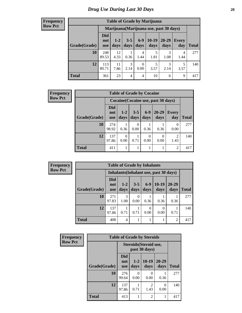| <b>Table of Grade by Marijuana</b> |                          |                                         |                 |                  |                 |               |              |              |  |  |  |  |
|------------------------------------|--------------------------|-----------------------------------------|-----------------|------------------|-----------------|---------------|--------------|--------------|--|--|--|--|
|                                    |                          | Marijuana (Marijuana use, past 30 days) |                 |                  |                 |               |              |              |  |  |  |  |
| Grade(Grade)                       | Did<br>not<br><b>use</b> | $1 - 2$<br>days                         | $3 - 5$<br>days | $6 - 9$<br>days  | $10-19$<br>days | 20-29<br>days | Every<br>day | <b>Total</b> |  |  |  |  |
| 10                                 | 248<br>89.53             | 12<br>4.33                              | 0.36            | 4<br>1.44        | 5<br>1.81       | 3<br>1.08     | 4<br>1.44    | 277          |  |  |  |  |
| 12                                 | 113<br>80.71             | 11<br>7.86                              | 3<br>2.14       | $\theta$<br>0.00 | 5<br>3.57       | 3<br>2.14     | 5<br>3.57    | 140          |  |  |  |  |
| <b>Total</b>                       | 361                      | 23                                      | $\overline{4}$  | $\overline{4}$   | 10              | 6             | 9            | 417          |  |  |  |  |

| <b>Frequency</b> |              | <b>Table of Grade by Cocaine</b><br>Cocaine (Cocaine use, past 30 days) |                 |                 |                  |                   |                     |              |  |
|------------------|--------------|-------------------------------------------------------------------------|-----------------|-----------------|------------------|-------------------|---------------------|--------------|--|
| <b>Row Pct</b>   |              |                                                                         |                 |                 |                  |                   |                     |              |  |
|                  | Grade(Grade) | <b>Did</b><br>not<br><b>use</b>                                         | $1 - 2$<br>days | $3 - 5$<br>days | $6-9$<br>days    | $20 - 29$<br>days | <b>Every</b><br>day | <b>Total</b> |  |
|                  | 10           | 274<br>98.92                                                            | 0.36            | 0<br>0.00       | 0.36             | 0.36              | 0<br>0.00           | 277          |  |
|                  | 12           | 137<br>97.86                                                            | 0<br>0.00       | 0.71            | $\theta$<br>0.00 | $\Omega$<br>0.00  | 2<br>1.43           | 140          |  |
|                  | <b>Total</b> | 411                                                                     |                 |                 |                  |                   | $\overline{2}$      | 417          |  |

| Frequency      | <b>Table of Grade by Inhalants</b> |                                               |                 |                 |               |                 |                   |              |  |
|----------------|------------------------------------|-----------------------------------------------|-----------------|-----------------|---------------|-----------------|-------------------|--------------|--|
| <b>Row Pct</b> |                                    | <b>Inhalants</b> (Inhalant use, past 30 days) |                 |                 |               |                 |                   |              |  |
|                | Grade(Grade)                       | <b>Did</b><br>not<br><b>use</b>               | $1 - 2$<br>days | $3 - 5$<br>days | $6-9$<br>days | $10-19$<br>days | $20 - 29$<br>days | <b>Total</b> |  |
|                | 10                                 | 271<br>97.83                                  | 3<br>1.08       | 0<br>0.00       | 0.36          | 0.36            | 0.36              | 277          |  |
|                | 12                                 | 137<br>97.86                                  | 0.71            | 0.71            | 0<br>0.00     | 0.00            | 0.71              | 140          |  |
|                | <b>Total</b>                       | 408                                           | $\overline{4}$  |                 |               |                 | $\overline{c}$    | 417          |  |

| Frequency      | <b>Table of Grade by Steroids</b> |                                 |                  |                                         |                   |              |
|----------------|-----------------------------------|---------------------------------|------------------|-----------------------------------------|-------------------|--------------|
| <b>Row Pct</b> |                                   |                                 |                  | Steroids (Steroid use,<br>past 30 days) |                   |              |
|                | Grade(Grade)                      | <b>Did</b><br>not<br><b>use</b> | $1 - 2$<br>days  | $10-19$<br>days                         | $20 - 29$<br>days | <b>Total</b> |
|                | 10                                | 276<br>99.64                    | $\Omega$<br>0.00 | 0<br>0.00                               | 0.36              | 277          |
|                | 12                                | 137<br>97.86                    | 0.71             | 2<br>1.43                               | 0<br>0.00         | 140          |
|                | <b>Total</b>                      | 413                             |                  | $\overline{2}$                          | 1                 | 417          |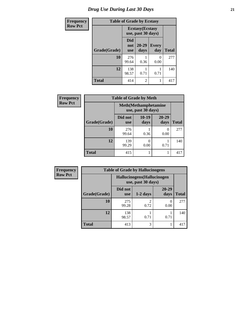# *Drug Use During Last 30 Days* **21**

| <b>Frequency</b> | <b>Table of Grade by Ecstasy</b> |                                               |                |                           |              |  |
|------------------|----------------------------------|-----------------------------------------------|----------------|---------------------------|--------------|--|
| <b>Row Pct</b>   |                                  | <b>Ecstasy</b> (Ecstasy<br>use, past 30 days) |                |                           |              |  |
|                  | Grade(Grade)                     | <b>Did</b><br>not<br><b>use</b>               | 20-29<br>days  | <b>Every</b><br>day       | <b>Total</b> |  |
|                  | 10                               | 276<br>99.64                                  | 0.36           | $\mathbf{\Omega}$<br>0.00 | 277          |  |
|                  | 12                               | 138<br>98.57                                  | 0.71           | 0.71                      | 140          |  |
|                  | Total                            | 414                                           | $\mathfrak{D}$ |                           | 417          |  |

| <b>Frequency</b> | <b>Table of Grade by Meth</b> |                                                    |                 |                   |              |  |  |
|------------------|-------------------------------|----------------------------------------------------|-----------------|-------------------|--------------|--|--|
| <b>Row Pct</b>   |                               | <b>Meth</b> (Methamphetamine<br>use, past 30 days) |                 |                   |              |  |  |
|                  | Grade(Grade)                  | Did not<br><b>use</b>                              | $10-19$<br>days | $20 - 29$<br>days | <b>Total</b> |  |  |
|                  | 10                            | 276<br>99.64                                       | 0.36            | 0<br>0.00         | 277          |  |  |
|                  | 12                            | 139<br>99.29                                       | 0<br>0.00       | 0.71              | 140          |  |  |
|                  | <b>Total</b>                  | 415                                                | 1               |                   | 417          |  |  |

| <b>Frequency</b> | <b>Table of Grade by Hallucinogens</b> |                                                   |            |               |              |  |  |
|------------------|----------------------------------------|---------------------------------------------------|------------|---------------|--------------|--|--|
| <b>Row Pct</b>   |                                        | Hallucinogens (Hallucinogen<br>use, past 30 days) |            |               |              |  |  |
|                  | Grade(Grade)                           | Did not<br><b>use</b>                             | $1-2$ days | 20-29<br>days | <b>Total</b> |  |  |
|                  | 10                                     | 275<br>99.28                                      | 0.72       | 0.00          | 277          |  |  |
|                  | 12                                     | 138<br>98.57                                      | 0.71       | 0.71          | 140          |  |  |
|                  | <b>Total</b>                           | 413                                               | 3          |               | 417          |  |  |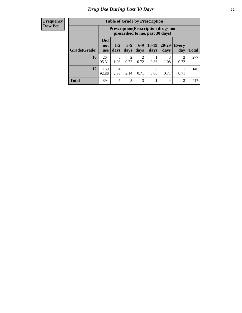| <b>Table of Grade by Prescription</b> |                          |                                                                                |                 |                 |                 |               |                        |              |  |
|---------------------------------------|--------------------------|--------------------------------------------------------------------------------|-----------------|-----------------|-----------------|---------------|------------------------|--------------|--|
|                                       |                          | <b>Prescription</b> (Prescription drugs not<br>prescribed to me, past 30 days) |                 |                 |                 |               |                        |              |  |
| Grade(Grade)                          | Did<br>not<br><b>use</b> | $1 - 2$<br>days                                                                | $3 - 5$<br>days | $6 - 9$<br>days | $10-19$<br>days | 20-29<br>days | <b>Every</b><br>day    | <b>Total</b> |  |
| 10                                    | 264<br>95.31             | 3<br>1.08                                                                      | 2<br>0.72       | 2<br>0.72       | 0.36            | 3<br>1.08     | $\mathfrak{D}$<br>0.72 | 277          |  |
| 12                                    | 130<br>92.86             | 4<br>2.86                                                                      | 3<br>2.14       | 0.71            | 0<br>0.00       | 0.71          | 0.71                   | 140          |  |
| <b>Total</b>                          | 394                      | 7                                                                              | 5               | 3               |                 | 4             | 3                      | 417          |  |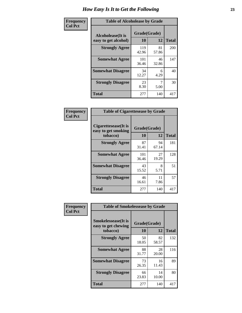| Frequency      | <b>Table of Alcoholease by Grade</b>      |                          |             |              |  |  |
|----------------|-------------------------------------------|--------------------------|-------------|--------------|--|--|
| <b>Col Pct</b> | Alcoholease(It is<br>easy to get alcohol) | Grade(Grade)<br>10<br>12 |             | <b>Total</b> |  |  |
|                | <b>Strongly Agree</b>                     | 119<br>42.96             | 81<br>57.86 | 200          |  |  |
|                | <b>Somewhat Agree</b>                     | 101<br>36.46             | 46<br>32.86 | 147          |  |  |
|                | <b>Somewhat Disagree</b>                  | 34<br>12.27              | 6<br>4.29   | 40           |  |  |
|                | <b>Strongly Disagree</b>                  | 23<br>8.30               | 5.00        | 30           |  |  |
|                | <b>Total</b>                              | 277                      | 140         | 417          |  |  |

| Frequency      | <b>Table of Cigarettesease by Grade</b>                  |                    |             |              |  |
|----------------|----------------------------------------------------------|--------------------|-------------|--------------|--|
| <b>Col Pct</b> | Cigarettesease (It is<br>easy to get smoking<br>tobacco) | Grade(Grade)<br>10 | 12          | <b>Total</b> |  |
|                | <b>Strongly Agree</b>                                    | 87<br>31.41        | 94<br>67.14 | 181          |  |
|                | <b>Somewhat Agree</b>                                    | 101<br>36.46       | 27<br>19.29 | 128          |  |
|                | <b>Somewhat Disagree</b>                                 | 43<br>15.52        | 8<br>5.71   | 51           |  |
|                | <b>Strongly Disagree</b>                                 | 46<br>16.61        | 11<br>7.86  | 57           |  |
|                | <b>Total</b>                                             | 277                | 140         | 417          |  |

| Frequency      | <b>Table of Smokelessease by Grade</b>             |              |             |              |
|----------------|----------------------------------------------------|--------------|-------------|--------------|
| <b>Col Pct</b> | <b>Smokelessease</b> (It is<br>easy to get chewing | Grade(Grade) |             |              |
|                | tobacco)                                           | 10           | 12          | <b>Total</b> |
|                | <b>Strongly Agree</b>                              | 50<br>18.05  | 82<br>58.57 | 132          |
|                | <b>Somewhat Agree</b>                              | 88<br>31.77  | 28<br>20.00 | 116          |
|                | <b>Somewhat Disagree</b>                           | 73<br>26.35  | 16<br>11.43 | 89           |
|                | <b>Strongly Disagree</b>                           | 66<br>23.83  | 14<br>10.00 | 80           |
|                | <b>Total</b>                                       | 277          | 140         | 417          |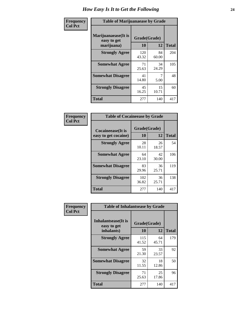| Frequency      | <b>Table of Marijuanaease by Grade</b>           |                    |             |              |  |  |
|----------------|--------------------------------------------------|--------------------|-------------|--------------|--|--|
| <b>Col Pct</b> | Marijuanaease(It is<br>easy to get<br>marijuana) | Grade(Grade)<br>10 | 12          | <b>Total</b> |  |  |
|                | <b>Strongly Agree</b>                            | 120<br>43.32       | 84<br>60.00 | 204          |  |  |
|                | <b>Somewhat Agree</b>                            | 71<br>25.63        | 34<br>24.29 | 105          |  |  |
|                | <b>Somewhat Disagree</b>                         | 41<br>14.80        | 5.00        | 48           |  |  |
|                | <b>Strongly Disagree</b>                         | 45<br>16.25        | 15<br>10.71 | 60           |  |  |
|                | <b>Total</b>                                     | 277                | 140         | 417          |  |  |

| <b>Table of Cocaineease by Grade</b>      |                    |             |              |  |  |  |  |
|-------------------------------------------|--------------------|-------------|--------------|--|--|--|--|
| Cocaineease(It is<br>easy to get cocaine) | Grade(Grade)<br>10 | 12          | <b>Total</b> |  |  |  |  |
| <b>Strongly Agree</b>                     | 28<br>10.11        | 26<br>18.57 | 54           |  |  |  |  |
| <b>Somewhat Agree</b>                     | 64<br>23.10        | 42<br>30.00 | 106          |  |  |  |  |
| <b>Somewhat Disagree</b>                  | 83<br>29.96        | 36<br>25.71 | 119          |  |  |  |  |
| <b>Strongly Disagree</b>                  | 102<br>36.82       | 36<br>25.71 | 138          |  |  |  |  |
| <b>Total</b>                              | 277                | 140         | 417          |  |  |  |  |

| Frequency      | <b>Table of Inhalantsease by Grade</b>                   |                    |             |              |  |
|----------------|----------------------------------------------------------|--------------------|-------------|--------------|--|
| <b>Col Pct</b> | <b>Inhalantsease</b> (It is<br>easy to get<br>inhalants) | Grade(Grade)<br>10 | 12          | <b>Total</b> |  |
|                | <b>Strongly Agree</b>                                    | 115<br>41.52       | 64<br>45.71 | 179          |  |
|                | <b>Somewhat Agree</b>                                    | 59<br>21.30        | 33<br>23.57 | 92           |  |
|                | <b>Somewhat Disagree</b>                                 | 32<br>11.55        | 18<br>12.86 | 50           |  |
|                | <b>Strongly Disagree</b>                                 | 71<br>25.63        | 25<br>17.86 | 96           |  |
|                | <b>Total</b>                                             | 277                | 140         | 417          |  |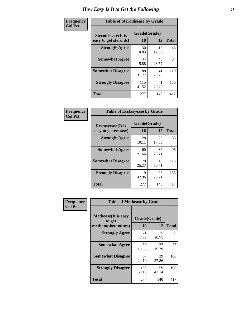| Frequency      | <b>Table of Steroidsease by Grade</b>               |              |                    |     |  |  |  |  |  |  |
|----------------|-----------------------------------------------------|--------------|--------------------|-----|--|--|--|--|--|--|
| <b>Col Pct</b> | <b>Steroidsease</b> (It is<br>easy to get steroids) | 10           | Grade(Grade)<br>12 |     |  |  |  |  |  |  |
|                | <b>Strongly Agree</b>                               | 30<br>10.83  | 18<br>12.86        | 48  |  |  |  |  |  |  |
|                | <b>Somewhat Agree</b>                               | 44<br>15.88  | 40<br>28.57        | 84  |  |  |  |  |  |  |
|                | <b>Somewhat Disagree</b>                            | 88<br>31.77  | 41<br>29.29        | 129 |  |  |  |  |  |  |
|                | <b>Strongly Disagree</b>                            | 115<br>41.52 | 41<br>29.29        | 156 |  |  |  |  |  |  |
|                | <b>Total</b>                                        | 277          | 140                | 417 |  |  |  |  |  |  |

| Frequency      |                                                   | <b>Table of Ecstasyease by Grade</b> |              |     |  |  |  |  |  |  |
|----------------|---------------------------------------------------|--------------------------------------|--------------|-----|--|--|--|--|--|--|
| <b>Col Pct</b> | <b>Ecstasyease</b> (It is<br>easy to get ecstasy) | Grade(Grade)<br>10                   | <b>Total</b> |     |  |  |  |  |  |  |
|                | <b>Strongly Agree</b>                             | 28<br>10.11                          | 25<br>17.86  | 53  |  |  |  |  |  |  |
|                | <b>Somewhat Agree</b>                             | 60<br>21.66                          | 36<br>25.71  | 96  |  |  |  |  |  |  |
|                | <b>Somewhat Disagree</b>                          | 70<br>25.27                          | 43<br>30.71  | 113 |  |  |  |  |  |  |
|                | <b>Strongly Disagree</b>                          | 119<br>42.96                         | 36<br>25.71  | 155 |  |  |  |  |  |  |
|                | Total                                             | 277                                  | 140          | 417 |  |  |  |  |  |  |

| Frequency      | <b>Table of Methease by Grade</b>                          |                    |             |              |  |  |  |  |  |  |
|----------------|------------------------------------------------------------|--------------------|-------------|--------------|--|--|--|--|--|--|
| <b>Col Pct</b> | <b>Methease</b> (It is easy<br>to get<br>methamphetamines) | Grade(Grade)<br>10 | 12          | <b>Total</b> |  |  |  |  |  |  |
|                | <b>Strongly Agree</b>                                      | 21<br>7.58         | 15<br>10.71 | 36           |  |  |  |  |  |  |
|                | <b>Somewhat Agree</b>                                      | 50<br>18.05        | 27<br>19.29 | 77           |  |  |  |  |  |  |
|                | <b>Somewhat Disagree</b>                                   | 67<br>24.19        | 39<br>27.86 | 106          |  |  |  |  |  |  |
|                | <b>Strongly Disagree</b>                                   | 139<br>50.18       | 59<br>42.14 | 198          |  |  |  |  |  |  |
|                | <b>Total</b>                                               | 277                | 140         | 417          |  |  |  |  |  |  |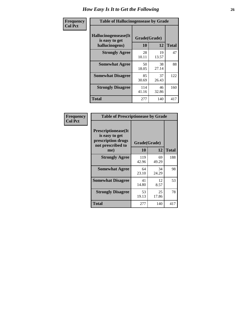| <b>Frequency</b> | <b>Table of Hallucinogensease by Grade</b>                |                    |             |              |  |  |  |  |  |  |
|------------------|-----------------------------------------------------------|--------------------|-------------|--------------|--|--|--|--|--|--|
| <b>Col Pct</b>   | Hallucinogensease(It)<br>is easy to get<br>hallucinogens) | Grade(Grade)<br>10 | 12          | <b>Total</b> |  |  |  |  |  |  |
|                  | <b>Strongly Agree</b>                                     | 28<br>10.11        | 19<br>13.57 | 47           |  |  |  |  |  |  |
|                  | <b>Somewhat Agree</b>                                     | 50<br>18.05        | 38<br>27.14 | 88           |  |  |  |  |  |  |
|                  | <b>Somewhat Disagree</b>                                  | 85<br>30.69        | 37<br>26.43 | 122          |  |  |  |  |  |  |
|                  | <b>Strongly Disagree</b>                                  | 114<br>41.16       | 46<br>32.86 | 160          |  |  |  |  |  |  |
|                  | <b>Total</b>                                              | 277                | 140         | 417          |  |  |  |  |  |  |

| <b>Frequency</b><br>Col Pct |
|-----------------------------|
|                             |

| <b>Table of Prescriptionease by Grade</b>                                                |              |              |              |  |  |  |  |  |  |
|------------------------------------------------------------------------------------------|--------------|--------------|--------------|--|--|--|--|--|--|
| <b>Prescriptionease</b> (It<br>is easy to get<br>prescription drugs<br>not prescribed to |              | Grade(Grade) |              |  |  |  |  |  |  |
| me)                                                                                      | 10           | 12           | <b>Total</b> |  |  |  |  |  |  |
| <b>Strongly Agree</b>                                                                    | 119<br>42.96 | 69<br>49.29  | 188          |  |  |  |  |  |  |
| <b>Somewhat Agree</b>                                                                    | 64<br>23.10  | 34<br>24.29  | 98           |  |  |  |  |  |  |
| <b>Somewhat Disagree</b>                                                                 | 41<br>14.80  | 12<br>8.57   | 53           |  |  |  |  |  |  |
| <b>Strongly Disagree</b>                                                                 | 53<br>19.13  | 25<br>17.86  | 78           |  |  |  |  |  |  |
| Total                                                                                    | 277          | 140          | 417          |  |  |  |  |  |  |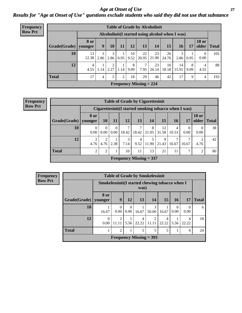#### *Age at Onset of Use* **27** *Results for "Age at Onset of Use" questions exclude students who said they did not use that substance*

| <b>Frequency</b> | <b>Table of Grade by Alcoholinit</b> |                        |                                                  |           |      |            |                           |                          |             |                 |           |                        |              |
|------------------|--------------------------------------|------------------------|--------------------------------------------------|-----------|------|------------|---------------------------|--------------------------|-------------|-----------------|-----------|------------------------|--------------|
| <b>Row Pct</b>   |                                      |                        | Alcoholinit (I started using alcohol when I was) |           |      |            |                           |                          |             |                 |           |                        |              |
|                  | Grade(Grade)                         | <b>8 or</b><br>younger | 9                                                | 10        | 11   | 12         | 13                        | 14                       | 15          | 16 <sup>1</sup> | 17        | <b>18 or</b><br>older  | <b>Total</b> |
|                  | 10                                   | 13<br>12.38            | 3<br>2.86                                        | 3<br>2.86 | 0.95 | 10<br>9.52 | 22                        | 23<br>$20.95 \mid 21.90$ | 26<br>24.76 | 3<br>2.86       | 0.95      | $\Omega$<br>0.00       | 105          |
|                  | 12                                   | 4<br>4.55              | 1.14                                             | 2<br>2.27 | 1.14 | 8<br>9.09  | 7<br>7.95                 | 23<br>26.14              | 16<br>18.18 | 14<br>15.91     | 8<br>9.09 | $\overline{4}$<br>4.55 | 88           |
|                  | <b>Total</b>                         | 17                     | $\overline{4}$                                   | 5         | 2    | 18         | 29                        | 46                       | 42          | 17              | 9         | 4                      | 193          |
|                  |                                      |                        |                                                  |           |      |            | Frequency Missing $= 224$ |                          |             |                 |           |                        |              |

| <b>Frequency</b> |  |
|------------------|--|
| <b>Row Pct</b>   |  |

|                        | <b>Table of Grade by Cigarettesinit</b>              |                            |                  |                                |            |            |             |            |                  |                       |              |  |
|------------------------|------------------------------------------------------|----------------------------|------------------|--------------------------------|------------|------------|-------------|------------|------------------|-----------------------|--------------|--|
|                        | Cigarettesinit(I started smoking tobacco when I was) |                            |                  |                                |            |            |             |            |                  |                       |              |  |
| Grade(Grade)   younger | 8 or                                                 | 10                         | 11               | 12                             | 13         | 14         | <b>15</b>   | <b>16</b>  | 17               | <b>18 or</b><br>older | <b>Total</b> |  |
| 10                     | $\Omega$<br>0.00                                     | $\Omega$<br>$0.00^{\circ}$ | $\theta$<br>0.00 | 7<br>18.42                     | 7<br>18.42 | 8<br>21.05 | 12<br>31.58 | 4<br>10.53 | $\Omega$<br>0.00 | 0.00                  | 38           |  |
| 12                     | $\overline{2}$<br>4.76                               | $\overline{2}$<br>4.76     | 2.38             | 3<br>7.14                      | 4<br>9.52  | 5<br>11.90 | 9<br>21.43  | 7<br>16.67 | 16.67            | ↑<br>4.76             | 42           |  |
| <b>Total</b>           | $\overline{2}$                                       | 2                          |                  | 10                             | 11         | 13         | 21          | 11         | 7                | $\overline{2}$        | 80           |  |
|                        |                                                      |                            |                  | <b>Frequency Missing = 337</b> |            |            |             |            |                  |                       |              |  |

| Frequency      |              |                  |                                                         |                    | <b>Table of Grade by Smokelessinit</b> |            |           |                  |           |              |  |  |
|----------------|--------------|------------------|---------------------------------------------------------|--------------------|----------------------------------------|------------|-----------|------------------|-----------|--------------|--|--|
| <b>Row Pct</b> |              |                  | Smokelessinit (I started chewing tobacco when I<br>was) |                    |                                        |            |           |                  |           |              |  |  |
|                | Grade(Grade) | 8 or<br>vounger  | 9                                                       | 12                 | 13                                     | <b>14</b>  | <b>15</b> | 16 <sup>1</sup>  | 17        | <b>Total</b> |  |  |
|                | 10           | 16.67            | 0<br>0.00                                               | $\Omega$<br>0.00   | 16.67                                  | 3<br>50.00 | 16.67     | $\Omega$<br>0.00 | 0<br>0.00 | 6            |  |  |
|                | 12           | $\Omega$<br>0.00 | $\overline{2}$<br>11.11                                 | $\vert 5.56 \vert$ | 4<br>22.22                             | 11.11      | 22.22     | 5.56             | 22.22     | 18           |  |  |
|                | <b>Total</b> |                  | 2                                                       |                    | 5                                      | 5          | 5         | 1                | 4         | 24           |  |  |
|                |              |                  |                                                         |                    | Frequency Missing $=$ 393              |            |           |                  |           |              |  |  |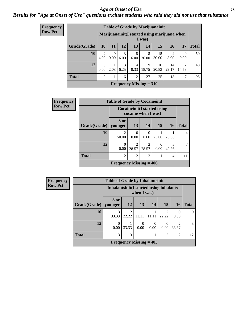#### *Age at Onset of Use* **28**

*Results for "Age at Onset of Use" questions exclude students who said they did not use that substance*

| <b>Frequency</b> | <b>Table of Grade by Marijuanainit</b> |                |                                                        |           |            |                           |             |             |                  |              |  |  |
|------------------|----------------------------------------|----------------|--------------------------------------------------------|-----------|------------|---------------------------|-------------|-------------|------------------|--------------|--|--|
| <b>Row Pct</b>   |                                        |                | Marijuanainit(I started using marijuana when<br>I was) |           |            |                           |             |             |                  |              |  |  |
|                  | Grade(Grade)                           | <b>10</b>      | 11                                                     | 12        | 13         | 14                        | 15          | <b>16</b>   | 17               | <b>Total</b> |  |  |
|                  | 10                                     | 2<br>4.00      | $\Omega$<br>0.00                                       | 3<br>6.00 | 8<br>16.00 | 18<br>36.00               | 15<br>30.00 | 4<br>8.00   | $\theta$<br>0.00 | 50           |  |  |
|                  | 12                                     | 0<br>0.00      | 1<br>2.08                                              | 3<br>6.25 | 4<br>8.33  | 9<br>18.75                | 10<br>20.83 | 14<br>29.17 | 14.58            | 48           |  |  |
|                  | <b>Total</b>                           | $\overline{c}$ | 1                                                      | 6         | 12         | 27                        | 25          | 18          | ⇁                | 98           |  |  |
|                  |                                        |                |                                                        |           |            | Frequency Missing $= 319$ |             |             |                  |              |  |  |

| <b>Frequency</b> | <b>Table of Grade by Cocaineinit</b> |                                                            |                                      |                         |                  |            |              |  |  |  |  |
|------------------|--------------------------------------|------------------------------------------------------------|--------------------------------------|-------------------------|------------------|------------|--------------|--|--|--|--|
| <b>Row Pct</b>   |                                      | <b>Cocaineinit</b> (I started using<br>cocaine when I was) |                                      |                         |                  |            |              |  |  |  |  |
|                  | Grade(Grade)                         | 8 or<br>vounger                                            | <b>13</b>                            | 14                      | 15               | <b>16</b>  | <b>Total</b> |  |  |  |  |
|                  | 10                                   | $\mathfrak{D}$<br>50.00                                    | 0<br>0.00                            | 0<br>0.00               | 25.00            | 25.00      | 4            |  |  |  |  |
|                  | 12                                   | 0<br>0.00                                                  | $\mathcal{D}_{\mathcal{L}}$<br>28.57 | $\overline{2}$<br>28.57 | $\left($<br>0.00 | 3<br>42.86 |              |  |  |  |  |
|                  | <b>Total</b>                         | $\overline{2}$                                             | $\overline{2}$                       | $\overline{2}$          |                  | 4          | 11           |  |  |  |  |
|                  |                                      | Frequency Missing $= 406$                                  |                                      |                         |                  |            |              |  |  |  |  |

| <b>Frequency</b> |              | <b>Table of Grade by Inhalantsinit</b>                  |                         |                           |           |                         |                  |              |  |
|------------------|--------------|---------------------------------------------------------|-------------------------|---------------------------|-----------|-------------------------|------------------|--------------|--|
| <b>Row Pct</b>   |              | Inhalantsinit (I started using inhalants<br>when I was) |                         |                           |           |                         |                  |              |  |
|                  | Grade(Grade) | 8 or<br>vounger                                         | <b>12</b>               | <b>13</b>                 | 14        | 15                      | <b>16</b>        | <b>Total</b> |  |
|                  | 10           | 3<br>33.33                                              | $\mathfrak{D}$<br>22.22 | 11.1                      |           | $\mathfrak{D}$<br>22.22 | $\left($<br>0.00 | 9            |  |
|                  | 12           | $\Omega$<br>0.00                                        | 33.33                   | 0<br>0.00                 | 0<br>0.00 | 0<br>0.00               | 2<br>66.67       | 3            |  |
|                  | <b>Total</b> | 3<br>3<br>$\overline{2}$<br>$\overline{2}$              |                         |                           |           |                         |                  |              |  |
|                  |              |                                                         |                         | Frequency Missing $= 405$ |           |                         |                  |              |  |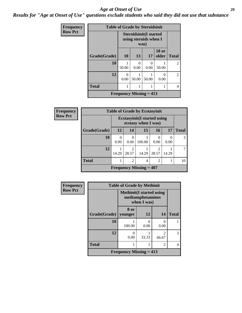#### *Age at Onset of Use* **29**

*Results for "Age at Onset of Use" questions exclude students who said they did not use that substance*

| Frequency      | <b>Table of Grade by Steroidsinit</b> |                  |           |                                                                |                       |                |  |  |
|----------------|---------------------------------------|------------------|-----------|----------------------------------------------------------------|-----------------------|----------------|--|--|
| <b>Row Pct</b> |                                       |                  |           | <b>Steroidsinit(I started</b><br>using steroids when I<br>was) |                       |                |  |  |
|                | Grade(Grade)                          | 10               | 13        | 17                                                             | <b>18 or</b><br>older | <b>Total</b>   |  |  |
|                | 10                                    | 50.00            | 0<br>0.00 | 0.00                                                           | 50.00                 | $\overline{c}$ |  |  |
|                | 12                                    | $\Omega$<br>0.00 | 50.00     | 50.00                                                          | 0.00                  | $\overline{2}$ |  |  |
|                | <b>Total</b>                          |                  |           |                                                                |                       | 4              |  |  |
|                | Frequency Missing $= 413$             |                  |           |                                                                |                       |                |  |  |

| Frequency      |              | <b>Table of Grade by Ecstasyinit</b>                       |                |                           |                |       |              |  |
|----------------|--------------|------------------------------------------------------------|----------------|---------------------------|----------------|-------|--------------|--|
| <b>Row Pct</b> |              | <b>Ecstasyinit</b> (I started using<br>ecstasy when I was) |                |                           |                |       |              |  |
|                | Grade(Grade) | 12                                                         | 14             | 15                        | 16             | 17    | <b>Total</b> |  |
|                | 10           | $\theta$<br>0.00                                           | 0.00           | 3<br>100.00               | 0<br>0.00      | 0.00  |              |  |
|                | 12           | 14.29                                                      | 2<br>28.57     | 14.29                     | 2<br>28.57     | 14.29 |              |  |
|                | <b>Total</b> |                                                            | $\overline{2}$ | 4                         | $\overline{2}$ |       | 10           |  |
|                |              |                                                            |                | Frequency Missing $=$ 407 |                |       |              |  |

| Frequency      | <b>Table of Grade by Methinit</b>           |                                  |                                 |                         |              |  |  |
|----------------|---------------------------------------------|----------------------------------|---------------------------------|-------------------------|--------------|--|--|
| <b>Row Pct</b> |                                             | <b>Methinit</b> (I started using | methamphetamines<br>when I was) |                         |              |  |  |
|                | Grade(Grade)                                | 8 or<br>vounger                  | 12                              | 14                      | <b>Total</b> |  |  |
|                | 10                                          | 100.00                           | 0<br>0.00                       | 0.00                    |              |  |  |
|                | 12                                          | 0.00                             | 33.33                           | $\mathfrak{D}$<br>66.67 | 3            |  |  |
|                | <b>Total</b>                                |                                  |                                 | $\mathfrak{D}$          | 4            |  |  |
|                | <b>Frequency Missing <math>= 413</math></b> |                                  |                                 |                         |              |  |  |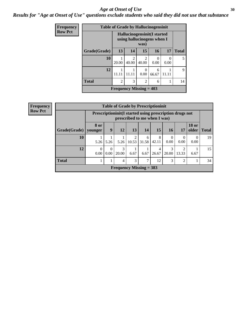#### Age at Onset of Use **30**

*Results for "Age at Onset of Use" questions exclude students who said they did not use that substance*

| <b>Frequency</b> | <b>Table of Grade by Hallucinogensinit</b> |                                                            |                         |                  |            |                  |              |
|------------------|--------------------------------------------|------------------------------------------------------------|-------------------------|------------------|------------|------------------|--------------|
| <b>Row Pct</b>   |                                            | Hallucinogensinit (I started<br>using hallucinogens when I |                         |                  |            |                  |              |
|                  | Grade(Grade)                               | 13                                                         | 14                      | 15               | 16         | 17               | <b>Total</b> |
|                  | 10                                         | 20.00                                                      | $\overline{c}$<br>40.00 | 2<br>40.00       | 0<br>0.00  | $\Omega$<br>0.00 |              |
|                  | 12                                         | 11.11                                                      | 11.11                   | $\Omega$<br>0.00 | 6<br>66.67 |                  | 9            |
|                  | <b>Total</b>                               | $\overline{c}$                                             | 3                       | $\mathfrak{D}$   | 6          |                  | 14           |
|                  |                                            | Frequency Missing $= 403$                                  |                         |                  |            |                  |              |

| Frequency      | <b>Table of Grade by Prescriptioninit</b> |                  |                                                                                          |                           |                         |            |            |                  |                |                       |              |
|----------------|-------------------------------------------|------------------|------------------------------------------------------------------------------------------|---------------------------|-------------------------|------------|------------|------------------|----------------|-----------------------|--------------|
| <b>Row Pct</b> |                                           |                  | Prescriptioninit (I started using prescription drugs not<br>prescribed to me when I was) |                           |                         |            |            |                  |                |                       |              |
|                | Grade(Grade)                              | 8 or<br>vounger  | 9                                                                                        | 12                        | 13                      | 14         | 15         | <b>16</b>        | 17             | <b>18 or</b><br>older | <b>Total</b> |
|                | 10                                        | 5.26             | 5.26                                                                                     | 5.26                      | $\mathfrak{D}$<br>10.53 | 6<br>31.58 | 8<br>42.11 | $\Omega$<br>0.00 | 0.00           | $\theta$<br>0.00      | 19           |
|                | 12                                        | $\theta$<br>0.00 | $\theta$<br>0.00                                                                         | 3<br>20.00                | 6.67                    | 6.67       | 4<br>26.67 | 3<br>20.00       | 13.33          | 6.67                  | 15           |
|                | <b>Total</b>                              |                  |                                                                                          | 4                         | 3                       | 7          | 12         | 3                | $\overline{c}$ |                       | 34           |
|                |                                           |                  |                                                                                          | Frequency Missing $=$ 383 |                         |            |            |                  |                |                       |              |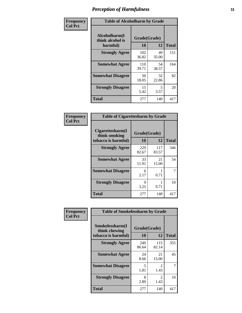| Frequency      | <b>Table of Alcoholharm by Grade</b>          |                    |             |              |  |  |
|----------------|-----------------------------------------------|--------------------|-------------|--------------|--|--|
| <b>Col Pct</b> | Alcoholharm(I<br>think alcohol is<br>harmful) | Grade(Grade)<br>10 | 12          | <b>Total</b> |  |  |
|                | <b>Strongly Agree</b>                         | 102<br>36.82       | 49<br>35.00 | 151          |  |  |
|                | <b>Somewhat Agree</b>                         | 110<br>39.71       | 54<br>38.57 | 164          |  |  |
|                | <b>Somewhat Disagree</b>                      | 50<br>18.05        | 32<br>22.86 | 82           |  |  |
|                | <b>Strongly Disagree</b>                      | 15<br>5.42         | 5<br>3.57   | 20           |  |  |
|                | <b>Total</b>                                  | 277                | 140         | 417          |  |  |

| <b>Table of Cigarettesharm by Grade</b>                  |                    |              |              |  |  |  |  |  |
|----------------------------------------------------------|--------------------|--------------|--------------|--|--|--|--|--|
| Cigarettesharm(I<br>think smoking<br>tobacco is harmful) | Grade(Grade)<br>10 | 12           | <b>Total</b> |  |  |  |  |  |
| <b>Strongly Agree</b>                                    | 229<br>82.67       | 117<br>83.57 | 346          |  |  |  |  |  |
| <b>Somewhat Agree</b>                                    | 33<br>11.91        | 21<br>15.00  | 54           |  |  |  |  |  |
| <b>Somewhat Disagree</b>                                 | 6<br>2.17          | 0.71         | 7            |  |  |  |  |  |
| <b>Strongly Disagree</b>                                 | 9<br>3.25          | 0.71         | 10           |  |  |  |  |  |
| <b>Total</b>                                             | 277                | 140          | 417          |  |  |  |  |  |

| Frequency      | <b>Table of Smokelessharm by Grade</b>                  |                    |              |              |  |  |  |
|----------------|---------------------------------------------------------|--------------------|--------------|--------------|--|--|--|
| <b>Col Pct</b> | Smokelessharm(I<br>think chewing<br>tobacco is harmful) | Grade(Grade)<br>10 | 12           | <b>Total</b> |  |  |  |
|                | <b>Strongly Agree</b>                                   | 240<br>86.64       | 115<br>82.14 | 355          |  |  |  |
|                | <b>Somewhat Agree</b>                                   | 24<br>8.66         | 21<br>15.00  | 45           |  |  |  |
|                | <b>Somewhat Disagree</b>                                | 5<br>1.81          | 2<br>1.43    |              |  |  |  |
|                | <b>Strongly Disagree</b>                                | 8<br>2.89          | 2<br>1.43    | 10           |  |  |  |
|                | <b>Total</b>                                            | 277                | 140          | 417          |  |  |  |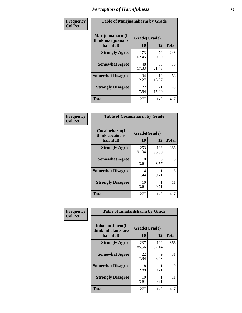| Frequency      | <b>Table of Marijuanaharm by Grade</b>            |                    |             |              |  |  |
|----------------|---------------------------------------------------|--------------------|-------------|--------------|--|--|
| <b>Col Pct</b> | Marijuanaharm(I<br>think marijuana is<br>harmful) | Grade(Grade)<br>10 | 12          | <b>Total</b> |  |  |
|                | <b>Strongly Agree</b>                             | 173<br>62.45       | 70<br>50.00 | 243          |  |  |
|                | <b>Somewhat Agree</b>                             | 48<br>17.33        | 30<br>21.43 | 78           |  |  |
|                | <b>Somewhat Disagree</b>                          | 34<br>12.27        | 19<br>13.57 | 53           |  |  |
|                | <b>Strongly Disagree</b>                          | 22<br>7.94         | 21<br>15.00 | 43           |  |  |
|                | <b>Total</b>                                      | 277                | 140         | 417          |  |  |

| <b>Table of Cocaineharm by Grade</b>          |                    |              |              |  |  |  |  |
|-----------------------------------------------|--------------------|--------------|--------------|--|--|--|--|
| Cocaineharm(I<br>think cocaine is<br>harmful) | Grade(Grade)<br>10 | 12           | <b>Total</b> |  |  |  |  |
| <b>Strongly Agree</b>                         | 253<br>91.34       | 133<br>95.00 | 386          |  |  |  |  |
| <b>Somewhat Agree</b>                         | 10<br>3.61         | 5<br>3.57    | 15           |  |  |  |  |
| <b>Somewhat Disagree</b>                      | 4<br>1.44          | 0.71         | 5            |  |  |  |  |
| <b>Strongly Disagree</b>                      | 10<br>3.61         | 0.71         | 11           |  |  |  |  |
| Total                                         | 277                | 140          | 417          |  |  |  |  |

| Frequency      | <b>Table of Inhalantsharm by Grade</b>              |                    |              |              |  |  |
|----------------|-----------------------------------------------------|--------------------|--------------|--------------|--|--|
| <b>Col Pct</b> | Inhalantsharm(I)<br>think inhalants are<br>harmful) | Grade(Grade)<br>10 | 12           | <b>Total</b> |  |  |
|                | <b>Strongly Agree</b>                               | 237<br>85.56       | 129<br>92.14 | 366          |  |  |
|                | <b>Somewhat Agree</b>                               | 22<br>7.94         | 9<br>6.43    | 31           |  |  |
|                | <b>Somewhat Disagree</b>                            | 8<br>2.89          | 0.71         | 9            |  |  |
|                | <b>Strongly Disagree</b>                            | 10<br>3.61         | 0.71         | 11           |  |  |
|                | <b>Total</b>                                        | 277                | 140          | 417          |  |  |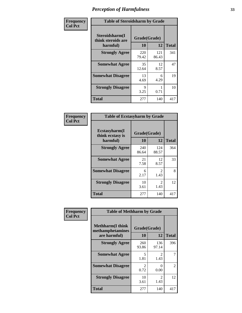| Frequency      | <b>Table of Steroidsharm by Grade</b>            |                    |              |              |
|----------------|--------------------------------------------------|--------------------|--------------|--------------|
| <b>Col Pct</b> | Steroidsharm(I<br>think steroids are<br>harmful) | Grade(Grade)<br>10 | 12           | <b>Total</b> |
|                | <b>Strongly Agree</b>                            | 220<br>79.42       | 121<br>86.43 | 341          |
|                | <b>Somewhat Agree</b>                            | 35<br>12.64        | 12<br>8.57   | 47           |
|                | <b>Somewhat Disagree</b>                         | 13<br>4.69         | 6<br>4.29    | 19           |
|                | <b>Strongly Disagree</b>                         | 9<br>3.25          | 0.71         | 10           |
|                | <b>Total</b>                                     | 277                | 140          | 417          |

| <b>Table of Ecstasyharm by Grade</b>          |                    |                        |     |  |  |
|-----------------------------------------------|--------------------|------------------------|-----|--|--|
| Ecstasyharm(I<br>think ecstasy is<br>harmful) | Grade(Grade)<br>10 | <b>Total</b>           |     |  |  |
| <b>Strongly Agree</b>                         | 240<br>86.64       | 124<br>88.57           | 364 |  |  |
| <b>Somewhat Agree</b>                         | 21<br>7.58         | 12<br>8.57             | 33  |  |  |
| <b>Somewhat Disagree</b>                      | 6<br>2.17          | 2<br>1.43              | 8   |  |  |
| <b>Strongly Disagree</b>                      | 10<br>3.61         | $\mathfrak{D}$<br>1.43 | 12  |  |  |
| <b>Total</b>                                  | 277                | 140                    | 417 |  |  |

| Frequency      | <b>Table of Methharm by Grade</b>                            |                    |                       |                |
|----------------|--------------------------------------------------------------|--------------------|-----------------------|----------------|
| <b>Col Pct</b> | <b>Methharm</b> (I think<br>methamphetamines<br>are harmful) | Grade(Grade)<br>10 | 12                    | <b>Total</b>   |
|                | <b>Strongly Agree</b>                                        | 260<br>93.86       | 136<br>97.14          | 396            |
|                | <b>Somewhat Agree</b>                                        | 5<br>1.81          | $\mathcal{L}$<br>1.43 | 7              |
|                | <b>Somewhat Disagree</b>                                     | 2<br>0.72          | 0<br>0.00             | $\overline{2}$ |
|                | <b>Strongly Disagree</b>                                     | 10<br>3.61         | 2<br>1.43             | 12             |
|                | <b>Total</b>                                                 | 277                | 140                   | 417            |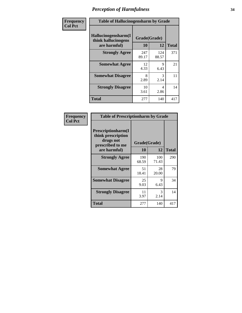| Frequency      | <b>Table of Hallucinogensharm by Grade</b>                 |                    |              |              |
|----------------|------------------------------------------------------------|--------------------|--------------|--------------|
| <b>Col Pct</b> | Hallucinogensharm(I<br>think hallucinogens<br>are harmful) | Grade(Grade)<br>10 | 12           | <b>Total</b> |
|                | <b>Strongly Agree</b>                                      | 247<br>89.17       | 124<br>88.57 | 371          |
|                | <b>Somewhat Agree</b>                                      | 12<br>4.33         | 9<br>6.43    | 21           |
|                | <b>Somewhat Disagree</b>                                   | 8<br>2.89          | 3<br>2.14    | 11           |
|                | <b>Strongly Disagree</b>                                   | 10<br>3.61         | 4<br>2.86    | 14           |
|                | <b>Total</b>                                               | 277                | 140          | 417          |

| <b>Table of Prescriptionharm by Grade</b>                                         |              |              |              |  |
|-----------------------------------------------------------------------------------|--------------|--------------|--------------|--|
| <b>Prescriptionharm</b> (I<br>think prescription<br>drugs not<br>prescribed to me | Grade(Grade) |              |              |  |
| are harmful)                                                                      | 10           | 12           | <b>Total</b> |  |
| <b>Strongly Agree</b>                                                             | 190<br>68.59 | 100<br>71.43 | 290          |  |
| <b>Somewhat Agree</b>                                                             | 51<br>18.41  | 28<br>20.00  | 79           |  |
| <b>Somewhat Disagree</b>                                                          | 25<br>9.03   | 9<br>6.43    | 34           |  |
| <b>Strongly Disagree</b>                                                          | 11<br>3.97   | 3<br>2.14    | 14           |  |
| <b>Total</b>                                                                      | 277          | 140          | 417          |  |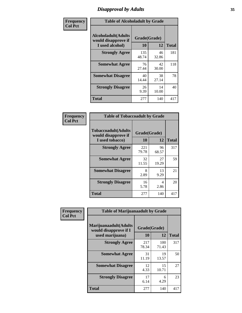# *Disapproval by Adults* **35**

| Frequency      | <b>Table of Alcoholadult by Grade</b>                         |                    |             |              |
|----------------|---------------------------------------------------------------|--------------------|-------------|--------------|
| <b>Col Pct</b> | Alcoholadult(Adults<br>would disapprove if<br>I used alcohol) | Grade(Grade)<br>10 | 12          | <b>Total</b> |
|                | <b>Strongly Agree</b>                                         | 135<br>48.74       | 46<br>32.86 | 181          |
|                | <b>Somewhat Agree</b>                                         | 76<br>27.44        | 42<br>30.00 | 118          |
|                | <b>Somewhat Disagree</b>                                      | 40<br>14.44        | 38<br>27.14 | 78           |
|                | <b>Strongly Disagree</b>                                      | 26<br>9.39         | 14<br>10.00 | 40           |
|                | <b>Total</b>                                                  | 277                | 140         | 417          |

| <b>Table of Tobaccoadult by Grade</b>                                 |                    |              |     |  |  |
|-----------------------------------------------------------------------|--------------------|--------------|-----|--|--|
| <b>Tobaccoadult</b> (Adults<br>would disapprove if<br>I used tobacco) | Grade(Grade)<br>10 | <b>Total</b> |     |  |  |
| <b>Strongly Agree</b>                                                 | 221<br>79.78       | 96<br>68.57  | 317 |  |  |
| <b>Somewhat Agree</b>                                                 | 32<br>11.55        | 27<br>19.29  | 59  |  |  |
| <b>Somewhat Disagree</b>                                              | 8<br>2.89          | 13<br>9.29   | 21  |  |  |
| <b>Strongly Disagree</b>                                              | 16<br>5.78         | 4<br>2.86    | 20  |  |  |
| <b>Total</b>                                                          | 277                | 140          | 417 |  |  |

| Frequency<br><b>Col Pct</b> | <b>Table of Marijuanaadult by Grade</b>                           |                    |              |              |
|-----------------------------|-------------------------------------------------------------------|--------------------|--------------|--------------|
|                             | Marijuanaadult(Adults<br>would disapprove if I<br>used marijuana) | Grade(Grade)<br>10 | 12           | <b>Total</b> |
|                             | <b>Strongly Agree</b>                                             | 217<br>78.34       | 100<br>71.43 | 317          |
|                             | <b>Somewhat Agree</b>                                             | 31<br>11.19        | 19<br>13.57  | 50           |
|                             | <b>Somewhat Disagree</b>                                          | 12<br>4.33         | 15<br>10.71  | 27           |
|                             | <b>Strongly Disagree</b>                                          | 17<br>6.14         | 6<br>4.29    | 23           |
|                             | <b>Total</b>                                                      | 277                | 140          | 417          |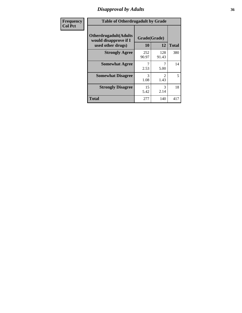### *Disapproval by Adults* **36**

| <b>Frequency</b> | <b>Table of Otherdrugadult by Grade</b>                                     |                    |              |              |
|------------------|-----------------------------------------------------------------------------|--------------------|--------------|--------------|
| <b>Col Pct</b>   | <b>Otherdrugadult</b> (Adults<br>would disapprove if I<br>used other drugs) | Grade(Grade)<br>10 | 12           | <b>Total</b> |
|                  | <b>Strongly Agree</b>                                                       | 252<br>90.97       | 128<br>91.43 | 380          |
|                  | <b>Somewhat Agree</b>                                                       | 2.53               | 5.00         | 14           |
|                  | <b>Somewhat Disagree</b>                                                    | 3<br>1.08          | 2<br>1.43    | 5            |
|                  | <b>Strongly Disagree</b>                                                    | 15<br>5.42         | 3<br>2.14    | 18           |
|                  | <b>Total</b>                                                                | 277                | 140          | 417          |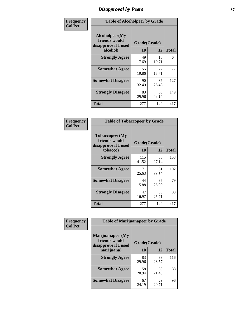# *Disapproval by Peers* **37**

| Frequency      | <b>Table of Alcoholpeer by Grade</b>                    |              |             |              |  |
|----------------|---------------------------------------------------------|--------------|-------------|--------------|--|
| <b>Col Pct</b> | Alcoholpeer(My<br>friends would<br>disapprove if I used | Grade(Grade) |             |              |  |
|                | alcohol)                                                | 10           | 12          | <b>Total</b> |  |
|                | <b>Strongly Agree</b>                                   | 49<br>17.69  | 15<br>10.71 | 64           |  |
|                | <b>Somewhat Agree</b>                                   | 55<br>19.86  | 22<br>15.71 | 77           |  |
|                | <b>Somewhat Disagree</b>                                | 90<br>32.49  | 37<br>26.43 | 127          |  |
|                | <b>Strongly Disagree</b>                                | 83<br>29.96  | 66<br>47.14 | 149          |  |
|                | Total                                                   | 277          | 140         | 417          |  |

| Frequency      | <b>Table of Tobaccopeer by Grade</b>                                |                    |             |              |
|----------------|---------------------------------------------------------------------|--------------------|-------------|--------------|
| <b>Col Pct</b> | Tobaccopeer(My<br>friends would<br>disapprove if I used<br>tobacco) | Grade(Grade)<br>10 | 12          | <b>Total</b> |
|                | <b>Strongly Agree</b>                                               | 115<br>41.52       | 38<br>27.14 | 153          |
|                | <b>Somewhat Agree</b>                                               | 71<br>25.63        | 31<br>22.14 | 102          |
|                | <b>Somewhat Disagree</b>                                            | 44<br>15.88        | 35<br>25.00 | 79           |
|                | <b>Strongly Disagree</b>                                            | 47<br>16.97        | 36<br>25.71 | 83           |
|                | Total                                                               | 277                | 140         | 417          |

| Frequency      | <b>Table of Marijuanapeer by Grade</b>                    |              |             |              |
|----------------|-----------------------------------------------------------|--------------|-------------|--------------|
| <b>Col Pct</b> | Marijuanapeer(My<br>friends would<br>disapprove if I used | Grade(Grade) |             |              |
|                | marijuana)                                                | 10           | 12          | <b>Total</b> |
|                | <b>Strongly Agree</b>                                     | 83<br>29.96  | 33<br>23.57 | 116          |
|                | <b>Somewhat Agree</b>                                     | 58<br>20.94  | 30<br>21.43 | 88           |
|                | <b>Somewhat Disagree</b>                                  | 67<br>24.19  | 29<br>20.71 | 96           |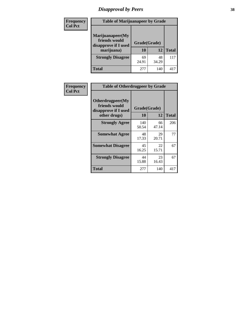# *Disapproval by Peers* **38**

| Frequency<br><b>Col Pct</b> | <b>Table of Marijuanapeer by Grade</b>                                  |                    |             |              |
|-----------------------------|-------------------------------------------------------------------------|--------------------|-------------|--------------|
|                             | Marijuanapeer(My<br>friends would<br>disapprove if I used<br>marijuana) | Grade(Grade)<br>10 | 12          | <b>Total</b> |
|                             | <b>Strongly Disagree</b>                                                | 69<br>24.91        | 48<br>34.29 | 117          |
|                             | Total                                                                   | 277                | 140         | 417          |

| Frequency      | <b>Table of Otherdrugpeer by Grade</b>                                    |                           |             |              |
|----------------|---------------------------------------------------------------------------|---------------------------|-------------|--------------|
| <b>Col Pct</b> | Otherdrugpeer(My<br>friends would<br>disapprove if I used<br>other drugs) | Grade(Grade)<br><b>10</b> | 12          | <b>Total</b> |
|                | <b>Strongly Agree</b>                                                     | 140<br>50.54              | 66<br>47.14 | 206          |
|                | <b>Somewhat Agree</b>                                                     | 48<br>17.33               | 29<br>20.71 | 77           |
|                | <b>Somewhat Disagree</b>                                                  | 45<br>16.25               | 22<br>15.71 | 67           |
|                | <b>Strongly Disagree</b>                                                  | 44<br>15.88               | 23<br>16.43 | 67           |
|                | Total                                                                     | 277                       | 140         | 417          |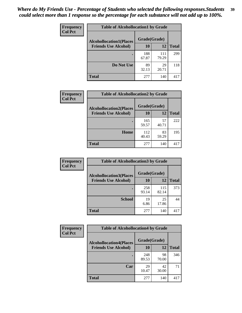| Frequency<br><b>Col Pct</b> | <b>Table of Alcohollocation1 by Grade</b> |                                                |              |              |  |
|-----------------------------|-------------------------------------------|------------------------------------------------|--------------|--------------|--|
|                             |                                           | Grade(Grade)<br><b>Alcohollocation1(Places</b> |              |              |  |
|                             | <b>Friends Use Alcohol)</b>               | 10                                             | 12           | <b>Total</b> |  |
|                             |                                           | 188<br>67.87                                   | 111<br>79.29 | 299          |  |
|                             | Do Not Use                                | 89<br>32.13                                    | 29<br>20.71  | 118          |  |
|                             | <b>Total</b>                              | 277                                            | 140          | 417          |  |

| Frequency      | <b>Table of Alcohollocation2 by Grade</b>                     |                    |             |              |
|----------------|---------------------------------------------------------------|--------------------|-------------|--------------|
| <b>Col Pct</b> | <b>Alcohollocation2(Places</b><br><b>Friends Use Alcohol)</b> | Grade(Grade)<br>10 | 12          | <b>Total</b> |
|                |                                                               |                    |             |              |
|                |                                                               | 165<br>59.57       | 57<br>40.71 | 222          |
|                | Home                                                          | 112<br>40.43       | 83<br>59.29 | 195          |
|                | <b>Total</b>                                                  | 277                | 140         | 417          |

| Frequency<br><b>Col Pct</b> | <b>Table of Alcohollocation 3 by Grade</b>                    |                    |              |              |
|-----------------------------|---------------------------------------------------------------|--------------------|--------------|--------------|
|                             | <b>Alcohollocation3(Places</b><br><b>Friends Use Alcohol)</b> | Grade(Grade)<br>10 | 12           | <b>Total</b> |
|                             |                                                               |                    |              |              |
|                             |                                                               | 258<br>93.14       | 115<br>82.14 | 373          |
|                             | <b>School</b>                                                 | 19<br>6.86         | 25<br>17.86  | 44           |
|                             | <b>Total</b>                                                  | 277                | 140          | 417          |

| <b>Frequency</b> | <b>Table of Alcohollocation4 by Grade</b> |              |             |              |  |
|------------------|-------------------------------------------|--------------|-------------|--------------|--|
| <b>Col Pct</b>   | <b>Alcohollocation4(Places</b>            | Grade(Grade) |             |              |  |
|                  | <b>Friends Use Alcohol)</b>               | 10           | 12          | <b>Total</b> |  |
|                  |                                           | 248<br>89.53 | 98<br>70.00 | 346          |  |
|                  | Car                                       | 29<br>10.47  | 42<br>30.00 | 71           |  |
|                  | <b>Total</b>                              | 277          | 140         | 417          |  |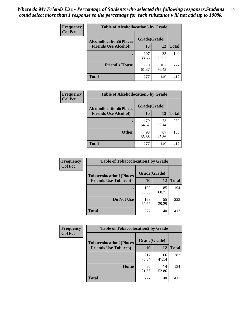| Frequency<br><b>Col Pct</b> | <b>Table of Alcohollocation5 by Grade</b> |              |              |              |  |
|-----------------------------|-------------------------------------------|--------------|--------------|--------------|--|
|                             | <b>Alcohollocation5(Places</b>            | Grade(Grade) |              |              |  |
|                             | <b>Friends Use Alcohol)</b>               | 10           | 12           | <b>Total</b> |  |
|                             |                                           | 107<br>38.63 | 33<br>23.57  | 140          |  |
|                             | <b>Friend's House</b>                     | 170<br>61.37 | 107<br>76.43 | 277          |  |
|                             | <b>Total</b>                              | 277          | 140          | 417          |  |

| Frequency      | <b>Table of Alcohollocation6 by Grade</b>                     |                    |             |              |
|----------------|---------------------------------------------------------------|--------------------|-------------|--------------|
| <b>Col Pct</b> | <b>Alcohollocation6(Places</b><br><b>Friends Use Alcohol)</b> | Grade(Grade)<br>10 | 12          | <b>Total</b> |
|                |                                                               | 179<br>64.62       | 73<br>52.14 | 252          |
|                | <b>Other</b>                                                  | 98<br>35.38        | 67<br>47.86 | 165          |
|                | Total                                                         | 277                | 140         | 417          |

| <b>Frequency</b> | <b>Table of Tobaccolocation1 by Grade</b> |              |             |              |
|------------------|-------------------------------------------|--------------|-------------|--------------|
| <b>Col Pct</b>   | <b>Tobaccolocation1(Places</b>            | Grade(Grade) |             |              |
|                  | <b>Friends Use Tobacco)</b>               | 10           | 12          | <b>Total</b> |
|                  |                                           | 109<br>39.35 | 85<br>60.71 | 194          |
|                  | <b>Do Not Use</b>                         | 168<br>60.65 | 55<br>39.29 | 223          |
|                  | <b>Total</b>                              | 277          | 140         | 417          |

| <b>Frequency</b> | <b>Table of Tobaccolocation2 by Grade</b> |              |             |              |  |
|------------------|-------------------------------------------|--------------|-------------|--------------|--|
| <b>Col Pct</b>   | <b>Tobaccolocation2(Places</b>            | Grade(Grade) |             |              |  |
|                  | <b>Friends Use Tobacco)</b>               | 10           | 12          | <b>Total</b> |  |
|                  |                                           | 217<br>78.34 | 66<br>47.14 | 283          |  |
|                  | Home                                      | 60<br>21.66  | 74<br>52.86 | 134          |  |
|                  | <b>Total</b>                              | 277          | 140         | 417          |  |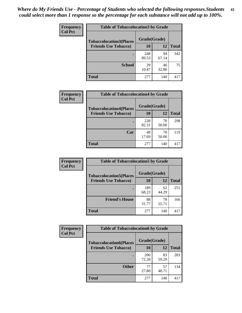| Frequency      | <b>Table of Tobaccolocation 3 by Grade</b> |              |             |              |
|----------------|--------------------------------------------|--------------|-------------|--------------|
| <b>Col Pct</b> | <b>Tobaccolocation3(Places</b>             | Grade(Grade) |             |              |
|                | <b>Friends Use Tobacco)</b>                | 10           | 12          | <b>Total</b> |
|                |                                            | 248<br>89.53 | 94<br>67.14 | 342          |
|                | <b>School</b>                              | 29<br>10.47  | 46<br>32.86 | 75           |
|                | <b>Total</b>                               | 277          | 140         | 417          |

| Frequency      | <b>Table of Tobaccolocation4 by Grade</b> |                    |             |              |
|----------------|-------------------------------------------|--------------------|-------------|--------------|
| <b>Col Pct</b> | <b>Tobaccolocation4(Places</b>            | Grade(Grade)<br>10 |             |              |
|                | <b>Friends Use Tobacco)</b>               |                    | 12          | <b>Total</b> |
|                |                                           | 228<br>82.31       | 70<br>50.00 | 298          |
|                | Car                                       | 49<br>17.69        | 70<br>50.00 | 119          |
|                | <b>Total</b>                              | 277                | 140         | 417          |

| Frequency      | <b>Table of Tobaccolocation5 by Grade</b> |              |             |              |
|----------------|-------------------------------------------|--------------|-------------|--------------|
| <b>Col Pct</b> | <b>Tobaccolocation5(Places</b>            | Grade(Grade) |             |              |
|                | <b>Friends Use Tobacco)</b>               | 10           | <b>12</b>   | <b>Total</b> |
|                |                                           | 189<br>68.23 | 62<br>44.29 | 251          |
|                | <b>Friend's House</b>                     | 88<br>31.77  | 78<br>55.71 | 166          |
|                | <b>Total</b>                              | 277          | 140         | 417          |

| <b>Frequency</b> | <b>Table of Tobaccolocation6 by Grade</b> |              |             |              |  |
|------------------|-------------------------------------------|--------------|-------------|--------------|--|
| <b>Col Pct</b>   | <b>Tobaccolocation6(Places</b>            | Grade(Grade) |             |              |  |
|                  | <b>Friends Use Tobacco)</b>               | 10           | 12          | <b>Total</b> |  |
|                  |                                           | 200<br>72.20 | 83<br>59.29 | 283          |  |
|                  | <b>Other</b>                              | 77<br>27.80  | 57<br>40.71 | 134          |  |
|                  | <b>Total</b>                              | 277          | 140         | 417          |  |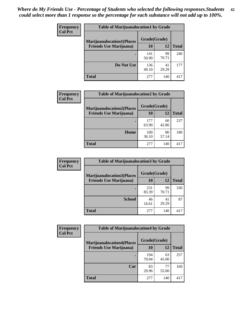| <b>Frequency</b> | <b>Table of Marijuanalocation1 by Grade</b> |              |             |              |
|------------------|---------------------------------------------|--------------|-------------|--------------|
| <b>Col Pct</b>   | <b>Marijuanalocation1(Places</b>            | Grade(Grade) |             |              |
|                  | <b>Friends Use Marijuana</b> )              | 10           | 12          | <b>Total</b> |
|                  |                                             | 141<br>50.90 | 99<br>70.71 | 240          |
|                  | Do Not Use                                  | 136<br>49.10 | 41<br>29.29 | 177          |
|                  | <b>Total</b>                                | 277          | 140         | 417          |

| <b>Frequency</b> | <b>Table of Marijuanalocation2 by Grade</b>                        |                    |       |              |
|------------------|--------------------------------------------------------------------|--------------------|-------|--------------|
| <b>Col Pct</b>   | <b>Marijuanalocation2(Places</b><br><b>Friends Use Marijuana</b> ) | Grade(Grade)<br>10 | 12    |              |
|                  |                                                                    |                    |       | <b>Total</b> |
|                  |                                                                    | 177                | 60    | 237          |
|                  |                                                                    | 63.90              | 42.86 |              |
|                  | Home                                                               | 100                | 80    | 180          |
|                  |                                                                    | 36.10              | 57.14 |              |
|                  | <b>Total</b>                                                       | 277                | 140   | 417          |

| Frequency<br><b>Col Pct</b> | <b>Table of Marijuanalocation3 by Grade</b> |              |             |              |
|-----------------------------|---------------------------------------------|--------------|-------------|--------------|
|                             | <b>Marijuanalocation3(Places</b>            | Grade(Grade) |             |              |
|                             | <b>Friends Use Marijuana</b> )              | 10           | 12          | <b>Total</b> |
|                             |                                             | 231<br>83.39 | 99<br>70.71 | 330          |
|                             | <b>School</b>                               | 46<br>16.61  | 41<br>29.29 | 87           |
|                             | <b>Total</b>                                | 277          | 140         | 417          |

| <b>Frequency</b> | <b>Table of Marijuanalocation4 by Grade</b> |              |             |              |
|------------------|---------------------------------------------|--------------|-------------|--------------|
| <b>Col Pct</b>   | <b>Marijuanalocation4(Places</b>            | Grade(Grade) |             |              |
|                  | <b>Friends Use Marijuana</b> )              | <b>10</b>    | 12          | <b>Total</b> |
|                  |                                             | 194<br>70.04 | 63<br>45.00 | 257          |
|                  | Car                                         | 83<br>29.96  | 77<br>55.00 | 160          |
|                  | <b>Total</b>                                | 277          | 140         | 417          |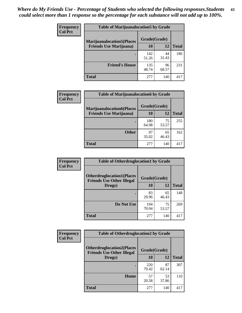| <b>Frequency</b> | <b>Table of Marijuanalocation5 by Grade</b> |              |             |              |
|------------------|---------------------------------------------|--------------|-------------|--------------|
| <b>Col Pct</b>   | <b>Marijuanalocation5</b> (Places           | Grade(Grade) |             |              |
|                  | <b>Friends Use Marijuana</b> )              | 10           | 12          | <b>Total</b> |
|                  |                                             | 142<br>51.26 | 44<br>31.43 | 186          |
|                  | <b>Friend's House</b>                       | 135<br>48.74 | 96<br>68.57 | 231          |
|                  | <b>Total</b>                                | 277          | 140         | 417          |

| <b>Frequency</b> | <b>Table of Marijuanalocation6 by Grade</b>                        |                    |             |              |
|------------------|--------------------------------------------------------------------|--------------------|-------------|--------------|
| <b>Col Pct</b>   | <b>Marijuanalocation6(Places</b><br><b>Friends Use Marijuana</b> ) | Grade(Grade)<br>10 | 12          | <b>Total</b> |
|                  |                                                                    | 180<br>64.98       | 75<br>53.57 | 255          |
|                  | <b>Other</b>                                                       | 97<br>35.02        | 65<br>46.43 | 162          |
|                  | <b>Total</b>                                                       | 277                | 140         | 417          |

| <b>Frequency</b> | <b>Table of Otherdruglocation1 by Grade</b>                          |              |             |              |
|------------------|----------------------------------------------------------------------|--------------|-------------|--------------|
| <b>Col Pct</b>   | <b>Otherdruglocation1(Places</b><br><b>Friends Use Other Illegal</b> | Grade(Grade) |             |              |
|                  | Drugs)                                                               | 10           | 12          | <b>Total</b> |
|                  |                                                                      | 83<br>29.96  | 65<br>46.43 | 148          |
|                  | Do Not Use                                                           | 194<br>70.04 | 75<br>53.57 | 269          |
|                  | <b>Total</b>                                                         | 277          | 140         | 417          |

| <b>Frequency</b> | <b>Table of Otherdruglocation2 by Grade</b>                           |              |             |              |
|------------------|-----------------------------------------------------------------------|--------------|-------------|--------------|
| <b>Col Pct</b>   | <b>Otherdruglocation2(Places)</b><br><b>Friends Use Other Illegal</b> | Grade(Grade) |             |              |
|                  | Drugs)                                                                | 10           | 12          | <b>Total</b> |
|                  |                                                                       | 220<br>79.42 | 87<br>62.14 | 307          |
|                  | Home                                                                  | 57<br>20.58  | 53<br>37.86 | 110          |
|                  | <b>Total</b>                                                          | 277          | 140         | 417          |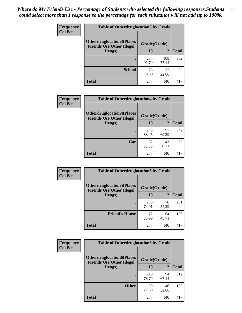| <b>Frequency</b> | <b>Table of Otherdruglocation 3 by Grade</b>                         |              |              |              |  |
|------------------|----------------------------------------------------------------------|--------------|--------------|--------------|--|
| <b>Col Pct</b>   | <b>Otherdruglocation3(Places</b><br><b>Friends Use Other Illegal</b> | Grade(Grade) |              |              |  |
|                  | Drugs)                                                               | <b>10</b>    | 12           | <b>Total</b> |  |
|                  |                                                                      | 254<br>91.70 | 108<br>77.14 | 362          |  |
|                  | <b>School</b>                                                        | 23<br>8.30   | 32<br>22.86  | 55           |  |
|                  | <b>Total</b>                                                         | 277          | 140          |              |  |

| <b>Frequency</b> | <b>Table of Otherdruglocation4 by Grade</b>                          |              |             |              |
|------------------|----------------------------------------------------------------------|--------------|-------------|--------------|
| <b>Col Pct</b>   | <b>Otherdruglocation4(Places</b><br><b>Friends Use Other Illegal</b> | Grade(Grade) |             |              |
|                  | Drugs)                                                               | 10           | 12          | <b>Total</b> |
|                  |                                                                      | 245<br>88.45 | 97<br>69.29 | 342          |
|                  | Car                                                                  | 32<br>11.55  | 43<br>30.71 | 75           |
|                  | <b>Total</b>                                                         | 277          | 140         | 417          |

| Frequency      | <b>Table of Otherdruglocation5 by Grade</b>                          |              |             |              |
|----------------|----------------------------------------------------------------------|--------------|-------------|--------------|
| <b>Col Pct</b> | <b>Otherdruglocation5(Places</b><br><b>Friends Use Other Illegal</b> | Grade(Grade) |             |              |
|                | Drugs)                                                               | 10           | 12          | <b>Total</b> |
|                |                                                                      | 205<br>74.01 | 76<br>54.29 | 281          |
|                | <b>Friend's House</b>                                                | 72<br>25.99  | 64<br>45.71 | 136          |
|                | <b>Total</b>                                                         | 277          | 140         | 417          |

| <b>Frequency</b> | <b>Table of Otherdruglocation6 by Grade</b>                          |              |             |              |
|------------------|----------------------------------------------------------------------|--------------|-------------|--------------|
| <b>Col Pct</b>   | <b>Otherdruglocation6(Places</b><br><b>Friends Use Other Illegal</b> | Grade(Grade) |             |              |
|                  | Drugs)                                                               | 10           | 12          | <b>Total</b> |
|                  |                                                                      | 218<br>78.70 | 94<br>67.14 | 312          |
|                  | <b>Other</b>                                                         | 59<br>21.30  | 46<br>32.86 | 105          |
|                  | <b>Total</b>                                                         | 277          | 140         | 417          |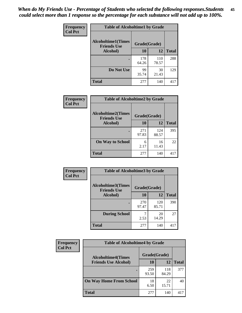| Frequency      | <b>Table of Alcoholtime1 by Grade</b>           |              |              |              |
|----------------|-------------------------------------------------|--------------|--------------|--------------|
| <b>Col Pct</b> | <b>Alcoholtime1(Times</b><br><b>Friends Use</b> | Grade(Grade) |              |              |
|                | Alcohol)                                        | 10           | 12           | <b>Total</b> |
|                |                                                 | 178<br>64.26 | 110<br>78.57 | 288          |
|                | Do Not Use                                      | 99<br>35.74  | 30<br>21.43  | 129          |
|                | <b>Total</b>                                    | 277          | 140          | 417          |

| Frequency      | <b>Table of Alcoholtime2 by Grade</b>           |              |              |              |
|----------------|-------------------------------------------------|--------------|--------------|--------------|
| <b>Col Pct</b> | <b>Alcoholtime2(Times</b><br><b>Friends Use</b> | Grade(Grade) |              |              |
|                | Alcohol)                                        | 10           | 12           | <b>Total</b> |
|                |                                                 | 271<br>97.83 | 124<br>88.57 | 395          |
|                | <b>On Way to School</b>                         | 6<br>2.17    | 16<br>11.43  | 22           |
|                | <b>Total</b>                                    | 277          | 140          | 417          |

| Frequency<br><b>Col Pct</b> | <b>Table of Alcoholtime3 by Grade</b>           |              |              |              |
|-----------------------------|-------------------------------------------------|--------------|--------------|--------------|
|                             | <b>Alcoholtime3(Times</b><br><b>Friends Use</b> | Grade(Grade) |              |              |
|                             | Alcohol)                                        | 10           | 12           | <b>Total</b> |
|                             |                                                 | 270<br>97.47 | 120<br>85.71 | 390          |
|                             | <b>During School</b>                            | 2.53         | 20<br>14.29  | 27           |
|                             | Total                                           | 277          | 140          | 417          |

| <b>Frequency</b><br><b>Col Pct</b> | <b>Table of Alcoholtime4 by Grade</b> |              |              |              |
|------------------------------------|---------------------------------------|--------------|--------------|--------------|
|                                    | <b>Alcoholtime4(Times</b>             | Grade(Grade) |              |              |
|                                    | <b>Friends Use Alcohol)</b>           | 10           | 12           | <b>Total</b> |
|                                    |                                       | 259<br>93.50 | 118<br>84.29 | 377          |
|                                    | <b>On Way Home From School</b>        | 18<br>6.50   | 22<br>15.71  | 40           |
|                                    | <b>Total</b>                          | 277          | 140          | 417          |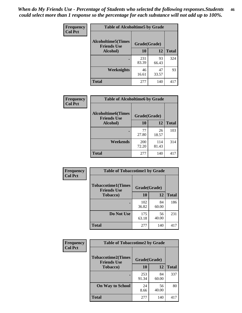*When do My Friends Use - Percentage of Students who selected the following responses.Students could select more than 1 response so the percentage for each substance will not add up to 100%.* **46**

| Frequency      | <b>Table of Alcoholtime5 by Grade</b>           |              |             |              |
|----------------|-------------------------------------------------|--------------|-------------|--------------|
| <b>Col Pct</b> | <b>Alcoholtime5(Times</b><br><b>Friends Use</b> | Grade(Grade) |             |              |
|                | Alcohol)                                        | 10           | 12          | <b>Total</b> |
|                |                                                 | 231<br>83.39 | 93<br>66.43 | 324          |
|                | Weeknights                                      | 46<br>16.61  | 47<br>33.57 | 93           |
|                | <b>Total</b>                                    | 277          | 140         | 417          |

| Frequency      | <b>Table of Alcoholtime6 by Grade</b>           |              |              |              |
|----------------|-------------------------------------------------|--------------|--------------|--------------|
| <b>Col Pct</b> | <b>Alcoholtime6(Times</b><br><b>Friends Use</b> | Grade(Grade) |              |              |
|                | Alcohol)                                        | 10           | 12           | <b>Total</b> |
|                | ٠                                               | 77<br>27.80  | 26<br>18.57  | 103          |
|                | Weekends                                        | 200<br>72.20 | 114<br>81.43 | 314          |
|                | <b>Total</b>                                    | 277          | 140          | 417          |

| Frequency<br><b>Col Pct</b> | <b>Table of Tobaccotime1 by Grade</b>           |              |             |              |
|-----------------------------|-------------------------------------------------|--------------|-------------|--------------|
|                             | <b>Tobaccotime1(Times</b><br><b>Friends Use</b> | Grade(Grade) |             |              |
|                             | <b>Tobacco</b> )                                | 10           | 12          | <b>Total</b> |
|                             | ٠                                               | 102<br>36.82 | 84<br>60.00 | 186          |
|                             | Do Not Use                                      | 175<br>63.18 | 56<br>40.00 | 231          |
|                             | <b>Total</b>                                    | 277          | 140         | 417          |

| <b>Frequency</b> | <b>Table of Tobaccotime2 by Grade</b>           |              |             |              |
|------------------|-------------------------------------------------|--------------|-------------|--------------|
| <b>Col Pct</b>   | <b>Tobaccotime2(Times</b><br><b>Friends Use</b> | Grade(Grade) |             |              |
|                  | <b>Tobacco</b> )                                | 10           | 12          | <b>Total</b> |
|                  |                                                 | 253<br>91.34 | 84<br>60.00 | 337          |
|                  | <b>On Way to School</b>                         | 24<br>8.66   | 56<br>40.00 | 80           |
|                  | <b>Total</b>                                    | 277          | 140         | 417          |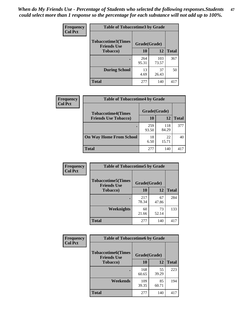*When do My Friends Use - Percentage of Students who selected the following responses.Students could select more than 1 response so the percentage for each substance will not add up to 100%.* **47**

| <b>Frequency</b> | <b>Table of Tobaccotime3 by Grade</b>           |              |              |              |  |
|------------------|-------------------------------------------------|--------------|--------------|--------------|--|
| <b>Col Pct</b>   | <b>Tobaccotime3(Times</b><br><b>Friends Use</b> |              | Grade(Grade) |              |  |
|                  | <b>Tobacco</b> )                                | 10           | 12           | <b>Total</b> |  |
|                  |                                                 | 264<br>95.31 | 103<br>73.57 | 367          |  |
|                  | <b>During School</b>                            | 13<br>4.69   | 37<br>26.43  | 50           |  |
|                  | <b>Total</b>                                    | 277          | 140          | 417          |  |

| <b>Frequency</b> | <b>Table of Tobaccotime4 by Grade</b> |              |              |              |
|------------------|---------------------------------------|--------------|--------------|--------------|
| <b>Col Pct</b>   | <b>Tobaccotime4(Times</b>             | Grade(Grade) |              |              |
|                  | <b>Friends Use Tobacco)</b>           | 10           | 12           | <b>Total</b> |
|                  |                                       | 259<br>93.50 | 118<br>84.29 | 377          |
|                  | <b>On Way Home From School</b>        | 18<br>6.50   | 22<br>15.71  | 40           |
|                  | <b>Total</b>                          | 277          | 140          | 417          |

| <b>Frequency</b> | <b>Table of Tobaccotime5 by Grade</b>            |              |             |              |  |
|------------------|--------------------------------------------------|--------------|-------------|--------------|--|
| <b>Col Pct</b>   | <b>Tobaccotime5</b> (Times<br><b>Friends Use</b> | Grade(Grade) |             |              |  |
|                  | Tobacco)                                         | 10           | 12          | <b>Total</b> |  |
|                  |                                                  | 217<br>78.34 | 67<br>47.86 | 284          |  |
|                  | <b>Weeknights</b>                                | 60<br>21.66  | 73<br>52.14 | 133          |  |
|                  | <b>Total</b>                                     | 277          | 140         | 417          |  |

| Frequency<br><b>Col Pct</b> | <b>Table of Tobaccotime6 by Grade</b>           |              |             |              |  |
|-----------------------------|-------------------------------------------------|--------------|-------------|--------------|--|
|                             | <b>Tobaccotime6(Times</b><br><b>Friends Use</b> | Grade(Grade) |             |              |  |
|                             | <b>Tobacco</b> )                                | 10           | 12          | <b>Total</b> |  |
|                             | ٠                                               | 168<br>60.65 | 55<br>39.29 | 223          |  |
|                             | Weekends                                        | 109<br>39.35 | 85<br>60.71 | 194          |  |
|                             | <b>Total</b>                                    | 277          | 140         | 417          |  |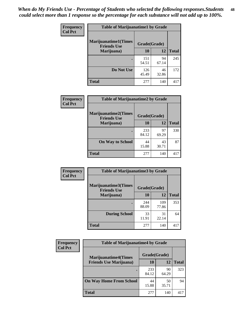| Frequency      | <b>Table of Marijuanatime1 by Grade</b>           |              |             |              |  |
|----------------|---------------------------------------------------|--------------|-------------|--------------|--|
| <b>Col Pct</b> | <b>Marijuanatime1(Times</b><br><b>Friends Use</b> | Grade(Grade) |             |              |  |
|                | Marijuana)                                        | 10           | 12          | <b>Total</b> |  |
|                |                                                   | 151<br>54.51 | 94<br>67.14 | 245          |  |
|                | Do Not Use                                        | 126<br>45.49 | 46<br>32.86 | 172          |  |
|                | <b>Total</b>                                      | 277          | 140         | 417          |  |

| <b>Frequency</b> | <b>Table of Marijuanatime2 by Grade</b>           |              |             |              |  |
|------------------|---------------------------------------------------|--------------|-------------|--------------|--|
| <b>Col Pct</b>   | <b>Marijuanatime2(Times</b><br><b>Friends Use</b> | Grade(Grade) |             |              |  |
|                  | Marijuana)                                        | 10           | 12          | <b>Total</b> |  |
|                  | ٠                                                 | 233<br>84.12 | 97<br>69.29 | 330          |  |
|                  | <b>On Way to School</b>                           | 44<br>15.88  | 43<br>30.71 | 87           |  |
|                  | <b>Total</b>                                      | 277          | 140         | 417          |  |

| Frequency      | <b>Table of Marijuanatime3 by Grade</b>    |              |              |              |
|----------------|--------------------------------------------|--------------|--------------|--------------|
| <b>Col Pct</b> | Marijuanatime3(Times<br><b>Friends Use</b> | Grade(Grade) |              |              |
|                | Marijuana)                                 | 10           | 12           | <b>Total</b> |
|                |                                            | 244<br>88.09 | 109<br>77.86 | 353          |
|                | <b>During School</b>                       | 33<br>11.91  | 31<br>22.14  | 64           |
|                | <b>Total</b>                               | 277          | 140          | 417          |

| <b>Frequency</b> | <b>Table of Marijuanatime4 by Grade</b> |              |             |       |
|------------------|-----------------------------------------|--------------|-------------|-------|
| <b>Col Pct</b>   | <b>Marijuanatime4(Times</b>             | Grade(Grade) |             |       |
|                  | <b>Friends Use Marijuana</b> )          | 10           | 12          | Total |
|                  |                                         | 233<br>84.12 | 90<br>64.29 | 323   |
|                  | <b>On Way Home From School</b>          | 44<br>15.88  | 50<br>35.71 | 94    |
|                  | <b>Total</b>                            | 277          | 140         | 417   |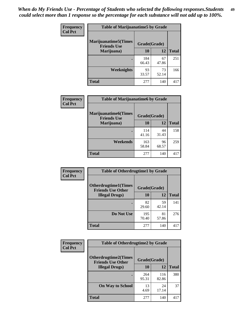| Frequency      | <b>Table of Marijuanatime5 by Grade</b>            |              |             |              |
|----------------|----------------------------------------------------|--------------|-------------|--------------|
| <b>Col Pct</b> | <b>Marijuanatime5</b> (Times<br><b>Friends Use</b> | Grade(Grade) |             |              |
|                | Marijuana)                                         | 10           | 12          | <b>Total</b> |
|                |                                                    | 184<br>66.43 | 67<br>47.86 | 251          |
|                | Weeknights                                         | 93<br>33.57  | 73<br>52.14 | 166          |
|                | <b>Total</b>                                       | 277          | 140         | 417          |

| Frequency      | <b>Table of Marijuanatime6 by Grade</b>            |              |             |              |
|----------------|----------------------------------------------------|--------------|-------------|--------------|
| <b>Col Pct</b> | <b>Marijuanatime6</b> (Times<br><b>Friends Use</b> | Grade(Grade) |             |              |
|                | Marijuana)                                         | 10           | 12          | <b>Total</b> |
|                |                                                    | 114<br>41.16 | 44<br>31.43 | 158          |
|                | Weekends                                           | 163<br>58.84 | 96<br>68.57 | 259          |
|                | <b>Total</b>                                       | 277          | 140         | 417          |

| <b>Frequency</b> | <b>Table of Otherdrugtime1 by Grade</b>                  |              |             |              |  |
|------------------|----------------------------------------------------------|--------------|-------------|--------------|--|
| <b>Col Pct</b>   | <b>Otherdrugtime1</b> (Times<br><b>Friends Use Other</b> | Grade(Grade) |             |              |  |
|                  | <b>Illegal Drugs</b> )                                   | 10           | 12          | <b>Total</b> |  |
|                  |                                                          | 82<br>29.60  | 59<br>42.14 | 141          |  |
|                  | Do Not Use                                               | 195<br>70.40 | 81<br>57.86 | 276          |  |
|                  | <b>Total</b>                                             | 277          | 140         | 417          |  |

| Frequency      | <b>Table of Otherdrugtime2 by Grade</b>                 |              |              |              |
|----------------|---------------------------------------------------------|--------------|--------------|--------------|
| <b>Col Pct</b> | <b>Otherdrugtime2(Times</b><br><b>Friends Use Other</b> | Grade(Grade) |              |              |
|                | <b>Illegal Drugs</b> )                                  | 10           | 12           | <b>Total</b> |
|                |                                                         | 264<br>95.31 | 116<br>82.86 | 380          |
|                | <b>On Way to School</b>                                 | 13<br>4.69   | 24<br>17.14  | 37           |
|                | Total                                                   | 277          | 140          | 417          |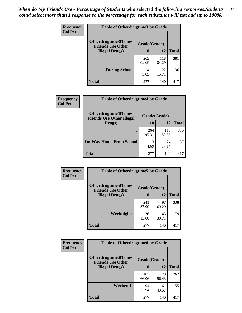| <b>Frequency</b><br><b>Col Pct</b> | <b>Table of Otherdrugtime3 by Grade</b>          |              |              |              |
|------------------------------------|--------------------------------------------------|--------------|--------------|--------------|
|                                    | Otherdrugtime3(Times<br><b>Friends Use Other</b> | Grade(Grade) |              |              |
|                                    | <b>Illegal Drugs</b> )                           | 10           | 12           | <b>Total</b> |
|                                    |                                                  | 263<br>94.95 | 118<br>84.29 | 381          |
|                                    | <b>During School</b>                             | 14<br>5.05   | 22<br>15.71  | 36           |
|                                    | <b>Total</b>                                     | 277          | 140          | 417          |

| <b>Frequency</b> | <b>Table of Otherdrugtime4 by Grade</b>                         |              |              |              |
|------------------|-----------------------------------------------------------------|--------------|--------------|--------------|
| <b>Col Pct</b>   | <b>Otherdrugtime4(Times</b><br><b>Friends Use Other Illegal</b> | Grade(Grade) |              |              |
|                  | Drugs)                                                          | 10           | 12           | <b>Total</b> |
|                  | $\bullet$                                                       | 264<br>95.31 | 116<br>82.86 | 380          |
|                  | <b>On Way Home From School</b>                                  | 13<br>4.69   | 24<br>17.14  | 37           |
|                  | <b>Total</b>                                                    | 277          | 140          | 417          |

| <b>Frequency</b> | <b>Table of Otherdrugtime5 by Grade</b>                                  |              |             |              |
|------------------|--------------------------------------------------------------------------|--------------|-------------|--------------|
| <b>Col Pct</b>   | <b>Otherdrugtime5</b> (Times<br>Grade(Grade)<br><b>Friends Use Other</b> |              |             |              |
|                  | <b>Illegal Drugs</b> )                                                   | 10           | 12          | <b>Total</b> |
|                  |                                                                          | 241<br>87.00 | 97<br>69.29 | 338          |
|                  | Weeknights                                                               | 36<br>13.00  | 43<br>30.71 | 79           |
|                  | Total                                                                    | 277          | 140         | 417          |

| <b>Frequency</b> | <b>Table of Otherdrugtime6 by Grade</b>                 |              |             |              |
|------------------|---------------------------------------------------------|--------------|-------------|--------------|
| <b>Col Pct</b>   | <b>Otherdrugtime6(Times</b><br><b>Friends Use Other</b> | Grade(Grade) |             |              |
|                  | <b>Illegal Drugs</b> )                                  | 10           | 12          | <b>Total</b> |
|                  |                                                         | 183<br>66.06 | 79<br>56.43 | 262          |
|                  | Weekends                                                | 94<br>33.94  | 61<br>43.57 | 155          |
|                  | <b>Total</b>                                            | 277          | 140         | 417          |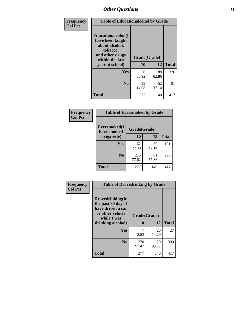| Frequency<br><b>Col Pct</b> | <b>Table of Educationalcohol by Grade</b>                                                                  |              |             |              |
|-----------------------------|------------------------------------------------------------------------------------------------------------|--------------|-------------|--------------|
|                             | Educationalcohol(I<br>have been taught<br>about alcohol,<br>tobacco,<br>and other drugs<br>within the last | Grade(Grade) |             |              |
|                             | year at school)                                                                                            | 10           | 12          | <b>Total</b> |
|                             | Yes                                                                                                        | 238<br>85.92 | 88<br>62.86 | 326          |
|                             | N <sub>0</sub>                                                                                             | 39<br>14.08  | 52<br>37.14 | 91           |
|                             | <b>Total</b>                                                                                               | 277          | 140         | 417          |

| Frequency      | <b>Table of Eversmoked by Grade</b> |              |             |              |
|----------------|-------------------------------------|--------------|-------------|--------------|
| <b>Col Pct</b> | Eversmoked(I<br>have smoked         | Grade(Grade) |             |              |
|                | a cigarette)                        | 10           | 12          | <b>Total</b> |
|                | <b>Yes</b>                          | 62<br>22.38  | 59<br>42.14 | 121          |
|                | N <sub>0</sub>                      | 215<br>77.62 | 81<br>57.86 | 296          |
|                | <b>Total</b>                        | 277          | 140         | 417          |

| Frequency      | <b>Table of Drovedrinking by Grade</b>                                                                              |                    |              |              |
|----------------|---------------------------------------------------------------------------------------------------------------------|--------------------|--------------|--------------|
| <b>Col Pct</b> | Drovedrinking(In<br>the past 30 days I<br>have driven a car<br>or other vehicle<br>while I was<br>drinking alcohol) | Grade(Grade)<br>10 | 12           | <b>Total</b> |
|                | <b>Yes</b>                                                                                                          |                    | 20           | 27           |
|                |                                                                                                                     | 2.53               | 14.29        |              |
|                | N <sub>0</sub>                                                                                                      | 270<br>97.47       | 120<br>85.71 | 390          |
|                | <b>Total</b>                                                                                                        | 277                | 140          | 417          |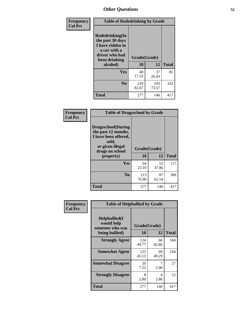| Frequency<br><b>Col Pct</b> | <b>Table of Rodedrinking by Grade</b>                                                                      |              |              |              |
|-----------------------------|------------------------------------------------------------------------------------------------------------|--------------|--------------|--------------|
|                             | Rodedrinking(In<br>the past 30 days<br>I have ridden in<br>a car with a<br>driver who had<br>been drinking | Grade(Grade) |              |              |
|                             | alcohol)                                                                                                   | 10           | 12           | <b>Total</b> |
|                             | <b>Yes</b>                                                                                                 | 48<br>17.33  | 37<br>26.43  | 85           |
|                             | N <sub>0</sub>                                                                                             | 229<br>82.67 | 103<br>73.57 | 332          |
|                             | <b>Total</b>                                                                                               | 277          | 140          | 417          |

#### **Frequency Col Pct**

| <b>Table of Drugsschool by Grade</b>                                                                                      |              |       |              |
|---------------------------------------------------------------------------------------------------------------------------|--------------|-------|--------------|
| <b>Drugsschool</b> (During<br>the past 12 months,<br>I have been offered,<br>sold,<br>or given illegal<br>drugs on school | Grade(Grade) |       |              |
| property)                                                                                                                 | 10           | 12    | <b>Total</b> |
| Yes                                                                                                                       | 64           | 53    | 117          |
|                                                                                                                           | 23.10        | 37.86 |              |
| N <sub>0</sub>                                                                                                            | 213          | 87    | 300          |
|                                                                                                                           | 76.90        | 62.14 |              |
| <b>Total</b>                                                                                                              | 277          | 140   | 417          |

| Frequency      | <b>Table of Helpbullied by Grade</b>                              |                    |             |              |
|----------------|-------------------------------------------------------------------|--------------------|-------------|--------------|
| <b>Col Pct</b> | Helpbullied(I)<br>would help<br>someone who was<br>being bullied) | Grade(Grade)<br>10 | 12          | <b>Total</b> |
|                | <b>Strongly Agree</b>                                             | 124<br>44.77       | 60<br>42.86 | 184          |
|                | <b>Somewhat Agree</b>                                             | 125<br>45.13       | 69<br>49.29 | 194          |
|                | <b>Somewhat Disagree</b>                                          | 20<br>7.22         | 7<br>5.00   | 27           |
|                | <b>Strongly Disagree</b>                                          | 8<br>2.89          | 4<br>2.86   | 12           |
|                | <b>Total</b>                                                      | 277                | 140         | 417          |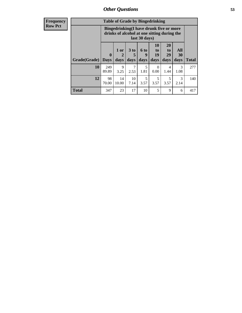| <b>Frequency</b><br>Row Pct |
|-----------------------------|
|                             |

| <b>Table of Grade by Bingedrinking</b> |                                                                                                         |                   |                   |                          |                               |                               |                   |              |
|----------------------------------------|---------------------------------------------------------------------------------------------------------|-------------------|-------------------|--------------------------|-------------------------------|-------------------------------|-------------------|--------------|
|                                        | Bingedrinking(I have drunk five or more<br>drinks of alcohol at one sitting during the<br>last 30 days) |                   |                   |                          |                               |                               |                   |              |
| Grade(Grade)                           | $\mathbf{0}$<br><b>Days</b>                                                                             | 1 or<br>2<br>days | 3 to<br>5<br>days | <b>6 to</b><br>9<br>days | <b>10</b><br>to<br>19<br>days | <b>20</b><br>to<br>29<br>days | All<br>30<br>days | <b>Total</b> |
|                                        |                                                                                                         |                   |                   |                          |                               |                               |                   |              |
| 10                                     | 249<br>89.89                                                                                            | 9<br>3.25         | 2.53              | 5<br>1.81                | 0<br>0.00                     | 4<br>1.44                     | 3<br>1.08         | 277          |
| 12                                     | 98<br>70.00                                                                                             | 14<br>10.00       | 10<br>7.14        | 5<br>3.57                | 5<br>3.57                     | 5<br>3.57                     | 3<br>2.14         | 140          |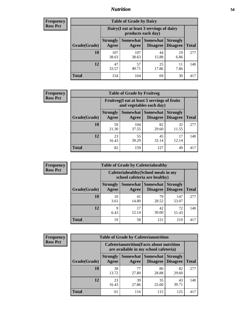### *Nutrition* **54**

| <b>Frequency</b><br>Row Pct |
|-----------------------------|
|                             |

| <b>Table of Grade by Dairy</b> |                          |                                                                 |                                    |                                    |              |  |  |  |
|--------------------------------|--------------------------|-----------------------------------------------------------------|------------------------------------|------------------------------------|--------------|--|--|--|
|                                |                          | Dairy (I eat at least 3 servings of dairy<br>products each day) |                                    |                                    |              |  |  |  |
| Grade(Grade)                   | <b>Strongly</b><br>Agree | <b>Somewhat</b><br>Agree                                        | <b>Somewhat</b><br><b>Disagree</b> | <b>Strongly</b><br><b>Disagree</b> | <b>Total</b> |  |  |  |
| 10                             | 107<br>38.63             | 107<br>38.63                                                    | 44<br>15.88                        | 19<br>6.86                         | 277          |  |  |  |
| 12                             | 47<br>33.57              | 57<br>40.71                                                     | 25<br>17.86                        | 11<br>7.86                         | 140          |  |  |  |
| <b>Total</b>                   | 154                      | 164                                                             | 69                                 | 30                                 | 417          |  |  |  |

| <b>Frequency</b> |  |
|------------------|--|
| <b>Row Pct</b>   |  |

| <b>Table of Grade by Fruitveg</b>                                        |                          |              |                     |                                        |              |  |  |
|--------------------------------------------------------------------------|--------------------------|--------------|---------------------|----------------------------------------|--------------|--|--|
| Fruitveg(I eat at least 5 servings of fruits<br>and vegetables each day) |                          |              |                     |                                        |              |  |  |
| Grade(Grade)                                                             | <b>Strongly</b><br>Agree | Agree        | Somewhat   Somewhat | <b>Strongly</b><br>Disagree   Disagree | <b>Total</b> |  |  |
| 10                                                                       | 59<br>21.30              | 104<br>37.55 | 82<br>29.60         | 32<br>11.55                            | 277          |  |  |
| 12                                                                       | 23<br>16.43              | 55<br>39.29  | 45<br>32.14         | 12.14                                  | 140          |  |  |
| Total                                                                    | 82                       | 159          | 127                 | 49                                     | 417          |  |  |

| <b>Frequency</b> | <b>Table of Grade by Cafeteriahealthy</b> |                                                                       |             |                                          |                                    |              |  |
|------------------|-------------------------------------------|-----------------------------------------------------------------------|-------------|------------------------------------------|------------------------------------|--------------|--|
| <b>Row Pct</b>   |                                           | Cafeteriahealthy (School meals in my<br>school cafeteria are healthy) |             |                                          |                                    |              |  |
|                  | Grade(Grade)                              | <b>Strongly</b><br>Agree                                              | Agree       | Somewhat   Somewhat  <br><b>Disagree</b> | <b>Strongly</b><br><b>Disagree</b> | <b>Total</b> |  |
|                  | 10                                        | 10<br>3.61                                                            | 41<br>14.80 | 79<br>28.52                              | 147<br>53.07                       | 277          |  |
|                  | 12                                        | 9<br>6.43                                                             | 17<br>12.14 | 42<br>30.00                              | 72<br>51.43                        | 140          |  |
|                  | Total                                     | 19                                                                    | 58          | 121                                      | 219                                | 417          |  |

| <b>Frequency</b> |
|------------------|
| <b>Row Pct</b>   |

| <b>Table of Grade by Cafeterianutrition</b>                                               |                          |             |                                 |                                    |              |  |  |
|-------------------------------------------------------------------------------------------|--------------------------|-------------|---------------------------------|------------------------------------|--------------|--|--|
| <b>Cafeterianutrition</b> (Facts about nutrition<br>are available in my school cafeteria) |                          |             |                                 |                                    |              |  |  |
| Grade(Grade)                                                                              | <b>Strongly</b><br>Agree | Agree       | Somewhat   Somewhat<br>Disagree | <b>Strongly</b><br><b>Disagree</b> | <b>Total</b> |  |  |
| 10                                                                                        | 38<br>13.72              | 77<br>27.80 | 80<br>28.88                     | 82<br>29.60                        | 277          |  |  |
| 12                                                                                        | 23<br>16.43              | 39<br>27.86 | 35<br>25.00                     | 43<br>30.71                        | 140          |  |  |
| Total                                                                                     | 61                       | 116         | 115                             | 125                                | 417          |  |  |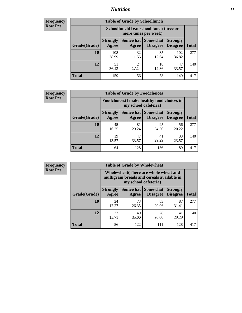### *Nutrition* **55**

| Frequency |
|-----------|
| Row Pct   |

| <b>Table of Grade by Schoollunch</b> |                          |                                                                 |                               |                                    |              |  |  |  |
|--------------------------------------|--------------------------|-----------------------------------------------------------------|-------------------------------|------------------------------------|--------------|--|--|--|
|                                      |                          | Schoollunch(I eat school lunch three or<br>more times per week) |                               |                                    |              |  |  |  |
| Grade(Grade)                         | <b>Strongly</b><br>Agree | Agree                                                           | Somewhat Somewhat<br>Disagree | <b>Strongly</b><br><b>Disagree</b> | <b>Total</b> |  |  |  |
| 10                                   | 108<br>38.99             | 32<br>11.55                                                     | 35<br>12.64                   | 102<br>36.82                       | 277          |  |  |  |
| 12                                   | 51<br>36.43              | 24<br>17.14                                                     | 18<br>12.86                   | 47<br>33.57                        | 140          |  |  |  |
| <b>Total</b>                         | 159                      | 56                                                              | 53                            | 149                                | 417          |  |  |  |

| <b>Frequency</b> |  |
|------------------|--|
| <b>Row Pct</b>   |  |

| <b>Table of Grade by Foodchoices</b>                                |                          |             |                               |                                    |              |  |  |
|---------------------------------------------------------------------|--------------------------|-------------|-------------------------------|------------------------------------|--------------|--|--|
| Foodchoices (I make healthy food choices in<br>my school cafeteria) |                          |             |                               |                                    |              |  |  |
| Grade(Grade)                                                        | <b>Strongly</b><br>Agree | Agree       | Somewhat Somewhat<br>Disagree | <b>Strongly</b><br><b>Disagree</b> | <b>Total</b> |  |  |
| 10                                                                  | 45<br>16.25              | 81<br>29.24 | 95<br>34.30                   | 56<br>20.22                        | 277          |  |  |
| 12                                                                  | 19<br>13.57              | 47<br>33.57 | 41<br>29.29                   | 33<br>23.57                        | 140          |  |  |
| <b>Total</b>                                                        | 64                       | 128         | 136                           | 89                                 | 417          |  |  |

| Frequency      | <b>Table of Grade by Wholewheat</b> |                                                                                                             |             |                                      |                                    |              |  |
|----------------|-------------------------------------|-------------------------------------------------------------------------------------------------------------|-------------|--------------------------------------|------------------------------------|--------------|--|
| <b>Row Pct</b> |                                     | Wholewheat (There are whole wheat and<br>multigrain breads and cereals available in<br>my school cafeteria) |             |                                      |                                    |              |  |
|                | Grade(Grade)                        | <b>Strongly</b><br>Agree                                                                                    | Agree       | Somewhat Somewhat<br><b>Disagree</b> | <b>Strongly</b><br><b>Disagree</b> | <b>Total</b> |  |
|                | 10                                  | 34<br>12.27                                                                                                 | 73<br>26.35 | 83<br>29.96                          | 87<br>31.41                        | 277          |  |
|                | 12                                  | 22<br>15.71                                                                                                 | 49<br>35.00 | 28<br>20.00                          | 41<br>29.29                        | 140          |  |
|                | <b>Total</b>                        | 56                                                                                                          | 122         | 111                                  | 128                                | 417          |  |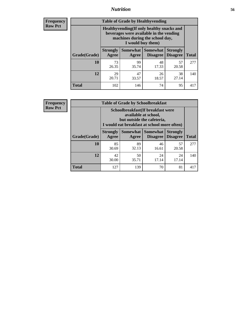### *Nutrition* **56**

**Frequency Row Pct**

| <b>Table of Grade by Healthyvending</b> |                                                                                                                                               |                          |                                    |                                    |              |  |
|-----------------------------------------|-----------------------------------------------------------------------------------------------------------------------------------------------|--------------------------|------------------------------------|------------------------------------|--------------|--|
|                                         | Healthyvending (If only healthy snacks and<br>beverages were available in the vending<br>machines during the school day,<br>I would buy them) |                          |                                    |                                    |              |  |
| Grade(Grade)                            | <b>Strongly</b><br>Agree                                                                                                                      | <b>Somewhat</b><br>Agree | <b>Somewhat</b><br><b>Disagree</b> | <b>Strongly</b><br><b>Disagree</b> | <b>Total</b> |  |
| 10                                      | 73<br>26.35                                                                                                                                   | 99<br>35.74              | 48<br>17.33                        | 57<br>20.58                        | 277          |  |
| 12                                      | 29<br>20.71                                                                                                                                   | 47<br>33.57              | 26<br>18.57                        | 38<br>27.14                        | 140          |  |
| <b>Total</b>                            | 102                                                                                                                                           | 146                      | 74                                 | 95                                 | 417          |  |

**Frequency Row Pct**

| <b>Table of Grade by Schoolbreakfast</b> |                                                                                                                                         |             |                                        |                                    |              |  |
|------------------------------------------|-----------------------------------------------------------------------------------------------------------------------------------------|-------------|----------------------------------------|------------------------------------|--------------|--|
|                                          | Schoolbreakfast (If breakfast were<br>available at school,<br>but outside the cafeteria,<br>I would eat breakfast at school more often) |             |                                        |                                    |              |  |
| Grade(Grade)                             | <b>Strongly</b><br>Agree                                                                                                                | Agree       | Somewhat   Somewhat<br><b>Disagree</b> | <b>Strongly</b><br><b>Disagree</b> | <b>Total</b> |  |
| 10                                       | 85<br>30.69                                                                                                                             | 89<br>32.13 | 46<br>16.61                            | 57<br>20.58                        | 277          |  |
| 12                                       | 42<br>30.00                                                                                                                             | 50<br>35.71 | 24<br>17.14                            | 24<br>17.14                        | 140          |  |
| <b>Total</b>                             | 127                                                                                                                                     | 139         | 70                                     | 81                                 | 417          |  |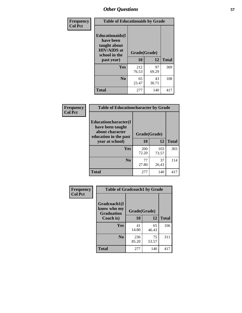| Frequency<br><b>Col Pct</b> | <b>Table of Educationaids by Grade</b>                                                                    |                    |             |              |  |
|-----------------------------|-----------------------------------------------------------------------------------------------------------|--------------------|-------------|--------------|--|
|                             | <b>Educationaids</b> (I<br>have been<br>taught about<br><b>HIV/AIDS</b> at<br>school in the<br>past year) | Grade(Grade)<br>10 | 12          | <b>Total</b> |  |
|                             | Yes                                                                                                       | 212<br>76.53       | 97<br>69.29 | 309          |  |
|                             | N <sub>0</sub>                                                                                            | 65<br>23.47        | 43<br>30.71 | 108          |  |
|                             | <b>Total</b>                                                                                              | 277                | 140         | 417          |  |

| Frequency      | <b>Table of Educationcharacter by Grade</b>                 |                     |              |              |  |
|----------------|-------------------------------------------------------------|---------------------|--------------|--------------|--|
| <b>Col Pct</b> | Educationcharacter(I<br>have been taught<br>about character |                     |              |              |  |
|                | education in the past                                       | Grade(Grade)        |              |              |  |
|                | year at school)                                             | 10                  | 12           | <b>Total</b> |  |
|                | Yes                                                         | <b>200</b><br>72.20 | 103<br>73.57 | 303          |  |
|                | N <sub>0</sub>                                              | 77<br>27.80         | 37<br>26.43  | 114          |  |
|                | <b>Total</b>                                                | 277                 | 140          | 417          |  |

| Frequency      | <b>Table of Gradcoach1 by Grade</b>              |              |             |              |  |
|----------------|--------------------------------------------------|--------------|-------------|--------------|--|
| <b>Col Pct</b> | Gradcoach1(I<br>know who my<br><b>Graduation</b> | Grade(Grade) |             |              |  |
|                | Coach is)                                        | 10           | 12          | <b>Total</b> |  |
|                | Yes                                              | 41<br>14.80  | 65<br>46.43 | 106          |  |
|                | N <sub>0</sub>                                   | 236<br>85.20 | 75<br>53.57 | 311          |  |
|                | <b>Total</b>                                     | 277          | 140         | 417          |  |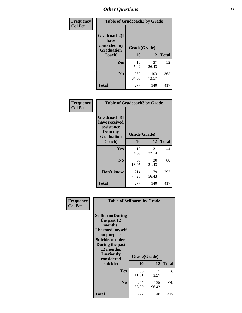| Frequency      | <b>Table of Gradcoach2 by Grade</b> |              |              |              |
|----------------|-------------------------------------|--------------|--------------|--------------|
| <b>Col Pct</b> | Gradcoach2(I<br>have                |              |              |              |
|                | contacted my<br><b>Graduation</b>   | Grade(Grade) |              |              |
|                | Coach)                              | 10           | 12           | <b>Total</b> |
|                | Yes                                 | 15<br>5.42   | 37<br>26.43  | 52           |
|                | N <sub>0</sub>                      | 262<br>94.58 | 103<br>73.57 | 365          |
|                | <b>Total</b>                        | 277          | 140          | 417          |

| <b>Frequency</b><br><b>Col Pct</b> | <b>Table of Gradcoach3 by Grade</b>                                         |              |             |              |
|------------------------------------|-----------------------------------------------------------------------------|--------------|-------------|--------------|
|                                    | Gradcoach3(I<br>have received<br>assistance<br>from my<br><b>Graduation</b> | Grade(Grade) |             |              |
|                                    | Coach)                                                                      | 10           | 12          | <b>Total</b> |
|                                    | Yes                                                                         | 13<br>4.69   | 31<br>22.14 | 44           |
|                                    | N <sub>0</sub>                                                              | 50<br>18.05  | 30<br>21.43 | 80           |
|                                    | Don't know                                                                  | 214<br>77.26 | 79<br>56.43 | 293          |
|                                    | <b>Total</b>                                                                | 277          | 140         | 417          |

| Frequency<br><b>Col Pct</b> | <b>Table of Selfharm by Grade</b>                                                                                                                                                      |                    |              |              |
|-----------------------------|----------------------------------------------------------------------------------------------------------------------------------------------------------------------------------------|--------------------|--------------|--------------|
|                             | <b>Selfharm</b> (During<br>the past 12<br>months,<br>I harmed myself<br>on purpose<br><b>Suicideconsider</b><br>During the past<br>12 months,<br>I seriously<br>considered<br>suicide) | Grade(Grade)<br>10 | 12           | <b>Total</b> |
|                             |                                                                                                                                                                                        |                    |              |              |
|                             | Yes                                                                                                                                                                                    | 33<br>11.91        | 5<br>3.57    | 38           |
|                             | N <sub>0</sub>                                                                                                                                                                         | 244<br>88.09       | 135<br>96.43 | 379          |
|                             | <b>Total</b>                                                                                                                                                                           | 277                | 140          | 417          |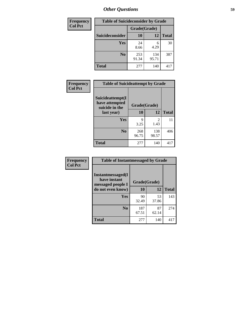| <b>Frequency</b> | <b>Table of Suicideconsider by Grade</b> |              |              |              |
|------------------|------------------------------------------|--------------|--------------|--------------|
| <b>Col Pct</b>   |                                          | Grade(Grade) |              |              |
|                  | Suicideconsider                          | <b>10</b>    | 12           | <b>Total</b> |
|                  | Yes                                      | 24<br>8.66   | 6<br>4.29    | 30           |
|                  | N <sub>0</sub>                           | 253<br>91.34 | 134<br>95.71 | 387          |
|                  | <b>Total</b>                             | 277          | 140          | 417          |

| Frequency      | <b>Table of Suicideattempt by Grade</b>              |              |                       |              |
|----------------|------------------------------------------------------|--------------|-----------------------|--------------|
| <b>Col Pct</b> | Suicideattempt(I<br>have attempted<br>suicide in the | Grade(Grade) |                       |              |
|                | last year)                                           | 10           | 12                    | <b>Total</b> |
|                | Yes                                                  | 9<br>3.25    | $\mathcal{D}$<br>1.43 | 11           |
|                | N <sub>0</sub>                                       | 268<br>96.75 | 138<br>98.57          | 406          |
|                | <b>Total</b>                                         | 277          | 140                   | 417          |

| Frequency      | <b>Table of Instantmessaged by Grade</b>               |              |             |              |
|----------------|--------------------------------------------------------|--------------|-------------|--------------|
| <b>Col Pct</b> | Instantmessaged(I<br>have instant<br>messaged people I | Grade(Grade) |             |              |
|                | do not even know)                                      | 10           | 12          | <b>Total</b> |
|                | Yes                                                    | 90<br>32.49  | 53<br>37.86 | 143          |
|                | N <sub>0</sub>                                         | 187<br>67.51 | 87<br>62.14 | 274          |
|                | <b>Total</b>                                           | 277          | 140         | 417          |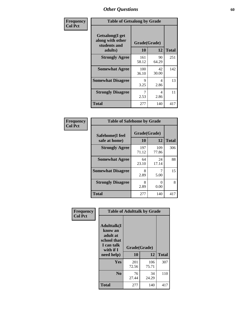| Frequency      | <b>Table of Getsalong by Grade</b>                  |              |             |              |  |  |  |
|----------------|-----------------------------------------------------|--------------|-------------|--------------|--|--|--|
| <b>Col Pct</b> | Getsalong(I get<br>along with other<br>students and | Grade(Grade) |             |              |  |  |  |
|                | adults)                                             | 10           | 12          | <b>Total</b> |  |  |  |
|                | <b>Strongly Agree</b>                               | 161<br>58.12 | 90<br>64.29 | 251          |  |  |  |
|                | <b>Somewhat Agree</b>                               | 100<br>36.10 | 42<br>30.00 | 142          |  |  |  |
|                | <b>Somewhat Disagree</b>                            | 9<br>3.25    | 4<br>2.86   | 13           |  |  |  |
|                | <b>Strongly Disagree</b>                            | 7<br>2.53    | 4<br>2.86   | 11           |  |  |  |
|                | <b>Total</b>                                        | 277          | 140         | 417          |  |  |  |

| Frequency      | <b>Table of Safehome by Grade</b> |                    |              |              |
|----------------|-----------------------------------|--------------------|--------------|--------------|
| <b>Col Pct</b> | Safehome(I feel<br>safe at home)  | Grade(Grade)<br>10 | 12           | <b>Total</b> |
|                | <b>Strongly Agree</b>             | 197<br>71.12       | 109<br>77.86 | 306          |
|                | <b>Somewhat Agree</b>             | 64<br>23.10        | 24<br>17.14  | 88           |
|                | <b>Somewhat Disagree</b>          | 8<br>2.89          | 5.00         | 15           |
|                | <b>Strongly Disagree</b>          | 8<br>2.89          | 0<br>0.00    | 8            |
|                | <b>Total</b>                      | 277                | 140          | 417          |

| Frequency<br><b>Col Pct</b> | <b>Table of Adulttalk by Grade</b>                                                   |              |              |              |  |  |  |  |
|-----------------------------|--------------------------------------------------------------------------------------|--------------|--------------|--------------|--|--|--|--|
|                             | <b>Adulttalk</b> (I<br>know an<br>adult at<br>school that<br>I can talk<br>with if I | Grade(Grade) |              |              |  |  |  |  |
|                             | need help)                                                                           | 10           | 12           | <b>Total</b> |  |  |  |  |
|                             | Yes                                                                                  | 201<br>72.56 | 106<br>75.71 | 307          |  |  |  |  |
|                             | N <sub>0</sub>                                                                       | 76<br>27.44  | 34<br>24.29  | 110          |  |  |  |  |
|                             | <b>Total</b>                                                                         | 277          | 140          | 417          |  |  |  |  |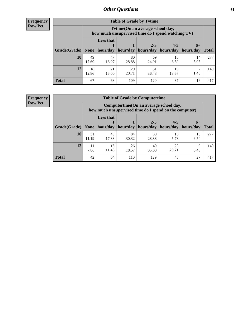**Frequency Row Pct**

| <b>Table of Grade by Tytime</b> |             |                                                                                         |             |             |             |            |              |  |  |  |
|---------------------------------|-------------|-----------------------------------------------------------------------------------------|-------------|-------------|-------------|------------|--------------|--|--|--|
|                                 |             | Tytime (On an average school day,<br>how much unsupervised time do I spend watching TV) |             |             |             |            |              |  |  |  |
|                                 |             | <b>Less that</b>                                                                        |             | $2 - 3$     | $4 - 5$     | $6+$       |              |  |  |  |
| Grade(Grade)                    | None        | hour/day                                                                                | hour/day    | hours/day   | hours/day   | hours/day  | <b>Total</b> |  |  |  |
| 10                              | 49<br>17.69 | 47<br>16.97                                                                             | 80<br>28.88 | 69<br>24.91 | 18<br>6.50  | 14<br>5.05 | 277          |  |  |  |
| 12                              | 18<br>12.86 | 21<br>15.00                                                                             | 29<br>20.71 | 51<br>36.43 | 19<br>13.57 | ി<br>1.43  | 140          |  |  |  |
| <b>Total</b>                    | 67          | 68                                                                                      | 109         | 120         | 37          | 16         | 417          |  |  |  |

**Frequency Row Pct**

| <b>Table of Grade by Computertime</b> |             |                                                                                                   |             |                      |                      |                   |              |  |  |  |
|---------------------------------------|-------------|---------------------------------------------------------------------------------------------------|-------------|----------------------|----------------------|-------------------|--------------|--|--|--|
|                                       |             | Computertime (On an average school day,<br>how much unsupervised time do I spend on the computer) |             |                      |                      |                   |              |  |  |  |
| Grade(Grade)                          | None        | <b>Less that</b><br>hour/day                                                                      | hour/day    | $2 - 3$<br>hours/day | $4 - 5$<br>hours/day | $6+$<br>hours/day | <b>Total</b> |  |  |  |
| 10                                    | 31<br>11.19 | 48<br>17.33                                                                                       | 84<br>30.32 | 80<br>28.88          | 16<br>5.78           | 18<br>6.50        | 277          |  |  |  |
| 12                                    | 11<br>7.86  | 26<br>49<br>16<br>29<br>Q<br>11.43<br>20.71<br>18.57<br>35.00<br>6.43                             |             |                      |                      |                   |              |  |  |  |
| <b>Total</b>                          | 42          | 64                                                                                                | 110         | 129                  | 45                   | 27                | 417          |  |  |  |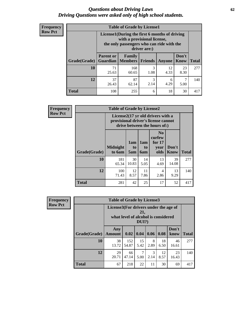#### *Questions about Driving Laws* **62** *Driving Questions were asked only of high school students.*

| <b>Frequency</b> |
|------------------|
| <b>Row Pct</b>   |

| <b>Table of Grade by License1</b> |                                     |                                                                                                                                           |           |            |                      |              |  |  |  |  |
|-----------------------------------|-------------------------------------|-------------------------------------------------------------------------------------------------------------------------------------------|-----------|------------|----------------------|--------------|--|--|--|--|
|                                   |                                     | License1(During the first 6 months of driving<br>with a provisional license,<br>the only passengers who can ride with the<br>driver are:) |           |            |                      |              |  |  |  |  |
| <b>Grade</b> (Grade)              | <b>Parent or</b><br><b>Guardian</b> | Family<br><b>Members Friends</b>                                                                                                          |           | Anyone     | Don't<br><b>Know</b> | <b>Total</b> |  |  |  |  |
| 10                                | 71<br>25.63                         | 168<br>60.65                                                                                                                              | 3<br>1.08 | 12<br>4.33 | 23<br>8.30           | 277          |  |  |  |  |
| 12                                | 37<br>26.43                         | 87<br>3<br>6<br>2.14<br>4.29<br>62.14<br>5.00                                                                                             |           |            |                      |              |  |  |  |  |
| <b>Total</b>                      | 108                                 | 255                                                                                                                                       | 6         | 18         | 30                   | 417          |  |  |  |  |

| <b>Frequency</b> |                                                                                                          | <b>Table of Grade by License2</b> |                  |                         |                                                      |                      |              |  |  |  |
|------------------|----------------------------------------------------------------------------------------------------------|-----------------------------------|------------------|-------------------------|------------------------------------------------------|----------------------|--------------|--|--|--|
| <b>Row Pct</b>   | License2(17 yr old drivers with a<br>provisional driver's license cannot<br>drive between the hours of:) |                                   |                  |                         |                                                      |                      |              |  |  |  |
|                  | Grade(Grade)                                                                                             | <b>Midnight</b><br>to 6am         | 1am<br>to<br>5am | 1am<br>to<br><b>6am</b> | N <sub>0</sub><br>curfew<br>for $17$<br>year<br>olds | Don't<br><b>Know</b> | <b>Total</b> |  |  |  |
|                  | 10                                                                                                       | 181<br>65.34                      | 30<br>10.83      | 14<br>5.05              | 13<br>4.69                                           | 39<br>14.08          | 277          |  |  |  |
|                  | 12                                                                                                       | 100<br>71.43                      | 12<br>8.57       | 11<br>7.86              | $\overline{4}$<br>2.86                               | 13<br>9.29           | 140          |  |  |  |
|                  | <b>Total</b>                                                                                             | 281                               | 42               | 25                      | 17                                                   | 52                   | 417          |  |  |  |

| <b>Frequency</b> |              | <b>Table of Grade by License3</b>     |                                     |              |           |            |               |              |  |  |
|------------------|--------------|---------------------------------------|-------------------------------------|--------------|-----------|------------|---------------|--------------|--|--|
| <b>Row Pct</b>   |              | License3(For drivers under the age of | what level of alcohol is considered | 21,<br>DUI?) |           |            |               |              |  |  |
|                  | Grade(Grade) | Any<br><b>Amount</b>                  | 0.02                                | 0.04         | 0.06      | 0.08       | Don't<br>know | <b>Total</b> |  |  |
|                  | 10           | 38<br>13.72                           | 152<br>54.87                        | 15<br>5.42   | 8<br>2.89 | 18<br>6.50 | 46<br>16.61   | 277          |  |  |
|                  | 12           | 29<br>20.71                           | 66<br>47.14                         | 7<br>5.00    | 3<br>2.14 | 12<br>8.57 | 23<br>16.43   | 140          |  |  |
|                  | <b>Total</b> | 67                                    | 218                                 | 22           | 11        | 30         | 69            | 417          |  |  |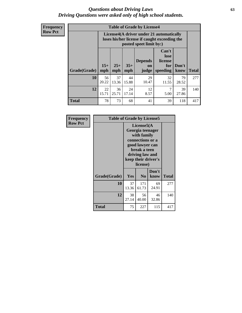#### *Questions about Driving Laws* **63** *Driving Questions were asked only of high school students.*

**Frequency Row Pct**

| <b>Table of Grade by License4</b> |             |                                                                                                                                                                                                                                                                                       |             |             |             |             |     |  |
|-----------------------------------|-------------|---------------------------------------------------------------------------------------------------------------------------------------------------------------------------------------------------------------------------------------------------------------------------------------|-------------|-------------|-------------|-------------|-----|--|
|                                   |             | License4(A driver under 21 automatically<br>loses his/her license if caught exceeding the<br>posted speet limit by:)<br>Can't<br>lose<br><b>Depends</b><br>license<br>$15+$<br>$25+$<br>$35+$<br>Don't<br>for<br><b>on</b><br>mph<br>speeding<br><b>Total</b><br>know<br>mph<br>judge |             |             |             |             |     |  |
| Grade(Grade)                      | mph         |                                                                                                                                                                                                                                                                                       |             |             |             |             |     |  |
| 10                                | 56<br>20.22 | 37<br>13.36                                                                                                                                                                                                                                                                           | 44<br>15.88 | 29<br>10.47 | 32<br>11.55 | 79<br>28.52 | 277 |  |
| 12                                | 22<br>15.71 | 12<br>7<br>36<br>24<br>39<br>25.71<br>17.14<br>8.57<br>5.00<br>27.86                                                                                                                                                                                                                  |             |             |             |             |     |  |
| <b>Total</b>                      | 78          | 73                                                                                                                                                                                                                                                                                    | 68          | 41          | 39          | 118         | 417 |  |

| Frequency<br><b>Row Pct</b> | <b>Table of Grade by License5</b> |                                                                                                           | License5(A<br>Georgia teenager<br>with family |               |       |
|-----------------------------|-----------------------------------|-----------------------------------------------------------------------------------------------------------|-----------------------------------------------|---------------|-------|
|                             |                                   | connections or a<br>good lawyer can<br>break a teen<br>driving law and<br>keep their driver's<br>license) |                                               |               |       |
|                             | Grade(Grade)                      | <b>Yes</b>                                                                                                | N <sub>0</sub>                                | Don't<br>know | Total |
|                             | 10                                | 37<br>13.36                                                                                               | 171<br>61.73                                  | 69<br>24.91   | 277   |
|                             | 12                                | 38<br>27.14                                                                                               | 56<br>40.00                                   | 46<br>32.86   | 140   |
|                             | Total                             | 75                                                                                                        | 227                                           | 115           | 417   |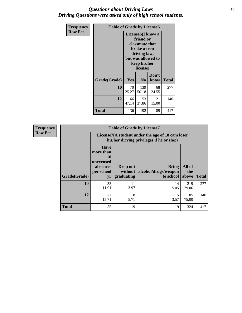#### *Questions about Driving Laws* **64** *Driving Questions were asked only of high school students.*

| <b>Frequency</b> | <b>Table of Grade by License6</b> |                                            |                                                                                                                                                 |               |              |
|------------------|-----------------------------------|--------------------------------------------|-------------------------------------------------------------------------------------------------------------------------------------------------|---------------|--------------|
| <b>Row Pct</b>   |                                   |                                            | License <sub>6</sub> (I know a<br>friend or<br>classmate that<br>broke a teen<br>driving law,<br>but was allowed to<br>keep his/her<br>license) |               |              |
|                  | Grade(Grade)                      | Yes                                        | N <sub>0</sub>                                                                                                                                  | Don't<br>know | <b>Total</b> |
|                  | 10                                | 70<br>139<br>68<br>25.27<br>24.55<br>50.18 |                                                                                                                                                 |               | 277          |
|                  | 12                                | 66<br>53<br>21<br>47.14<br>37.86<br>15.00  |                                                                                                                                                 |               | 140          |
|                  | <b>Total</b>                      | 136                                        | 192                                                                                                                                             | 89            | 417          |

| <b>Frequency</b> |              |                                                                             | <b>Table of Grade by License7</b>                                                             |                                                   |                        |              |  |
|------------------|--------------|-----------------------------------------------------------------------------|-----------------------------------------------------------------------------------------------|---------------------------------------------------|------------------------|--------------|--|
| <b>Row Pct</b>   |              |                                                                             | License7(A student under the age of 18 cam loser<br>his/her driving privileges if he or she:) |                                                   |                        |              |  |
|                  | Grade(Grade) | <b>Have</b><br>more than<br>10<br>unexcused<br>absences<br>per school<br>yr | Drop out<br>without  <br>graduating                                                           | <b>Bring</b><br>alcohol/drugs/weapon<br>to school | All of<br>the<br>above | <b>Total</b> |  |
|                  | 10           | 33<br>11.91                                                                 | 11<br>3.97                                                                                    | 14<br>5.05                                        | 219<br>79.06           | 277          |  |
|                  | 12           | 22<br>15.71                                                                 | 8<br>5.71                                                                                     | 5<br>3.57                                         | 105<br>75.00           | 140          |  |
|                  | <b>Total</b> | 55                                                                          | 19                                                                                            | 19                                                | 324                    | 417          |  |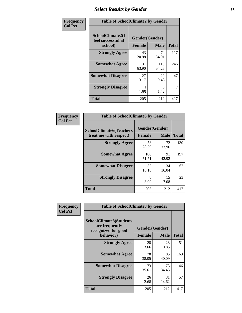# *Select Results by Gender* **65**

| Frequency      | <b>Table of SchoolClimate2 by Gender</b>          |                                 |              |              |
|----------------|---------------------------------------------------|---------------------------------|--------------|--------------|
| <b>Col Pct</b> | SchoolClimate2(I<br>feel successful at<br>school) | Gender(Gender)<br><b>Female</b> | <b>Male</b>  | <b>Total</b> |
|                | <b>Strongly Agree</b>                             | 43<br>20.98                     | 74<br>34.91  | 117          |
|                | <b>Somewhat Agree</b>                             | 131<br>63.90                    | 115<br>54.25 | 246          |
|                | <b>Somewhat Disagree</b>                          | 27<br>13.17                     | 20<br>9.43   | 47           |
|                | <b>Strongly Disagree</b>                          | 4<br>1.95                       | 3<br>1.42    | 7            |
|                | <b>Total</b>                                      | 205                             | 212          | 417          |

| Frequency      | <b>Table of SchoolClimate6 by Gender</b>                 |                                 |             |              |  |
|----------------|----------------------------------------------------------|---------------------------------|-------------|--------------|--|
| <b>Col Pct</b> | <b>SchoolClimate6(Teachers</b><br>treat me with respect) | Gender(Gender)<br><b>Female</b> | <b>Male</b> | <b>Total</b> |  |
|                | <b>Strongly Agree</b>                                    | 58<br>28.29                     | 72<br>33.96 | 130          |  |
|                | <b>Somewhat Agree</b>                                    | 106<br>51.71                    | 91<br>42.92 | 197          |  |
|                | <b>Somewhat Disagree</b>                                 | 33<br>16.10                     | 34<br>16.04 | 67           |  |
|                | <b>Strongly Disagree</b>                                 | 8<br>3.90                       | 15<br>7.08  | 23           |  |
|                | <b>Total</b>                                             | 205                             | 212         | 417          |  |

| Frequency      | <b>Table of SchoolClimate8 by Gender</b>                                             |                                 |             |              |
|----------------|--------------------------------------------------------------------------------------|---------------------------------|-------------|--------------|
| <b>Col Pct</b> | <b>SchoolClimate8(Students</b><br>are frequently<br>recognized for good<br>behavior) | Gender(Gender)<br><b>Female</b> | <b>Male</b> | <b>Total</b> |
|                | <b>Strongly Agree</b>                                                                | 28<br>13.66                     | 23<br>10.85 | 51           |
|                | <b>Somewhat Agree</b>                                                                | 78<br>38.05                     | 85<br>40.09 | 163          |
|                | <b>Somewhat Disagree</b>                                                             | 73<br>35.61                     | 73<br>34.43 | 146          |
|                | <b>Strongly Disagree</b>                                                             | 26<br>12.68                     | 31<br>14.62 | 57           |
|                | Total                                                                                | 205                             | 212         | 417          |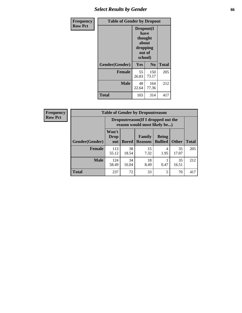## *Select Results by Gender* **66**

| Frequency      | <b>Table of Gender by Dropout</b> |                                                                        |                |              |
|----------------|-----------------------------------|------------------------------------------------------------------------|----------------|--------------|
| <b>Row Pct</b> |                                   | Dropout(I<br>have<br>thought<br>about<br>dropping<br>out of<br>school) |                |              |
|                | Gender(Gender)                    | Yes                                                                    | N <sub>0</sub> | <b>Total</b> |
|                | <b>Female</b>                     | 55<br>26.83                                                            | 150<br>73.17   | 205          |
|                | <b>Male</b>                       | 48<br>22.64                                                            | 164<br>77.36   | 212          |
|                | <b>Total</b>                      | 103                                                                    | 314            | 417          |

| <b>Frequency</b> | <b>Table of Gender by Dropoutreason</b> |                                                                    |             |                                  |                                |              |              |
|------------------|-----------------------------------------|--------------------------------------------------------------------|-------------|----------------------------------|--------------------------------|--------------|--------------|
| <b>Row Pct</b>   |                                         | Dropoutreason(If I dropped out the<br>reason would most likely be) |             |                                  |                                |              |              |
|                  | Gender(Gender)                          | Won't<br><b>Drop</b><br>out                                        |             | Family<br><b>Bored   Reasons</b> | <b>Being</b><br><b>Bullied</b> | <b>Other</b> | <b>Total</b> |
|                  | Female                                  | 113<br>55.12                                                       | 38<br>18.54 | 15<br>7.32                       | 4<br>1.95                      | 35<br>17.07  | 205          |
|                  | <b>Male</b>                             | 124<br>58.49                                                       | 34<br>16.04 | 18<br>8.49                       | 0.47                           | 35<br>16.51  | 212          |
|                  | <b>Total</b>                            | 237                                                                | 72          | 33                               |                                | 70           | 417          |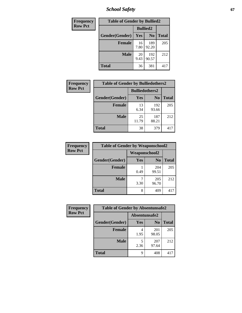*School Safety* **67**

| Frequency      | <b>Table of Gender by Bullied2</b> |                 |                |              |
|----------------|------------------------------------|-----------------|----------------|--------------|
| <b>Row Pct</b> |                                    | <b>Bullied2</b> |                |              |
|                | Gender(Gender)                     | Yes             | N <sub>0</sub> | <b>Total</b> |
|                | <b>Female</b>                      | 16<br>7.80      | 189<br>92.20   | 205          |
|                | <b>Male</b>                        | 20<br>9.43      | 192<br>90.57   | 212          |
|                | <b>Total</b>                       | 36              | 381            | 417          |

| Frequency      |                | <b>Table of Gender by Bulliedothers2</b> |                |              |  |
|----------------|----------------|------------------------------------------|----------------|--------------|--|
| <b>Row Pct</b> |                | <b>Bulliedothers2</b>                    |                |              |  |
|                | Gender(Gender) | Yes                                      | N <sub>0</sub> | <b>Total</b> |  |
|                | <b>Female</b>  | 13<br>6.34                               | 192<br>93.66   | 205          |  |
|                | <b>Male</b>    | 25<br>11.79                              | 187<br>88.21   | 212          |  |
|                | <b>Total</b>   | 38                                       | 379            | 417          |  |

| <b>Frequency</b> |                | <b>Table of Gender by Weaponschool2</b> |                |              |  |
|------------------|----------------|-----------------------------------------|----------------|--------------|--|
| <b>Row Pct</b>   |                | <b>Weaponschool2</b>                    |                |              |  |
|                  | Gender(Gender) | Yes                                     | N <sub>0</sub> | <b>Total</b> |  |
|                  | <b>Female</b>  | 0.49                                    | 204<br>99.51   | 205          |  |
|                  | <b>Male</b>    | 7<br>3.30                               | 205<br>96.70   | 212          |  |
|                  | <b>Total</b>   | 8                                       | 409            |              |  |

| Frequency      | <b>Table of Gender by Absentunsafe2</b> |               |                |              |
|----------------|-----------------------------------------|---------------|----------------|--------------|
| <b>Row Pct</b> |                                         | Absentunsafe2 |                |              |
|                | Gender(Gender)                          | Yes           | N <sub>0</sub> | <b>Total</b> |
|                | <b>Female</b>                           | 4<br>1.95     | 201<br>98.05   | 205          |
|                | <b>Male</b>                             | 2.36          | 207<br>97.64   | 212          |
|                | <b>Total</b>                            | q             | 408            | 417          |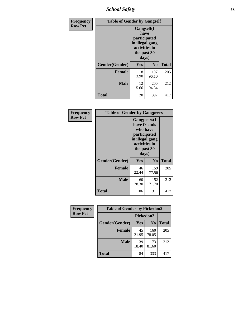*School Safety* **68**

| Frequency      | <b>Table of Gender by Gangself</b> |                                                                                                |              |              |
|----------------|------------------------------------|------------------------------------------------------------------------------------------------|--------------|--------------|
| <b>Row Pct</b> |                                    | Gangself(I<br>have<br>participated<br>in illegal gang<br>activities in<br>the past 30<br>days) |              |              |
|                | Gender(Gender)                     | Yes                                                                                            | $\bf No$     | <b>Total</b> |
|                | <b>Female</b>                      | 8<br>3.90                                                                                      | 197<br>96.10 | 205          |
|                | <b>Male</b>                        | 12<br>5.66                                                                                     | 200<br>94.34 | 212          |
|                | <b>Total</b>                       | 20                                                                                             | 397          | 417          |

| Frequency      | <b>Table of Gender by Gangpeers</b> |                                                                                                                             |                |              |  |
|----------------|-------------------------------------|-----------------------------------------------------------------------------------------------------------------------------|----------------|--------------|--|
| <b>Row Pct</b> |                                     | <b>Gangpeers</b> (I<br>have friends<br>who have<br>participated<br>in illegal gang<br>activities in<br>the past 30<br>days) |                |              |  |
|                | Gender(Gender)                      | <b>Yes</b>                                                                                                                  | N <sub>0</sub> | <b>Total</b> |  |
|                | <b>Female</b>                       | 46<br>22.44                                                                                                                 | 159<br>77.56   | 205          |  |
|                | <b>Male</b>                         | 60<br>28.30                                                                                                                 | 152<br>71.70   | 212          |  |
|                | <b>Total</b>                        | 106                                                                                                                         | 311            | 417          |  |

| Frequency      | <b>Table of Gender by Pickedon2</b> |             |                |              |  |
|----------------|-------------------------------------|-------------|----------------|--------------|--|
| <b>Row Pct</b> |                                     | Pickedon2   |                |              |  |
|                | Gender(Gender)                      | <b>Yes</b>  | N <sub>0</sub> | <b>Total</b> |  |
|                | <b>Female</b>                       | 45<br>21.95 | 160<br>78.05   | 205          |  |
|                | <b>Male</b>                         | 39<br>18.40 | 173<br>81.60   | 212          |  |
|                | <b>Total</b>                        | 84          | 333            | 417          |  |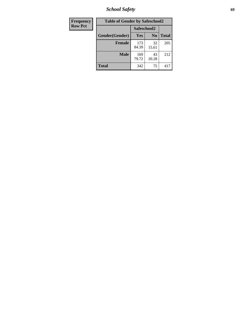*School Safety* **69**

| Frequency      | <b>Table of Gender by Safeschool2</b> |              |                |              |  |
|----------------|---------------------------------------|--------------|----------------|--------------|--|
| <b>Row Pct</b> |                                       | Safeschool2  |                |              |  |
|                | Gender(Gender)                        | Yes          | N <sub>0</sub> | <b>Total</b> |  |
|                | <b>Female</b>                         | 173<br>84.39 | 32<br>15.61    | 205          |  |
|                | Male                                  | 169<br>79.72 | 43<br>20.28    | 212          |  |
|                | <b>Total</b>                          | 342          | 75             | 417          |  |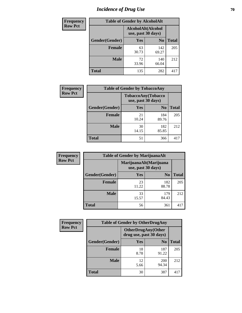# *Incidence of Drug Use* **70**

| <b>Frequency</b> |                | <b>Table of Gender by AlcoholAlt</b>     |                |              |
|------------------|----------------|------------------------------------------|----------------|--------------|
| <b>Row Pct</b>   |                | AlcoholAlt(Alcohol<br>use, past 30 days) |                |              |
|                  | Gender(Gender) | Yes                                      | N <sub>0</sub> | <b>Total</b> |
|                  | <b>Female</b>  | 63<br>30.73                              | 142<br>69.27   | 205          |
|                  | <b>Male</b>    | 72<br>33.96                              | 140<br>66.04   | 212          |
|                  | <b>Total</b>   | 135                                      | 282            | 417          |

| Frequency      | <b>Table of Gender by TobaccoAny</b> |                                          |                |              |
|----------------|--------------------------------------|------------------------------------------|----------------|--------------|
| <b>Row Pct</b> |                                      | TobaccoAny(Tobacco<br>use, past 30 days) |                |              |
|                | Gender(Gender)                       | Yes                                      | N <sub>0</sub> | <b>Total</b> |
|                | <b>Female</b>                        | 21<br>10.24                              | 184<br>89.76   | 205          |
|                | <b>Male</b>                          | 30<br>14.15                              | 182<br>85.85   | 212          |
|                | Total                                | 51                                       | 366            |              |

| <b>Frequency</b> |                | <b>Table of Gender by MarijuanaAlt</b> |                                              |              |  |  |  |
|------------------|----------------|----------------------------------------|----------------------------------------------|--------------|--|--|--|
| <b>Row Pct</b>   |                |                                        | MarijuanaAlt(Marijuana<br>use, past 30 days) |              |  |  |  |
|                  | Gender(Gender) | <b>Yes</b>                             | N <sub>0</sub>                               | <b>Total</b> |  |  |  |
|                  | <b>Female</b>  | 23<br>11.22                            | 182<br>88.78                                 | 205          |  |  |  |
|                  | <b>Male</b>    | 33<br>15.57                            | 179<br>84.43                                 | 212          |  |  |  |
|                  | <b>Total</b>   | 56                                     | 361                                          | 417          |  |  |  |

| <b>Frequency</b> | <b>Table of Gender by OtherDrugAny</b> |                                                      |                |              |  |
|------------------|----------------------------------------|------------------------------------------------------|----------------|--------------|--|
| <b>Row Pct</b>   |                                        | <b>OtherDrugAny(Other</b><br>drug use, past 30 days) |                |              |  |
|                  | Gender(Gender)                         | <b>Yes</b>                                           | N <sub>0</sub> | <b>Total</b> |  |
|                  | <b>Female</b>                          | 18<br>8.78                                           | 187<br>91.22   | 205          |  |
|                  | <b>Male</b>                            | 12<br>5.66                                           | 200<br>94.34   | 212          |  |
|                  | <b>Total</b>                           | 30                                                   | 387            | 417          |  |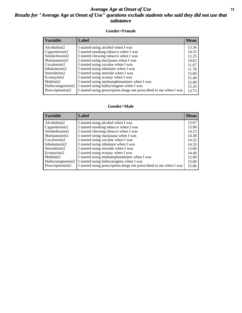#### *Average Age at Onset of Use* **71** *Results for "Average Age at Onset of Use" questions exclude students who said they did not use that substance*

#### **Gender=Female**

| <b>Mean</b> |
|-------------|
| 13.36       |
| 14.55       |
| 12.25       |
| 14.62       |
| 11.67       |
| 11.78       |
| 15.00       |
| 15.40       |
| 12.00       |
| 15.33       |
| 13.73       |
|             |

#### **Gender=Male**

| <b>Variable</b>    | Label                                                              | <b>Mean</b> |
|--------------------|--------------------------------------------------------------------|-------------|
| Alcoholinit2       | I started using alcohol when I was                                 | 13.67       |
| Cigarettesinit2    | I started smoking tobacco when I was                               | 13.90       |
| Smokelessinit2     | I started chewing tobacco when I was                               | 14.15       |
| Marijuanainit2     | I started using marijuana when I was                               | 14.38       |
| Cocaineinit2       | I started using cocaine when I was                                 | 14.25       |
| Inhalantsinit2     | I started using inhalants when I was                               | 14.33       |
| Steroidsinit2      | I started using steroids when I was                                | 13.00       |
| Ecstasyinit2       | I started using ecstasy when I was                                 | 14.40       |
| Methinit2          | I started using methamphetamines when I was                        | 12.00       |
| Hallucinogensinit2 | I started using hallucinogens when I was                           | 15.00       |
| Prescriptioninit2  | I started using prescription drugs not prescribed to me when I was | 15.00       |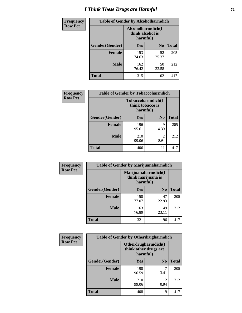# *I Think These Drugs are Harmful* **72**

| <b>Frequency</b> | <b>Table of Gender by Alcoholharmdich</b> |                  |                               |              |  |
|------------------|-------------------------------------------|------------------|-------------------------------|--------------|--|
| <b>Row Pct</b>   |                                           | think alcohol is | Alcoholharmdich(I<br>harmful) |              |  |
|                  | Gender(Gender)                            | Yes              | N <sub>0</sub>                | <b>Total</b> |  |
|                  | <b>Female</b>                             | 153<br>74.63     | 52<br>25.37                   | 205          |  |
|                  | <b>Male</b>                               | 162<br>76.42     | 50<br>23.58                   | 212          |  |
|                  | <b>Total</b>                              | 315              | 102                           | 417          |  |

| Frequency      | <b>Table of Gender by Tobaccoharmdich</b> |                  |                               |              |
|----------------|-------------------------------------------|------------------|-------------------------------|--------------|
| <b>Row Pct</b> |                                           | think tobacco is | Tobaccoharmdich(I<br>harmful) |              |
|                | Gender(Gender)                            | Yes              | N <sub>0</sub>                | <b>Total</b> |
|                | <b>Female</b>                             | 196<br>95.61     | 9<br>4.39                     | 205          |
|                | <b>Male</b>                               | 210<br>99.06     | $\mathfrak{D}$<br>0.94        | 212          |
|                | <b>Total</b>                              | 406              | 11                            | 417          |

| Frequency      | <b>Table of Gender by Marijuanaharmdich</b> |                                |                     |              |  |  |
|----------------|---------------------------------------------|--------------------------------|---------------------|--------------|--|--|
| <b>Row Pct</b> |                                             | think marijuana is<br>harmful) | Marijuanaharmdich(I |              |  |  |
|                | Gender(Gender)                              | <b>Yes</b>                     | N <sub>0</sub>      | <b>Total</b> |  |  |
|                | <b>Female</b>                               | 158<br>77.07                   | 47<br>22.93         | 205          |  |  |
|                | <b>Male</b>                                 | 163<br>76.89                   | 49<br>23.11         | 212          |  |  |
|                | <b>Total</b>                                | 321                            | 96                  | 417          |  |  |

| Frequency      | <b>Table of Gender by Otherdrugharmdich</b> |                                                          |                        |              |  |
|----------------|---------------------------------------------|----------------------------------------------------------|------------------------|--------------|--|
| <b>Row Pct</b> |                                             | Otherdrugharmdich(I<br>think other drugs are<br>harmful) |                        |              |  |
|                | Gender(Gender)                              | <b>Yes</b>                                               | N <sub>0</sub>         | <b>Total</b> |  |
|                | <b>Female</b>                               | 198<br>96.59                                             | 7<br>3.41              | 205          |  |
|                | <b>Male</b>                                 | 210<br>99.06                                             | $\overline{c}$<br>0.94 | 212          |  |
|                | <b>Total</b>                                | 408                                                      | 9                      | 417          |  |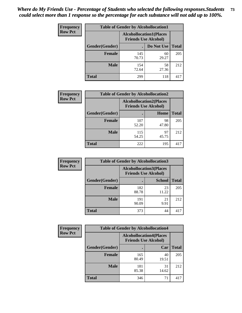| <b>Frequency</b> | <b>Table of Gender by Alcohollocation1</b> |                                                               |             |              |
|------------------|--------------------------------------------|---------------------------------------------------------------|-------------|--------------|
| <b>Row Pct</b>   |                                            | <b>Alcohollocation1(Places</b><br><b>Friends Use Alcohol)</b> |             |              |
|                  | Gender(Gender)                             |                                                               | Do Not Use  | <b>Total</b> |
|                  | <b>Female</b>                              | 145<br>70.73                                                  | 60<br>29.27 | 205          |
|                  | <b>Male</b>                                | 154<br>72.64                                                  | 58<br>27.36 | 212          |
|                  | Total                                      | 299                                                           | 118         | 417          |

| <b>Frequency</b> | <b>Table of Gender by Alcohollocation2</b> |                                |                             |              |
|------------------|--------------------------------------------|--------------------------------|-----------------------------|--------------|
| <b>Row Pct</b>   |                                            | <b>Alcohollocation2(Places</b> | <b>Friends Use Alcohol)</b> |              |
|                  | Gender(Gender)                             |                                | Home                        | <b>Total</b> |
|                  | <b>Female</b>                              | 107<br>52.20                   | 98<br>47.80                 | 205          |
|                  | <b>Male</b>                                | 115<br>54.25                   | 97<br>45.75                 | 212          |
|                  | <b>Total</b>                               | 222                            | 195                         | 417          |

| Frequency      | <b>Table of Gender by Alcohollocation3</b> |                                                               |               |              |
|----------------|--------------------------------------------|---------------------------------------------------------------|---------------|--------------|
| <b>Row Pct</b> |                                            | <b>Alcohollocation3(Places</b><br><b>Friends Use Alcohol)</b> |               |              |
|                | <b>Gender</b> (Gender)                     |                                                               | <b>School</b> | <b>Total</b> |
|                | <b>Female</b>                              | 182<br>88.78                                                  | 23<br>11.22   | 205          |
|                | <b>Male</b>                                | 191<br>90.09                                                  | 21<br>9.91    | 212          |
|                | <b>Total</b>                               | 373                                                           | 44            | 417          |

| <b>Frequency</b> | <b>Table of Gender by Alcohollocation4</b> |                                                               |             |              |
|------------------|--------------------------------------------|---------------------------------------------------------------|-------------|--------------|
| <b>Row Pct</b>   |                                            | <b>Alcohollocation4(Places</b><br><b>Friends Use Alcohol)</b> |             |              |
|                  | <b>Gender</b> (Gender)                     |                                                               | Car         | <b>Total</b> |
|                  | <b>Female</b>                              | 165<br>80.49                                                  | 40<br>19.51 | 205          |
|                  | <b>Male</b>                                | 181<br>85.38                                                  | 31<br>14.62 | 212          |
|                  | <b>Total</b>                               | 346                                                           | 71          | 417          |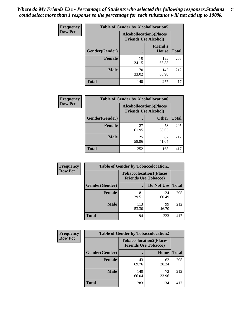| <b>Frequency</b> | <b>Table of Gender by Alcohollocation5</b> |                                                                |                                 |              |
|------------------|--------------------------------------------|----------------------------------------------------------------|---------------------------------|--------------|
| <b>Row Pct</b>   |                                            | <b>Alcohollocation5</b> (Places<br><b>Friends Use Alcohol)</b> |                                 |              |
|                  | Gender(Gender)                             | $\bullet$                                                      | <b>Friend's</b><br><b>House</b> | <b>Total</b> |
|                  | <b>Female</b>                              | 70<br>34.15                                                    | 135<br>65.85                    | 205          |
|                  | <b>Male</b>                                | 70<br>33.02                                                    | 142<br>66.98                    | 212          |
|                  | <b>Total</b>                               | 140                                                            | 277                             | 417          |

| Frequency      | <b>Table of Gender by Alcohollocation6</b> |                                                               |              |              |
|----------------|--------------------------------------------|---------------------------------------------------------------|--------------|--------------|
| <b>Row Pct</b> |                                            | <b>Alcohollocation6(Places</b><br><b>Friends Use Alcohol)</b> |              |              |
|                | <b>Gender</b> (Gender)                     |                                                               | <b>Other</b> | <b>Total</b> |
|                | Female                                     | 127<br>61.95                                                  | 78<br>38.05  | 205          |
|                | <b>Male</b>                                | 125<br>58.96                                                  | 87<br>41.04  | 212          |
|                | <b>Total</b>                               | 252                                                           | 165          | 417          |

| Frequency      | <b>Table of Gender by Tobaccolocation1</b> |                                                               |              |              |
|----------------|--------------------------------------------|---------------------------------------------------------------|--------------|--------------|
| <b>Row Pct</b> |                                            | <b>Tobaccolocation1(Places</b><br><b>Friends Use Tobacco)</b> |              |              |
|                | Gender(Gender)                             |                                                               | Do Not Use   | <b>Total</b> |
|                | Female                                     | 81<br>39.51                                                   | 124<br>60.49 | 205          |
|                | <b>Male</b>                                | 113<br>53.30                                                  | 99<br>46.70  | 212          |
|                | <b>Total</b>                               | 194                                                           | 223          | 417          |

| <b>Frequency</b> | <b>Table of Gender by Tobaccolocation2</b> |                                                               |             |              |  |
|------------------|--------------------------------------------|---------------------------------------------------------------|-------------|--------------|--|
| <b>Row Pct</b>   |                                            | <b>Tobaccolocation2(Places</b><br><b>Friends Use Tobacco)</b> |             |              |  |
|                  | Gender(Gender)                             |                                                               | Home        | <b>Total</b> |  |
|                  | Female                                     | 143<br>69.76                                                  | 62<br>30.24 | 205          |  |
|                  | <b>Male</b>                                | 140<br>66.04                                                  | 72<br>33.96 | 212          |  |
|                  | <b>Total</b>                               | 283                                                           | 134         | 417          |  |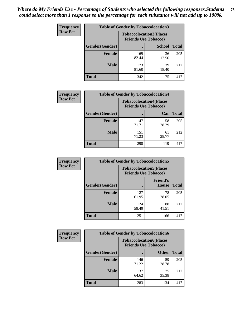| <b>Frequency</b> | <b>Table of Gender by Tobaccolocation3</b> |                                                               |               |              |  |
|------------------|--------------------------------------------|---------------------------------------------------------------|---------------|--------------|--|
| <b>Row Pct</b>   |                                            | <b>Tobaccolocation3(Places</b><br><b>Friends Use Tobacco)</b> |               |              |  |
|                  | Gender(Gender)                             |                                                               | <b>School</b> | <b>Total</b> |  |
|                  | <b>Female</b>                              | 169<br>82.44                                                  | 36<br>17.56   | 205          |  |
|                  | <b>Male</b>                                | 173<br>81.60                                                  | 39<br>18.40   | 212          |  |
|                  | Total                                      | 342                                                           | 75            | 417          |  |

| <b>Frequency</b> | <b>Table of Gender by Tobaccolocation4</b> |                                                               |             |              |
|------------------|--------------------------------------------|---------------------------------------------------------------|-------------|--------------|
| <b>Row Pct</b>   |                                            | <b>Tobaccolocation4(Places</b><br><b>Friends Use Tobacco)</b> |             |              |
|                  | Gender(Gender)                             |                                                               | Car         | <b>Total</b> |
|                  | <b>Female</b>                              | 147<br>71.71                                                  | 58<br>28.29 | 205          |
|                  | <b>Male</b>                                | 151<br>71.23                                                  | 61<br>28.77 | 212          |
|                  | <b>Total</b>                               | 298                                                           | 119         | 417          |

| <b>Frequency</b> | <b>Table of Gender by Tobaccolocation5</b> |                                                               |                                 |              |
|------------------|--------------------------------------------|---------------------------------------------------------------|---------------------------------|--------------|
| <b>Row Pct</b>   |                                            | <b>Tobaccolocation5(Places</b><br><b>Friends Use Tobacco)</b> |                                 |              |
|                  | Gender(Gender)                             |                                                               | <b>Friend's</b><br><b>House</b> | <b>Total</b> |
|                  | <b>Female</b>                              | 127<br>61.95                                                  | 78<br>38.05                     | 205          |
|                  | <b>Male</b>                                | 124<br>58.49                                                  | 88<br>41.51                     | 212          |
|                  | <b>Total</b>                               | 251                                                           | 166                             | 417          |

| <b>Frequency</b> | <b>Table of Gender by Tobaccolocation6</b> |                                                               |              |              |  |
|------------------|--------------------------------------------|---------------------------------------------------------------|--------------|--------------|--|
| <b>Row Pct</b>   |                                            | <b>Tobaccolocation6(Places</b><br><b>Friends Use Tobacco)</b> |              |              |  |
|                  | Gender(Gender)                             |                                                               | <b>Other</b> | <b>Total</b> |  |
|                  | Female                                     | 146<br>71.22                                                  | 59<br>28.78  | 205          |  |
|                  | <b>Male</b>                                | 137<br>64.62                                                  | 75<br>35.38  | 212          |  |
|                  | <b>Total</b>                               | 283                                                           | 134          | 417          |  |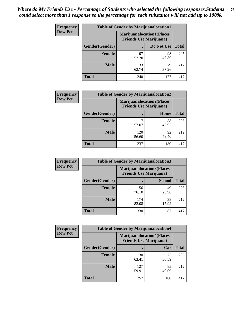| <b>Frequency</b> | <b>Table of Gender by Marijuanalocation1</b> |                                |                                  |              |
|------------------|----------------------------------------------|--------------------------------|----------------------------------|--------------|
| <b>Row Pct</b>   |                                              | <b>Friends Use Marijuana</b> ) | <b>Marijuanalocation1(Places</b> |              |
|                  | Gender(Gender)                               |                                | Do Not Use                       | <b>Total</b> |
|                  | <b>Female</b>                                | 107<br>52.20                   | 98<br>47.80                      | 205          |
|                  | <b>Male</b>                                  | 133<br>62.74                   | 79<br>37.26                      | 212          |
|                  | <b>Total</b>                                 | 240                            | 177                              | 417          |

| <b>Frequency</b> | <b>Table of Gender by Marijuanalocation2</b> |                                                                    |             |              |
|------------------|----------------------------------------------|--------------------------------------------------------------------|-------------|--------------|
| <b>Row Pct</b>   |                                              | <b>Marijuanalocation2(Places</b><br><b>Friends Use Marijuana</b> ) |             |              |
|                  | Gender(Gender)                               |                                                                    | Home        | <b>Total</b> |
|                  | Female                                       | 117<br>57.07                                                       | 88<br>42.93 | 205          |
|                  | <b>Male</b>                                  | 120<br>56.60                                                       | 92<br>43.40 | 212          |
|                  | <b>Total</b>                                 | 237                                                                | 180         | 417          |

| Frequency      | <b>Table of Gender by Marijuanalocation3</b> |                                                                    |               |              |
|----------------|----------------------------------------------|--------------------------------------------------------------------|---------------|--------------|
| <b>Row Pct</b> |                                              | <b>Marijuanalocation3(Places</b><br><b>Friends Use Marijuana</b> ) |               |              |
|                | Gender(Gender)                               |                                                                    | <b>School</b> | <b>Total</b> |
|                | Female                                       | 156<br>76.10                                                       | 49<br>23.90   | 205          |
|                | <b>Male</b>                                  | 174<br>82.08                                                       | 38<br>17.92   | 212          |
|                | <b>Total</b>                                 | 330                                                                | 87            | 417          |

| <b>Frequency</b> |                | <b>Table of Gender by Marijuanalocation4</b> |                                  |              |
|------------------|----------------|----------------------------------------------|----------------------------------|--------------|
| <b>Row Pct</b>   |                | <b>Friends Use Marijuana</b> )               | <b>Marijuanalocation4(Places</b> |              |
|                  | Gender(Gender) |                                              | Car                              | <b>Total</b> |
|                  | Female         | 130<br>63.41                                 | 75<br>36.59                      | 205          |
|                  | <b>Male</b>    | 127<br>59.91                                 | 85<br>40.09                      | 212          |
|                  | <b>Total</b>   | 257                                          | 160                              | 411          |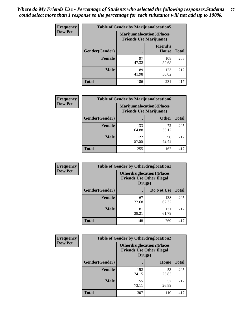| <b>Frequency</b> | <b>Table of Gender by Marijuanalocation5</b> |                                                                    |                          |              |
|------------------|----------------------------------------------|--------------------------------------------------------------------|--------------------------|--------------|
| <b>Row Pct</b>   |                                              | <b>Marijuanalocation5(Places</b><br><b>Friends Use Marijuana</b> ) |                          |              |
|                  | Gender(Gender)                               |                                                                    | <b>Friend's</b><br>House | <b>Total</b> |
|                  | <b>Female</b>                                | 97<br>47.32                                                        | 108<br>52.68             | 205          |
|                  | <b>Male</b>                                  | 89<br>41.98                                                        | 123<br>58.02             | 212          |
|                  | <b>Total</b>                                 | 186                                                                | 231                      | 417          |

| <b>Frequency</b> | <b>Table of Gender by Marijuanalocation6</b> |                                                                    |              |              |
|------------------|----------------------------------------------|--------------------------------------------------------------------|--------------|--------------|
| <b>Row Pct</b>   |                                              | <b>Marijuanalocation6(Places</b><br><b>Friends Use Marijuana</b> ) |              |              |
|                  | <b>Gender</b> (Gender)                       |                                                                    | <b>Other</b> | <b>Total</b> |
|                  | <b>Female</b>                                | 133<br>64.88                                                       | 72<br>35.12  | 205          |
|                  | <b>Male</b>                                  | 122<br>57.55                                                       | 90<br>42.45  | 212          |
|                  | <b>Total</b>                                 | 255                                                                | 162          | 417          |

| <b>Frequency</b> | <b>Table of Gender by Otherdruglocation1</b> |                                                                                |              |              |
|------------------|----------------------------------------------|--------------------------------------------------------------------------------|--------------|--------------|
| <b>Row Pct</b>   |                                              | <b>Otherdruglocation1(Places</b><br><b>Friends Use Other Illegal</b><br>Drugs) |              |              |
|                  | Gender(Gender)                               |                                                                                | Do Not Use   | <b>Total</b> |
|                  | <b>Female</b>                                | 67<br>32.68                                                                    | 138<br>67.32 | 205          |
|                  | <b>Male</b>                                  | 81<br>38.21                                                                    | 131<br>61.79 | 212          |
|                  | <b>Total</b>                                 | 148                                                                            | 269          | 417          |

| <b>Frequency</b> | <b>Table of Gender by Otherdruglocation2</b> |                                            |                                   |              |
|------------------|----------------------------------------------|--------------------------------------------|-----------------------------------|--------------|
| <b>Row Pct</b>   |                                              | <b>Friends Use Other Illegal</b><br>Drugs) | <b>Otherdruglocation2(Places)</b> |              |
|                  | Gender(Gender)                               |                                            | Home                              | <b>Total</b> |
|                  | Female                                       | 152<br>74.15                               | 53<br>25.85                       | 205          |
|                  | <b>Male</b>                                  | 155<br>73.11                               | 57<br>26.89                       | 212          |
|                  | <b>Total</b>                                 | 307                                        | 110                               | 417          |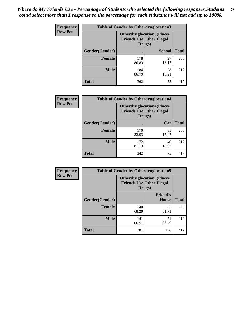| <b>Frequency</b> | <b>Table of Gender by Otherdruglocation3</b> |                                                                                |               |              |
|------------------|----------------------------------------------|--------------------------------------------------------------------------------|---------------|--------------|
| <b>Row Pct</b>   |                                              | <b>Otherdruglocation3(Places</b><br><b>Friends Use Other Illegal</b><br>Drugs) |               |              |
|                  | Gender(Gender)                               |                                                                                | <b>School</b> | <b>Total</b> |
|                  | <b>Female</b>                                | 178<br>86.83                                                                   | 27<br>13.17   | 205          |
|                  | <b>Male</b>                                  | 184<br>86.79                                                                   | 28<br>13.21   | 212          |
|                  | <b>Total</b>                                 | 362                                                                            | 55            | 417          |

| Frequency      | <b>Table of Gender by Otherdruglocation4</b> |                                                                                |             |              |
|----------------|----------------------------------------------|--------------------------------------------------------------------------------|-------------|--------------|
| <b>Row Pct</b> |                                              | <b>Otherdruglocation4(Places</b><br><b>Friends Use Other Illegal</b><br>Drugs) |             |              |
|                | Gender(Gender)                               |                                                                                | Car         | <b>Total</b> |
|                | <b>Female</b>                                | 170<br>82.93                                                                   | 35<br>17.07 | 205          |
|                | <b>Male</b>                                  | 172<br>81.13                                                                   | 40<br>18.87 | 212          |
|                | <b>Total</b>                                 | 342                                                                            | 75          | 417          |

| <b>Frequency</b> | <b>Table of Gender by Otherdruglocation5</b> |              |                                                                      |              |
|------------------|----------------------------------------------|--------------|----------------------------------------------------------------------|--------------|
| <b>Row Pct</b>   |                                              | Drugs)       | <b>Otherdruglocation5(Places</b><br><b>Friends Use Other Illegal</b> |              |
|                  | Gender(Gender)                               |              | <b>Friend's</b><br>House                                             | <b>Total</b> |
|                  | <b>Female</b>                                | 140<br>68.29 | 65<br>31.71                                                          | 205          |
|                  | <b>Male</b>                                  | 141<br>66.51 | 71<br>33.49                                                          | 212          |
|                  | <b>Total</b>                                 | 281          | 136                                                                  | 417          |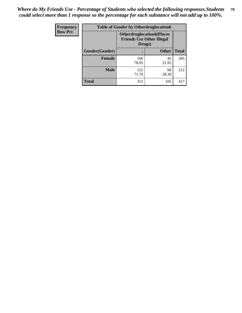| Frequency      | <b>Table of Gender by Otherdruglocation6</b> |                                            |                                  |              |
|----------------|----------------------------------------------|--------------------------------------------|----------------------------------|--------------|
| <b>Row Pct</b> |                                              | <b>Friends Use Other Illegal</b><br>Drugs) | <b>Otherdruglocation6(Places</b> |              |
|                | Gender(Gender)                               |                                            | <b>Other</b>                     | <b>Total</b> |
|                | <b>Female</b>                                | 160<br>78.05                               | 45<br>21.95                      | 205          |
|                | <b>Male</b>                                  | 152<br>71.70                               | 60<br>28.30                      | 212          |
|                | <b>Total</b>                                 | 312                                        | 105                              | 417          |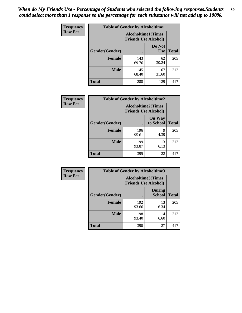| <b>Frequency</b> | <b>Table of Gender by Alcoholtime1</b> |                                                          |                      |              |
|------------------|----------------------------------------|----------------------------------------------------------|----------------------|--------------|
| <b>Row Pct</b>   |                                        | <b>Alcoholtime1(Times</b><br><b>Friends Use Alcohol)</b> |                      |              |
|                  | Gender(Gender)                         | $\bullet$                                                | Do Not<br><b>Use</b> | <b>Total</b> |
|                  | <b>Female</b>                          | 143<br>69.76                                             | 62<br>30.24          | 205          |
|                  | <b>Male</b>                            | 145<br>68.40                                             | 67<br>31.60          | 212          |
|                  | <b>Total</b>                           | 288                                                      | 129                  | 417          |

| <b>Frequency</b> | <b>Table of Gender by Alcoholtime2</b> |                                                          |                            |              |
|------------------|----------------------------------------|----------------------------------------------------------|----------------------------|--------------|
| <b>Row Pct</b>   |                                        | <b>Alcoholtime2(Times</b><br><b>Friends Use Alcohol)</b> |                            |              |
|                  | Gender(Gender)                         |                                                          | <b>On Way</b><br>to School | <b>Total</b> |
|                  | <b>Female</b>                          | 196<br>95.61                                             | 9<br>4.39                  | 205          |
|                  | <b>Male</b>                            | 199<br>93.87                                             | 13<br>6.13                 | 212          |
|                  | <b>Total</b>                           | 395                                                      | 22                         | 417          |

| Frequency      | <b>Table of Gender by Alcoholtime3</b> |                                                   |                                |              |
|----------------|----------------------------------------|---------------------------------------------------|--------------------------------|--------------|
| <b>Row Pct</b> |                                        | Alcoholtime3(Times<br><b>Friends Use Alcohol)</b> |                                |              |
|                | Gender(Gender)                         |                                                   | <b>During</b><br><b>School</b> | <b>Total</b> |
|                | Female                                 | 192<br>93.66                                      | 13<br>6.34                     | 205          |
|                | <b>Male</b>                            | 198<br>93.40                                      | 14<br>6.60                     | 212          |
|                | <b>Total</b>                           | 390                                               | 27                             | 417          |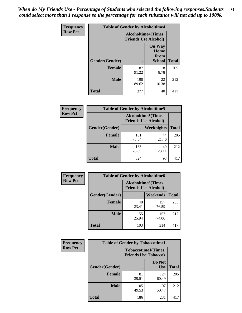*When do My Friends Use - Percentage of Students who selected the following responses.Students could select more than 1 response so the percentage for each substance will not add up to 100%.* **81**

| <b>Frequency</b> | <b>Table of Gender by Alcoholtime4</b> |                                                          |                                                       |              |
|------------------|----------------------------------------|----------------------------------------------------------|-------------------------------------------------------|--------------|
| <b>Row Pct</b>   |                                        | <b>Alcoholtime4(Times</b><br><b>Friends Use Alcohol)</b> |                                                       |              |
|                  | Gender(Gender)                         |                                                          | <b>On Way</b><br>Home<br><b>From</b><br><b>School</b> | <b>Total</b> |
|                  | <b>Female</b>                          | 187<br>91.22                                             | 18<br>8.78                                            | 205          |
|                  | <b>Male</b>                            | 190<br>89.62                                             | 22<br>10.38                                           | 212          |
|                  | <b>Total</b>                           | 377                                                      | 40                                                    | 417          |

| <b>Frequency</b> | <b>Table of Gender by Alcoholtime5</b> |                                                           |             |              |
|------------------|----------------------------------------|-----------------------------------------------------------|-------------|--------------|
| <b>Row Pct</b>   |                                        | <b>Alcoholtime5</b> (Times<br><b>Friends Use Alcohol)</b> |             |              |
|                  | Gender(Gender)                         |                                                           | Weeknights  | <b>Total</b> |
|                  | <b>Female</b>                          | 161<br>78.54                                              | 44<br>21.46 | 205          |
|                  | <b>Male</b>                            | 163<br>76.89                                              | 49<br>23.11 | 212          |
|                  | <b>Total</b>                           | 324                                                       | 93          | 417          |

| <b>Frequency</b> |                | <b>Table of Gender by Alcoholtime6</b>                    |              |              |
|------------------|----------------|-----------------------------------------------------------|--------------|--------------|
| <b>Row Pct</b>   |                | <b>Alcoholtime6</b> (Times<br><b>Friends Use Alcohol)</b> |              |              |
|                  | Gender(Gender) |                                                           | Weekends     | <b>Total</b> |
|                  | Female         | 48<br>23.41                                               | 157<br>76.59 | 205          |
|                  | <b>Male</b>    | 55<br>25.94                                               | 157<br>74.06 | 212          |
|                  | <b>Total</b>   | 103                                                       | 314          | 417          |

| Frequency      | <b>Table of Gender by Tobaccotime1</b> |                                                          |                      |              |
|----------------|----------------------------------------|----------------------------------------------------------|----------------------|--------------|
| <b>Row Pct</b> |                                        | <b>Tobaccotime1(Times</b><br><b>Friends Use Tobacco)</b> |                      |              |
|                | Gender(Gender)                         |                                                          | Do Not<br><b>Use</b> | <b>Total</b> |
|                | Female                                 | 81<br>39.51                                              | 124<br>60.49         | 205          |
|                | <b>Male</b>                            | 105<br>49.53                                             | 107<br>50.47         | 212          |
|                | <b>Total</b>                           | 186                                                      | 231                  | 417          |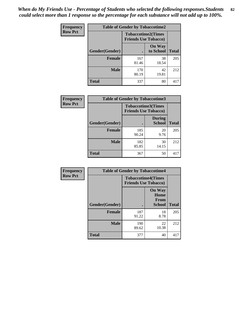*When do My Friends Use - Percentage of Students who selected the following responses.Students could select more than 1 response so the percentage for each substance will not add up to 100%.* **82**

| Frequency      | <b>Table of Gender by Tobaccotime2</b> |                                                          |                            |              |
|----------------|----------------------------------------|----------------------------------------------------------|----------------------------|--------------|
| <b>Row Pct</b> |                                        | <b>Tobaccotime2(Times</b><br><b>Friends Use Tobacco)</b> |                            |              |
|                | Gender(Gender)                         | $\bullet$                                                | <b>On Way</b><br>to School | <b>Total</b> |
|                | <b>Female</b>                          | 167<br>81.46                                             | 38<br>18.54                | 205          |
|                | <b>Male</b>                            | 170<br>80.19                                             | 42<br>19.81                | 212          |
|                | <b>Total</b>                           | 337                                                      | 80                         | 417          |

| Frequency      | <b>Table of Gender by Tobaccotime3</b> |                                                          |                                |              |
|----------------|----------------------------------------|----------------------------------------------------------|--------------------------------|--------------|
| <b>Row Pct</b> |                                        | <b>Tobaccotime3(Times</b><br><b>Friends Use Tobacco)</b> |                                |              |
|                | Gender(Gender)                         |                                                          | <b>During</b><br><b>School</b> | <b>Total</b> |
|                | <b>Female</b>                          | 185<br>90.24                                             | 20<br>9.76                     | 205          |
|                | <b>Male</b>                            | 182<br>85.85                                             | 30<br>14.15                    | 212          |
|                | <b>Total</b>                           | 367                                                      | 50                             | 417          |

| <b>Frequency</b> | <b>Table of Gender by Tobaccotime4</b> |                                                          |                                                |              |
|------------------|----------------------------------------|----------------------------------------------------------|------------------------------------------------|--------------|
| <b>Row Pct</b>   |                                        | <b>Tobaccotime4(Times</b><br><b>Friends Use Tobacco)</b> |                                                |              |
|                  | Gender(Gender)                         |                                                          | <b>On Way</b><br>Home<br>From<br><b>School</b> | <b>Total</b> |
|                  | <b>Female</b>                          | 187<br>91.22                                             | 18<br>8.78                                     | 205          |
|                  | <b>Male</b>                            | 190<br>89.62                                             | 22<br>10.38                                    | 212          |
|                  | <b>Total</b>                           | 377                                                      | 40                                             | 417          |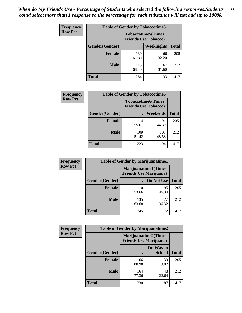| Frequency      | <b>Table of Gender by Tobaccotime5</b> |              |                                                          |              |  |
|----------------|----------------------------------------|--------------|----------------------------------------------------------|--------------|--|
| <b>Row Pct</b> |                                        |              | <b>Tobaccotime5(Times</b><br><b>Friends Use Tobacco)</b> |              |  |
|                | <b>Gender</b> (Gender)                 |              | Weeknights                                               | <b>Total</b> |  |
|                | <b>Female</b>                          | 139<br>67.80 | 66<br>32.20                                              | 205          |  |
|                | <b>Male</b>                            | 145<br>68.40 | 67<br>31.60                                              | 212          |  |
|                | <b>Total</b>                           | 284          | 133                                                      | 417          |  |

| Frequency      | <b>Table of Gender by Tobaccotime6</b> |                                                          |              |              |
|----------------|----------------------------------------|----------------------------------------------------------|--------------|--------------|
| <b>Row Pct</b> |                                        | <b>Tobaccotime6(Times</b><br><b>Friends Use Tobacco)</b> |              |              |
|                | Gender(Gender)                         |                                                          | Weekends     | <b>Total</b> |
|                | Female                                 | 114<br>55.61                                             | 91<br>44.39  | 205          |
|                | <b>Male</b>                            | 109<br>51.42                                             | 103<br>48.58 | 212          |
|                | <b>Total</b>                           | 223                                                      | 194          | 417          |

| <b>Frequency</b> | <b>Table of Gender by Marijuanatime1</b> |                                                               |             |              |
|------------------|------------------------------------------|---------------------------------------------------------------|-------------|--------------|
| <b>Row Pct</b>   |                                          | <b>Marijuanatime1(Times</b><br><b>Friends Use Marijuana</b> ) |             |              |
|                  | Gender(Gender)                           |                                                               | Do Not Use  | <b>Total</b> |
|                  | <b>Female</b>                            | 110<br>53.66                                                  | 95<br>46.34 | 205          |
|                  | <b>Male</b>                              | 135<br>63.68                                                  | 77<br>36.32 | 212          |
|                  | <b>Total</b>                             | 245                                                           | 172         | 417          |

| <b>Frequency</b> | <b>Table of Gender by Marijuanatime2</b> |                                                               |                            |              |
|------------------|------------------------------------------|---------------------------------------------------------------|----------------------------|--------------|
| <b>Row Pct</b>   |                                          | <b>Marijuanatime2(Times</b><br><b>Friends Use Marijuana</b> ) |                            |              |
|                  | Gender(Gender)                           |                                                               | On Way to<br><b>School</b> | <b>Total</b> |
|                  | Female                                   | 166<br>80.98                                                  | 39<br>19.02                | 205          |
|                  | <b>Male</b>                              | 164<br>77.36                                                  | 48<br>22.64                | 212          |
|                  | <b>Total</b>                             | 330                                                           | 87                         | 417          |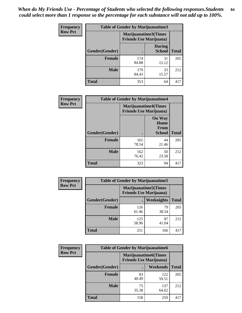*When do My Friends Use - Percentage of Students who selected the following responses.Students could select more than 1 response so the percentage for each substance will not add up to 100%.* **84**

| <b>Frequency</b> | Table of Gender by Marijuanatime3 |                                                        |                                |              |
|------------------|-----------------------------------|--------------------------------------------------------|--------------------------------|--------------|
| <b>Row Pct</b>   |                                   | Marijuanatime3(Times<br><b>Friends Use Marijuana</b> ) |                                |              |
|                  | Gender(Gender)                    |                                                        | <b>During</b><br><b>School</b> | <b>Total</b> |
|                  | <b>Female</b>                     | 174<br>84.88                                           | 31<br>15.12                    | 205          |
|                  | <b>Male</b>                       | 179<br>84.43                                           | 33<br>15.57                    | 212          |
|                  | <b>Total</b>                      | 353                                                    | 64                             | 417          |

| Frequency      | <b>Table of Gender by Marijuanatime4</b> |                                |                                                       |              |
|----------------|------------------------------------------|--------------------------------|-------------------------------------------------------|--------------|
| <b>Row Pct</b> |                                          | <b>Friends Use Marijuana</b> ) | <b>Marijuanatime4(Times</b>                           |              |
|                | <b>Gender</b> (Gender)                   |                                | <b>On Way</b><br>Home<br><b>From</b><br><b>School</b> | <b>Total</b> |
|                | <b>Female</b>                            | 161<br>78.54                   | 44<br>21.46                                           | 205          |
|                | <b>Male</b>                              | 162<br>76.42                   | 50<br>23.58                                           | 212          |
|                | <b>Total</b>                             | 323                            | 94                                                    | 417          |

| Frequency      | <b>Table of Gender by Marijuanatime5</b> |                                                                |                   |              |
|----------------|------------------------------------------|----------------------------------------------------------------|-------------------|--------------|
| <b>Row Pct</b> |                                          | <b>Marijuanatime5</b> (Times<br><b>Friends Use Marijuana</b> ) |                   |              |
|                | Gender(Gender)                           |                                                                | <b>Weeknights</b> | <b>Total</b> |
|                | <b>Female</b>                            | 126<br>61.46                                                   | 79<br>38.54       | 205          |
|                | <b>Male</b>                              | 125<br>58.96                                                   | 87<br>41.04       | 212          |
|                | <b>Total</b>                             | 251                                                            | 166               | 417          |

| Frequency      | <b>Table of Gender by Marijuanatime6</b> |                                                        |                 |              |  |
|----------------|------------------------------------------|--------------------------------------------------------|-----------------|--------------|--|
| <b>Row Pct</b> |                                          | Marijuanatime6(Times<br><b>Friends Use Marijuana</b> ) |                 |              |  |
|                | Gender(Gender)                           |                                                        | <b>Weekends</b> | <b>Total</b> |  |
|                | <b>Female</b>                            | 83<br>40.49                                            | 122<br>59.51    | 205          |  |
|                | <b>Male</b>                              | 75<br>35.38                                            | 137<br>64.62    | 212          |  |
|                | <b>Total</b>                             | 158                                                    | 259             | 417          |  |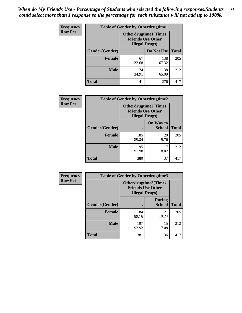*When do My Friends Use - Percentage of Students who selected the following responses.Students could select more than 1 response so the percentage for each substance will not add up to 100%.* **85**

| <b>Frequency</b> | <b>Table of Gender by Otherdrugtime1</b> |                                                    |                              |     |  |
|------------------|------------------------------------------|----------------------------------------------------|------------------------------|-----|--|
| <b>Row Pct</b>   |                                          | <b>Friends Use Other</b><br><b>Illegal Drugs</b> ) | <b>Otherdrugtime1</b> (Times |     |  |
|                  | Gender(Gender)                           |                                                    | Do Not Use   Total           |     |  |
|                  | <b>Female</b>                            | 67<br>32.68                                        | 138<br>67.32                 | 205 |  |
|                  | <b>Male</b>                              | 74<br>34.91                                        | 138<br>65.09                 | 212 |  |
|                  | <b>Total</b>                             | 141                                                | 276                          | 417 |  |

| <b>Frequency</b> | <b>Table of Gender by Otherdrugtime2</b> |                                                                                   |                            |              |
|------------------|------------------------------------------|-----------------------------------------------------------------------------------|----------------------------|--------------|
| <b>Row Pct</b>   |                                          | <b>Otherdrugtime2(Times</b><br><b>Friends Use Other</b><br><b>Illegal Drugs</b> ) |                            |              |
|                  | Gender(Gender)                           |                                                                                   | On Way to<br><b>School</b> | <b>Total</b> |
|                  | <b>Female</b>                            | 185<br>90.24                                                                      | 20<br>9.76                 | 205          |
|                  | <b>Male</b>                              | 195<br>91.98                                                                      | 17<br>8.02                 | 212          |
|                  | <b>Total</b>                             | 380                                                                               | 37                         | 417          |

| Frequency      | <b>Table of Gender by Otherdrugtime3</b> |                        |                                                  |              |
|----------------|------------------------------------------|------------------------|--------------------------------------------------|--------------|
| <b>Row Pct</b> |                                          | <b>Illegal Drugs</b> ) | Otherdrugtime3(Times<br><b>Friends Use Other</b> |              |
|                | Gender(Gender)                           |                        | <b>During</b><br><b>School</b>                   | <b>Total</b> |
|                | <b>Female</b>                            | 184<br>89.76           | 21<br>10.24                                      | 205          |
|                | <b>Male</b>                              | 197<br>92.92           | 15<br>7.08                                       | 212          |
|                | <b>Total</b>                             | 381                    | 36                                               | 417          |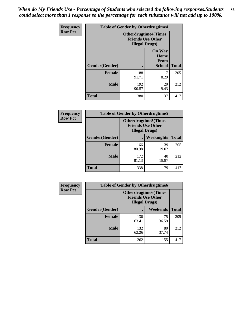*When do My Friends Use - Percentage of Students who selected the following responses.Students could select more than 1 response so the percentage for each substance will not add up to 100%.* **86**

| <b>Frequency</b> | <b>Table of Gender by Otherdrugtime4</b> |                                                    |                                                |              |
|------------------|------------------------------------------|----------------------------------------------------|------------------------------------------------|--------------|
| <b>Row Pct</b>   |                                          | <b>Friends Use Other</b><br><b>Illegal Drugs</b> ) | <b>Otherdrugtime4(Times</b>                    |              |
|                  | Gender(Gender)                           |                                                    | <b>On Way</b><br>Home<br><b>From</b><br>School | <b>Total</b> |
|                  | <b>Female</b>                            | 188<br>91.71                                       | 17<br>8.29                                     | 205          |
|                  | <b>Male</b>                              | 192<br>90.57                                       | 20<br>9.43                                     | 212          |
|                  | <b>Total</b>                             | 380                                                | 37                                             | 417          |

| Frequency      | <b>Table of Gender by Otherdrugtime5</b> |                                                                                    |             |              |
|----------------|------------------------------------------|------------------------------------------------------------------------------------|-------------|--------------|
| <b>Row Pct</b> |                                          | <b>Otherdrugtime5</b> (Times<br><b>Friends Use Other</b><br><b>Illegal Drugs</b> ) |             |              |
|                | Gender(Gender)                           |                                                                                    | Weeknights  | <b>Total</b> |
|                | <b>Female</b>                            | 166<br>80.98                                                                       | 39<br>19.02 | 205          |
|                | <b>Male</b>                              | 172<br>81.13                                                                       | 40<br>18.87 | 212          |
|                | <b>Total</b>                             | 338                                                                                | 79          | 417          |

| <b>Frequency</b> | <b>Table of Gender by Otherdrugtime6</b> |                                                                                   |             |              |
|------------------|------------------------------------------|-----------------------------------------------------------------------------------|-------------|--------------|
| <b>Row Pct</b>   |                                          | <b>Otherdrugtime6(Times</b><br><b>Friends Use Other</b><br><b>Illegal Drugs</b> ) |             |              |
|                  | Gender(Gender)                           |                                                                                   | Weekends    | <b>Total</b> |
|                  | <b>Female</b>                            | 130<br>63.41                                                                      | 75<br>36.59 | 205          |
|                  | <b>Male</b>                              | 132<br>62.26                                                                      | 80<br>37.74 | 212          |
|                  | <b>Total</b>                             | 262                                                                               | 155         | 417          |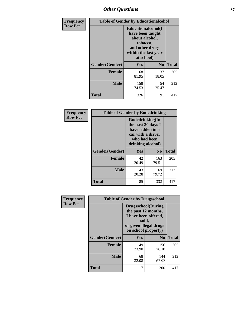## *Other Questions* **87**

| <b>Frequency</b> | <b>Table of Gender by Educationalcohol</b> |                                                                                                                                       |                |              |  |
|------------------|--------------------------------------------|---------------------------------------------------------------------------------------------------------------------------------------|----------------|--------------|--|
| <b>Row Pct</b>   |                                            | <b>Educationalcohol</b> (I<br>have been taught<br>about alcohol,<br>tobacco,<br>and other drugs<br>within the last year<br>at school) |                |              |  |
|                  | Gender(Gender)                             | <b>Yes</b>                                                                                                                            | N <sub>0</sub> | <b>Total</b> |  |
|                  | <b>Female</b>                              | 168<br>81.95                                                                                                                          | 37<br>18.05    | 205          |  |
|                  | <b>Male</b>                                | 158<br>74.53                                                                                                                          | 54<br>25.47    | 212          |  |
|                  | <b>Total</b>                               | 326                                                                                                                                   | 91             | 417          |  |

| Frequency      | <b>Table of Gender by Rodedrinking</b> |                                                                                                                     |                |              |  |
|----------------|----------------------------------------|---------------------------------------------------------------------------------------------------------------------|----------------|--------------|--|
| <b>Row Pct</b> |                                        | Rodedrinking(In<br>the past 30 days I<br>have ridden in a<br>car with a driver<br>who had been<br>drinking alcohol) |                |              |  |
|                | Gender(Gender)                         | Yes                                                                                                                 | N <sub>0</sub> | <b>Total</b> |  |
|                | <b>Female</b>                          | 42<br>20.49                                                                                                         | 163<br>79.51   | 205          |  |
|                | <b>Male</b>                            | 43<br>20.28                                                                                                         | 169<br>79.72   | 212          |  |
|                | <b>Total</b>                           | 85                                                                                                                  | 332            | 417          |  |

| Frequency      | <b>Table of Gender by Drugsschool</b> |                                                                                                                                     |                |              |  |
|----------------|---------------------------------------|-------------------------------------------------------------------------------------------------------------------------------------|----------------|--------------|--|
| <b>Row Pct</b> |                                       | <b>Drugsschool</b> (During<br>the past 12 months,<br>I have been offered,<br>sold,<br>or given illegal drugs<br>on school property) |                |              |  |
|                | Gender(Gender)                        | <b>Yes</b>                                                                                                                          | N <sub>0</sub> | <b>Total</b> |  |
|                | <b>Female</b>                         | 49<br>23.90                                                                                                                         | 156<br>76.10   | 205          |  |
|                | <b>Male</b>                           | 68<br>32.08                                                                                                                         | 144<br>67.92   | 212          |  |
|                | <b>Total</b>                          | 117                                                                                                                                 | 300            | 417          |  |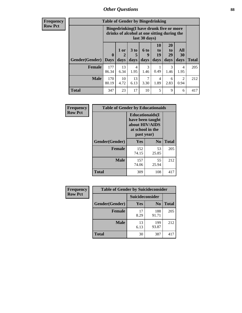### *Other Questions* **88**

**Frequency Row Pct**

| <b>Table of Gender by Bingedrinking</b> |                         |                                                                                                         |                   |                   |                        |                               |                        |              |
|-----------------------------------------|-------------------------|---------------------------------------------------------------------------------------------------------|-------------------|-------------------|------------------------|-------------------------------|------------------------|--------------|
|                                         |                         | Bingedrinking(I have drunk five or more<br>drinks of alcohol at one sitting during the<br>last 30 days) |                   |                   |                        |                               |                        |              |
| <b>Gender</b> (Gender)                  | $\bf{0}$<br><b>Days</b> | 1 or<br>days                                                                                            | 3 to<br>5<br>days | 6 to<br>9<br>days | 10<br>to<br>19<br>days | <b>20</b><br>to<br>29<br>days | All<br>30<br>days      | <b>Total</b> |
|                                         |                         |                                                                                                         |                   |                   |                        |                               |                        |              |
| <b>Female</b>                           | 177<br>86.34            | 13<br>6.34                                                                                              | 4<br>1.95         | 3<br>1.46         | 0.49                   | 3<br>1.46                     | 4<br>1.95              | 205          |
| <b>Male</b>                             | 170<br>80.19            | 10<br>4.72                                                                                              | 13<br>6.13        | 3.30              | 4<br>1.89              | 6<br>2.83                     | $\mathfrak{D}$<br>0.94 | 212          |

| Frequency      | <b>Table of Gender by Educationaids</b> |                                                                                                 |                |              |  |
|----------------|-----------------------------------------|-------------------------------------------------------------------------------------------------|----------------|--------------|--|
| <b>Row Pct</b> |                                         | <b>Educationaids</b> (I<br>have been taught<br>about HIV/AIDS<br>at school in the<br>past year) |                |              |  |
|                | Gender(Gender)                          | Yes                                                                                             | $\mathbf{N_0}$ | <b>Total</b> |  |
|                | <b>Female</b>                           | 152<br>74.15                                                                                    | 53<br>25.85    | 205          |  |
|                | <b>Male</b>                             | 157<br>74.06                                                                                    | 55<br>25.94    | 212          |  |
|                | <b>Total</b>                            | 309                                                                                             | 108            | 417          |  |

| <b>Frequency</b> | <b>Table of Gender by Suicideconsider</b> |                 |                |       |  |
|------------------|-------------------------------------------|-----------------|----------------|-------|--|
| <b>Row Pct</b>   |                                           | Suicideconsider |                |       |  |
|                  | Gender(Gender)                            | Yes             | N <sub>0</sub> | Total |  |
|                  | <b>Female</b>                             | 17<br>8.29      | 188<br>91.71   | 205   |  |
|                  | <b>Male</b>                               | 13<br>6.13      | 199<br>93.87   | 212   |  |
|                  | <b>Total</b>                              | 30              | 387            | 417   |  |